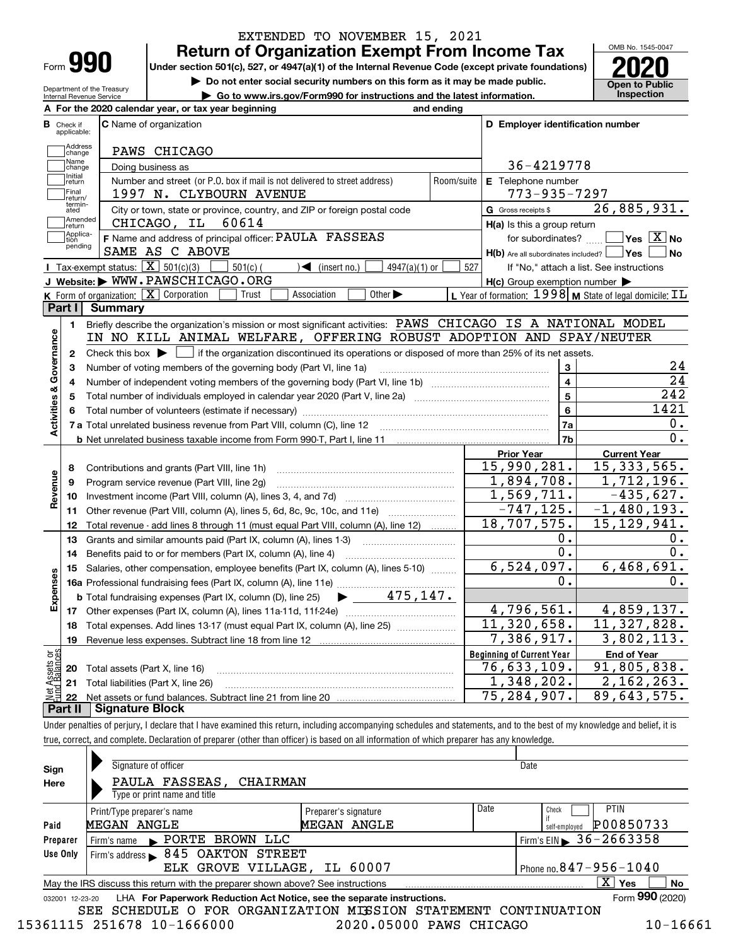| Form | r 1 |
|------|-----|
|      |     |

Department of the Treasury Internal Revenue Service

## **Return of Organization Exempt From Income Tax** EXTENDED TO NOVEMBER 15, 2021

**Under section 501(c), 527, or 4947(a)(1) of the Internal Revenue Code (except private foundations) 2020**

**| Do not enter social security numbers on this form as it may be made public.**

**| Go to www.irs.gov/Form990 for instructions and the latest information. Inspection**



|                         |                             | A For the 2020 calendar year, or tax year beginning                                                                                         | and ending              |                                                                       |                                                                    |
|-------------------------|-----------------------------|---------------------------------------------------------------------------------------------------------------------------------------------|-------------------------|-----------------------------------------------------------------------|--------------------------------------------------------------------|
| В                       | Check if<br>applicable:     | <b>C</b> Name of organization                                                                                                               |                         | D Employer identification number                                      |                                                                    |
|                         | Address<br>change           | PAWS CHICAGO                                                                                                                                |                         |                                                                       |                                                                    |
|                         | Name<br>change              | 36-4219778                                                                                                                                  |                         |                                                                       |                                                                    |
|                         | Initial<br>return           | E Telephone number                                                                                                                          |                         |                                                                       |                                                                    |
|                         | Final<br>return/            | 1997 N. CLYBOURN AVENUE                                                                                                                     |                         | 773-935-7297                                                          |                                                                    |
|                         | termin-<br>ated             | City or town, state or province, country, and ZIP or foreign postal code                                                                    |                         | G Gross receipts \$                                                   | 26,885,931.                                                        |
|                         | Amended<br>return           | 60614<br>CHICAGO, IL                                                                                                                        |                         | H(a) Is this a group return                                           |                                                                    |
|                         | Applica-<br>tion<br>pending | F Name and address of principal officer: PAULA FASSEAS<br>SAME AS C ABOVE                                                                   |                         | for subordinates?<br>$H(b)$ Are all subordinates included? $\Box$ Yes | $\sqrt{}$ Yes $\sqrt{}$ X $\sqrt{}$ No<br>  No                     |
|                         |                             | Tax-exempt status: $\boxed{\mathbf{X}}$ 501(c)(3)<br>$501(c)$ (<br>$\sqrt{\frac{1}{1}}$ (insert no.)<br>$4947(a)(1)$ or                     | 527                     |                                                                       | If "No," attach a list. See instructions                           |
|                         |                             | J Website: WWW.PAWSCHICAGO.ORG                                                                                                              |                         | $H(c)$ Group exemption number $\blacktriangleright$                   |                                                                    |
|                         |                             | K Form of organization: $\boxed{\mathbf{X}}$ Corporation<br>Other $\blacktriangleright$<br>Trust<br>Association                             |                         |                                                                       | L Year of formation: $1998$ M State of legal domicile: $\text{IL}$ |
|                         | Part I                      | Summary                                                                                                                                     |                         |                                                                       |                                                                    |
|                         | 1.                          | Briefly describe the organization's mission or most significant activities: PAWS CHICAGO IS A NATIONAL MODEL                                |                         |                                                                       |                                                                    |
|                         |                             | IN NO KILL ANIMAL WELFARE, OFFERING ROBUST ADOPTION AND SPAY/NEUTER                                                                         |                         |                                                                       |                                                                    |
| Activities & Governance | $\mathbf{2}$                | Check this box $\blacktriangleright$ $\Box$ if the organization discontinued its operations or disposed of more than 25% of its net assets. |                         |                                                                       |                                                                    |
|                         | 3                           | Number of voting members of the governing body (Part VI, line 1a)                                                                           |                         | 3                                                                     | 24                                                                 |
|                         | 4                           |                                                                                                                                             | $\overline{4}$          | 24                                                                    |                                                                    |
|                         | 5                           |                                                                                                                                             | $\overline{\mathbf{5}}$ | 242                                                                   |                                                                    |
|                         |                             |                                                                                                                                             |                         | $6\phantom{a}$                                                        | 1421                                                               |
|                         |                             |                                                                                                                                             |                         | 7a                                                                    | 0.                                                                 |
|                         |                             | <b>b</b> Net unrelated business taxable income from Form 990-T, Part I, line 11                                                             |                         | 7b                                                                    | $\overline{0}$ .                                                   |
|                         |                             |                                                                                                                                             |                         | <b>Prior Year</b>                                                     | <b>Current Year</b>                                                |
|                         | 8                           | Contributions and grants (Part VIII, line 1h)                                                                                               |                         | 15,990,281.                                                           | 15,333,565.                                                        |
| Revenue                 | 9                           | Program service revenue (Part VIII, line 2g)                                                                                                |                         | 1,894,708.                                                            | $\overline{1,712,196}$ .                                           |
|                         | 10                          |                                                                                                                                             |                         | 1,569,711.                                                            | $-435,627.$                                                        |
|                         | 11                          | Other revenue (Part VIII, column (A), lines 5, 6d, 8c, 9c, 10c, and 11e)                                                                    |                         | $-747, 125.$                                                          | $-1,480,193.$                                                      |
|                         | 12                          | Total revenue - add lines 8 through 11 (must equal Part VIII, column (A), line 12)                                                          |                         | 18,707,575.                                                           | 15, 129, 941.                                                      |
|                         | 13                          | Grants and similar amounts paid (Part IX, column (A), lines 1-3)                                                                            |                         | 0.                                                                    | ο.                                                                 |
|                         | 14                          | Benefits paid to or for members (Part IX, column (A), line 4)                                                                               |                         | 0.                                                                    | 0.                                                                 |
|                         | 15                          | Salaries, other compensation, employee benefits (Part IX, column (A), lines 5-10)                                                           |                         | 6,524,097.                                                            | 6,468,691.                                                         |
| Expenses                |                             |                                                                                                                                             |                         | $0$ .                                                                 | 0.                                                                 |
|                         |                             | $\blacktriangleright$ 475, 147.<br><b>b</b> Total fundraising expenses (Part IX, column (D), line 25)                                       |                         |                                                                       |                                                                    |
|                         |                             |                                                                                                                                             |                         | 4,796,561.                                                            | 4,859,137.                                                         |
|                         | 18                          | Total expenses. Add lines 13-17 (must equal Part IX, column (A), line 25) <i></i>                                                           |                         | $\overline{11,320,658}$ .                                             | $\overline{11}$ , 327, 828.                                        |
|                         | 19                          |                                                                                                                                             |                         | 7,386,917.                                                            | 3,802,113.                                                         |
| ăğ                      |                             |                                                                                                                                             |                         | <b>Beginning of Current Year</b>                                      | <b>End of Year</b>                                                 |
| sets                    | 20                          | Total assets (Part X, line 16)                                                                                                              |                         | 76,633,109.                                                           | 91,805,838.                                                        |
|                         | 21                          | Total liabilities (Part X, line 26)                                                                                                         |                         | $\overline{1}$ , 348, 202.                                            | $\overline{2}$ , 162, 263.                                         |
|                         | 22                          |                                                                                                                                             |                         | 75,284,907.                                                           | 89,643,575.                                                        |
|                         | Part II                     | <b>Signature Block</b>                                                                                                                      |                         |                                                                       |                                                                    |

Under penalties of perjury, I declare that I have examined this return, including accompanying schedules and statements, and to the best of my knowledge and belief, it is true, correct, and complete. Declaration of preparer (other than officer) is based on all information of which preparer has any knowledge.

| Sign<br>Here    | Signature of officer<br>PAULA FASSEAS,<br>CHAIRMAN<br>Type or print name and title |                         | Date                         |                                        |
|-----------------|------------------------------------------------------------------------------------|-------------------------|------------------------------|----------------------------------------|
|                 | Print/Type preparer's name                                                         | Preparer's signature    | Date<br>Check                | <b>PTIN</b>                            |
| Paid            | MEGAN ANGLE                                                                        | <b>MEGAN ANGLE</b>      | self-employed                | P00850733                              |
| Preparer        | PORTE BROWN LLC<br>Firm's name                                                     |                         |                              | Firm's EIN $\triangleright$ 36-2663358 |
| Use Only        | 845 OAKTON<br>STREET<br>Firm's address                                             |                         |                              |                                        |
|                 | ELK GROVE VILLAGE, IL 60007                                                        |                         | Phone no. $847 - 956 - 1040$ |                                        |
|                 | May the IRS discuss this return with the preparer shown above? See instructions    |                         |                              | $\mathbf{X}$<br>Yes<br>No              |
| 032001 12-23-20 | LHA For Paperwork Reduction Act Notice, see the separate instructions.             |                         |                              | Form 990 (2020)                        |
|                 | SEE SCHEDULE O FOR ORGANIZATION MISSION STATEMENT CONTINUATION                     |                         |                              |                                        |
|                 | 15361115 251678 10-1666000                                                         | 2020.05000 PAWS CHICAGO |                              | $10 - 16661$                           |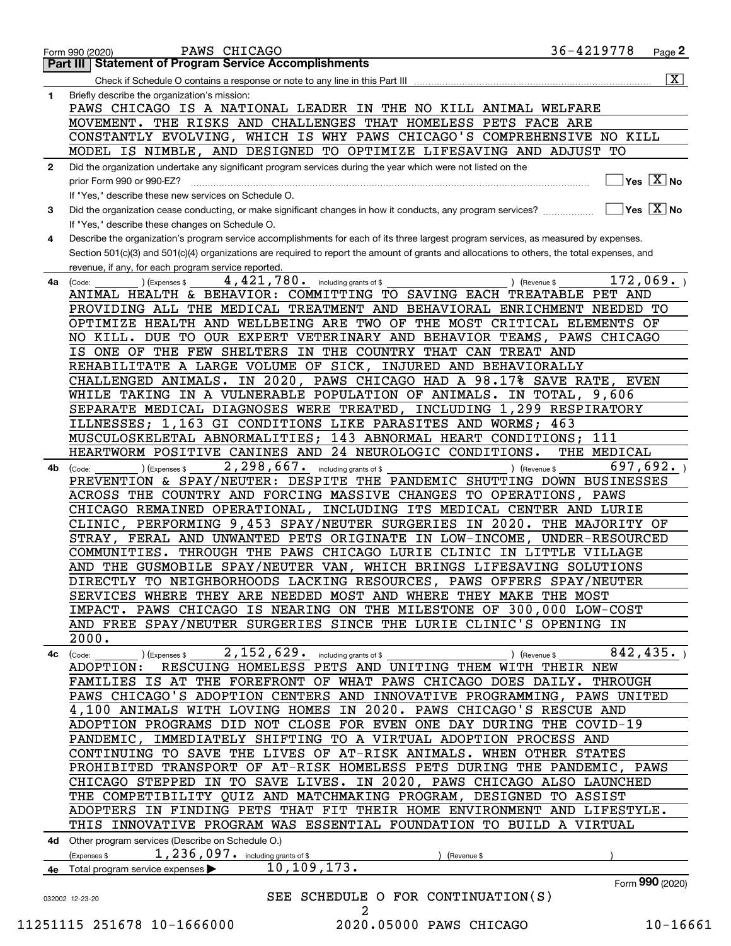|              | 36-4219778<br>PAWS CHICAGO<br>Form 990 (2020)                                                                                                                     | Page <sup>2</sup>  |
|--------------|-------------------------------------------------------------------------------------------------------------------------------------------------------------------|--------------------|
| Part III     | <b>Statement of Program Service Accomplishments</b>                                                                                                               |                    |
|              | Check if Schedule O contains a response or note to any line in this Part III                                                                                      | $\boxed{\text{X}}$ |
| 1            | Briefly describe the organization's mission:                                                                                                                      |                    |
|              | PAWS CHICAGO IS A NATIONAL LEADER IN THE NO KILL ANIMAL WELFARE                                                                                                   |                    |
|              | MOVEMENT. THE RISKS AND CHALLENGES THAT HOMELESS PETS FACE ARE                                                                                                    |                    |
|              | CONSTANTLY EVOLVING, WHICH IS WHY PAWS CHICAGO'S COMPREHENSIVE NO KILL                                                                                            |                    |
|              | MODEL IS NIMBLE, AND DESIGNED TO OPTIMIZE LIFESAVING AND ADJUST TO                                                                                                |                    |
| $\mathbf{2}$ | Did the organization undertake any significant program services during the year which were not listed on the                                                      |                    |
|              | $\overline{\ }$ Yes $\overline{\phantom{X}}$ No<br>prior Form 990 or 990-EZ?                                                                                      |                    |
|              | If "Yes," describe these new services on Schedule O.                                                                                                              |                    |
| 3            | $\sqrt{}$ Yes $\sqrt{}$ X $\sqrt{}$ No<br>Did the organization cease conducting, or make significant changes in how it conducts, any program services?            |                    |
|              | If "Yes," describe these changes on Schedule O.                                                                                                                   |                    |
| 4            | Describe the organization's program service accomplishments for each of its three largest program services, as measured by expenses.                              |                    |
|              | Section 501(c)(3) and 501(c)(4) organizations are required to report the amount of grants and allocations to others, the total expenses, and                      |                    |
|              | revenue, if any, for each program service reported.                                                                                                               |                    |
| 4a           | 4,421,780. including grants of \$<br>172,069.<br>) (Revenue \$<br>(Code:<br>(Expenses \$<br>ANIMAL HEALTH & BEHAVIOR: COMMITTING TO SAVING EACH TREATABLE PET AND |                    |
|              |                                                                                                                                                                   |                    |
|              | PROVIDING ALL THE MEDICAL TREATMENT AND BEHAVIORAL ENRICHMENT NEEDED TO                                                                                           |                    |
|              | OPTIMIZE HEALTH AND WELLBEING ARE TWO OF THE MOST CRITICAL ELEMENTS OF                                                                                            |                    |
|              | NO KILL. DUE TO OUR EXPERT VETERINARY AND BEHAVIOR TEAMS, PAWS CHICAGO                                                                                            |                    |
|              | ONE OF THE FEW SHELTERS IN THE COUNTRY THAT CAN TREAT AND<br>IS.                                                                                                  |                    |
|              | REHABILITATE A LARGE VOLUME OF SICK, INJURED AND BEHAVIORALLY                                                                                                     |                    |
|              | CHALLENGED ANIMALS. IN 2020, PAWS CHICAGO HAD A 98.17% SAVE RATE, EVEN                                                                                            |                    |
|              | WHILE TAKING IN A VULNERABLE POPULATION OF ANIMALS. IN TOTAL, 9,606                                                                                               |                    |
|              | SEPARATE MEDICAL DIAGNOSES WERE TREATED, INCLUDING 1,299 RESPIRATORY                                                                                              |                    |
|              | ILLNESSES; 1,163 GI CONDITIONS LIKE PARASITES AND WORMS;<br>463                                                                                                   |                    |
|              | MUSCULOSKELETAL ABNORMALITIES; 143 ABNORMAL HEART CONDITIONS;<br>111                                                                                              |                    |
|              | HEARTWORM POSITIVE CANINES AND 24 NEUROLOGIC CONDITIONS.<br>THE MEDICAL                                                                                           |                    |
| 4b           | 2, 298, 667. including grants of \$<br>697,692.<br>) (Expenses \$<br>) (Revenue \$<br>(Code:                                                                      |                    |
|              | PREVENTION & SPAY/NEUTER: DESPITE THE PANDEMIC SHUTTING DOWN BUSINESSES                                                                                           |                    |
|              | ACROSS THE COUNTRY AND FORCING MASSIVE CHANGES TO OPERATIONS, PAWS                                                                                                |                    |
|              | CHICAGO REMAINED OPERATIONAL, INCLUDING ITS MEDICAL CENTER AND LURIE                                                                                              |                    |
|              | CLINIC, PERFORMING 9,453 SPAY/NEUTER SURGERIES IN 2020. THE MAJORITY OF                                                                                           |                    |
|              | STRAY, FERAL AND UNWANTED PETS ORIGINATE IN LOW-INCOME,<br>UNDER-RESOURCED                                                                                        |                    |
|              | THROUGH THE PAWS CHICAGO LURIE CLINIC IN LITTLE VILLAGE<br>COMMUNITIES.                                                                                           |                    |
|              | AND THE GUSMOBILE SPAY/NEUTER VAN, WHICH BRINGS LIFESAVING SOLUTIONS                                                                                              |                    |
|              | DIRECTLY TO NEIGHBORHOODS LACKING RESOURCES, PAWS OFFERS SPAY/NEUTER                                                                                              |                    |
|              | SERVICES WHERE THEY ARE NEEDED MOST AND WHERE THEY MAKE THE MOST                                                                                                  |                    |
|              | IMPACT. PAWS CHICAGO IS NEARING ON THE MILESTONE OF 300,000 LOW-COST<br>AND FREE SPAY/NEUTER SURGERIES SINCE THE LURIE CLINIC'S OPENING IN                        |                    |
|              | 2000.                                                                                                                                                             |                    |
|              |                                                                                                                                                                   |                    |
|              | ADOPTION: RESCUING HOMELESS PETS AND UNITING THEM WITH THEIR NEW                                                                                                  |                    |
|              | FAMILIES IS AT THE FOREFRONT OF WHAT PAWS CHICAGO DOES DAILY. THROUGH                                                                                             |                    |
|              | PAWS CHICAGO'S ADOPTION CENTERS AND INNOVATIVE PROGRAMMING, PAWS UNITED                                                                                           |                    |
|              | 4,100 ANIMALS WITH LOVING HOMES IN 2020. PAWS CHICAGO'S RESCUE AND                                                                                                |                    |
|              | ADOPTION PROGRAMS DID NOT CLOSE FOR EVEN ONE DAY DURING THE COVID-19                                                                                              |                    |
|              | PANDEMIC, IMMEDIATELY SHIFTING TO A VIRTUAL ADOPTION PROCESS AND                                                                                                  |                    |
|              | CONTINUING TO SAVE THE LIVES OF AT-RISK ANIMALS. WHEN OTHER STATES                                                                                                |                    |
|              | PROHIBITED TRANSPORT OF AT-RISK HOMELESS PETS DURING THE PANDEMIC, PAWS                                                                                           |                    |
|              | CHICAGO STEPPED IN TO SAVE LIVES. IN 2020, PAWS CHICAGO ALSO LAUNCHED                                                                                             |                    |
|              | THE COMPETIBILITY QUIZ AND MATCHMAKING PROGRAM, DESIGNED TO ASSIST                                                                                                |                    |
|              | ADOPTERS IN FINDING PETS THAT FIT THEIR HOME ENVIRONMENT AND LIFESTYLE.                                                                                           |                    |
|              | THIS INNOVATIVE PROGRAM WAS ESSENTIAL FOUNDATION TO BUILD A VIRTUAL                                                                                               |                    |
|              | 4d Other program services (Describe on Schedule O.)                                                                                                               |                    |
|              | 1, 236, 097. including grants of \$<br>(Expenses \$<br>) (Revenue \$                                                                                              |                    |
|              | 10, 109, 173.<br>4e Total program service expenses                                                                                                                |                    |
|              | Form 990 (2020)                                                                                                                                                   |                    |
|              | SEE SCHEDULE O FOR CONTINUATION(S)<br>032002 12-23-20                                                                                                             |                    |
|              | 2                                                                                                                                                                 |                    |

 <sup>11251115 251678 10-1666000 2020.05000</sup> PAWS CHICAGO 10-16661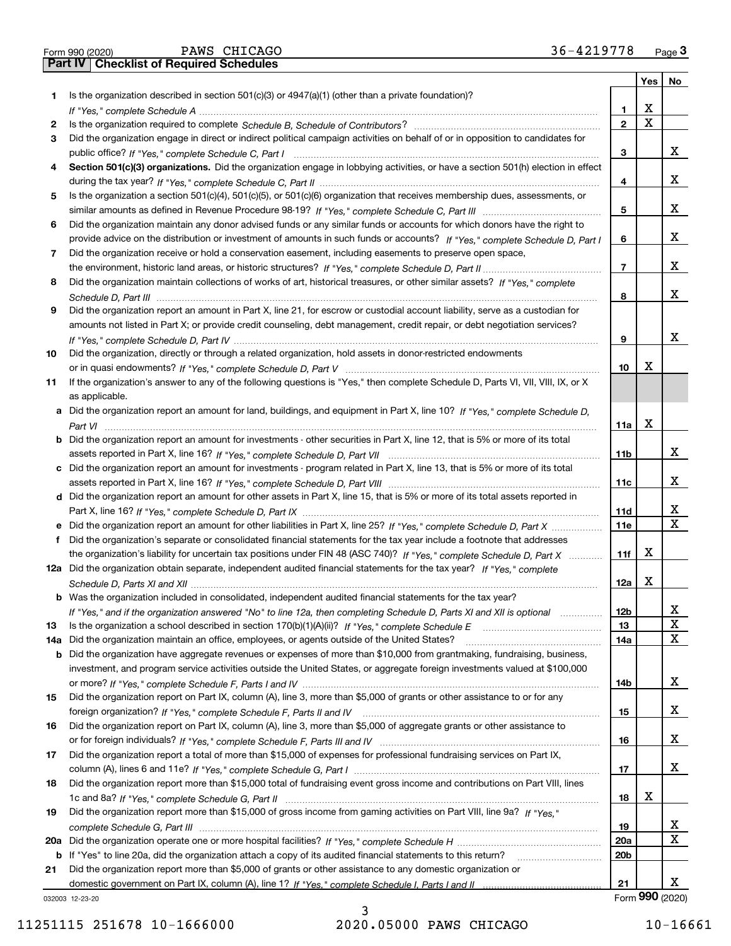|  | Form 990 (2020) |
|--|-----------------|

Form 990 (2020) Page **3Part IV Checklist of Required Schedules** PAWS CHICAGO 36-4219778

|     |                                                                                                                                       |                 | Yes | No              |
|-----|---------------------------------------------------------------------------------------------------------------------------------------|-----------------|-----|-----------------|
| 1.  | Is the organization described in section 501(c)(3) or 4947(a)(1) (other than a private foundation)?                                   |                 |     |                 |
|     |                                                                                                                                       | 1               | X   |                 |
| 2   |                                                                                                                                       | $\mathbf{2}$    | X   |                 |
| 3   | Did the organization engage in direct or indirect political campaign activities on behalf of or in opposition to candidates for       |                 |     |                 |
|     |                                                                                                                                       | 3               |     | X.              |
| 4   | Section 501(c)(3) organizations. Did the organization engage in lobbying activities, or have a section 501(h) election in effect      |                 |     |                 |
|     |                                                                                                                                       | 4               |     | x               |
| 5   | Is the organization a section 501(c)(4), 501(c)(5), or 501(c)(6) organization that receives membership dues, assessments, or          |                 |     |                 |
|     |                                                                                                                                       | 5               |     | x               |
| 6   | Did the organization maintain any donor advised funds or any similar funds or accounts for which donors have the right to             |                 |     |                 |
|     | provide advice on the distribution or investment of amounts in such funds or accounts? If "Yes," complete Schedule D, Part I          | 6               |     | X.              |
| 7   | Did the organization receive or hold a conservation easement, including easements to preserve open space,                             |                 |     |                 |
|     |                                                                                                                                       | $\overline{7}$  |     | X.              |
| 8   | Did the organization maintain collections of works of art, historical treasures, or other similar assets? If "Yes," complete          |                 |     |                 |
|     |                                                                                                                                       | 8               |     | X.              |
| 9   | Did the organization report an amount in Part X, line 21, for escrow or custodial account liability, serve as a custodian for         |                 |     |                 |
|     | amounts not listed in Part X; or provide credit counseling, debt management, credit repair, or debt negotiation services?             |                 |     |                 |
|     |                                                                                                                                       | 9               |     | х               |
| 10  | Did the organization, directly or through a related organization, hold assets in donor-restricted endowments                          |                 | х   |                 |
|     |                                                                                                                                       | 10              |     |                 |
| 11  | If the organization's answer to any of the following questions is "Yes," then complete Schedule D, Parts VI, VII, VIII, IX, or X      |                 |     |                 |
|     | as applicable.                                                                                                                        |                 |     |                 |
|     | a Did the organization report an amount for land, buildings, and equipment in Part X, line 10? If "Yes," complete Schedule D,         |                 | х   |                 |
|     |                                                                                                                                       | 11a             |     |                 |
|     | <b>b</b> Did the organization report an amount for investments - other securities in Part X, line 12, that is 5% or more of its total | 11 <sub>b</sub> |     | x               |
|     | c Did the organization report an amount for investments - program related in Part X, line 13, that is 5% or more of its total         |                 |     |                 |
|     |                                                                                                                                       | 11c             |     | x               |
|     | d Did the organization report an amount for other assets in Part X, line 15, that is 5% or more of its total assets reported in       |                 |     |                 |
|     |                                                                                                                                       | 11d             |     | x               |
|     | e Did the organization report an amount for other liabilities in Part X, line 25? If "Yes," complete Schedule D, Part X               | <b>11e</b>      |     | X               |
| f   | Did the organization's separate or consolidated financial statements for the tax year include a footnote that addresses               |                 |     |                 |
|     | the organization's liability for uncertain tax positions under FIN 48 (ASC 740)? If "Yes," complete Schedule D, Part X                | 11f             | x   |                 |
|     | 12a Did the organization obtain separate, independent audited financial statements for the tax year? If "Yes," complete               |                 |     |                 |
|     |                                                                                                                                       | 12a             | x   |                 |
|     | <b>b</b> Was the organization included in consolidated, independent audited financial statements for the tax year?                    |                 |     |                 |
|     | If "Yes," and if the organization answered "No" to line 12a, then completing Schedule D, Parts XI and XII is optional                 | 12 <sub>b</sub> |     |                 |
| 13  | Is the organization a school described in section 170(b)(1)(A)(ii)? If "Yes," complete Schedule E                                     | 13              |     | X               |
| 14a | Did the organization maintain an office, employees, or agents outside of the United States?                                           | 14a             |     | x               |
|     | <b>b</b> Did the organization have aggregate revenues or expenses of more than \$10,000 from grantmaking, fundraising, business,      |                 |     |                 |
|     | investment, and program service activities outside the United States, or aggregate foreign investments valued at \$100,000            |                 |     |                 |
|     |                                                                                                                                       | 14b             |     | x               |
| 15  | Did the organization report on Part IX, column (A), line 3, more than \$5,000 of grants or other assistance to or for any             |                 |     |                 |
|     |                                                                                                                                       | 15              |     | x               |
| 16  | Did the organization report on Part IX, column (A), line 3, more than \$5,000 of aggregate grants or other assistance to              |                 |     |                 |
|     |                                                                                                                                       | 16              |     | x               |
| 17  | Did the organization report a total of more than \$15,000 of expenses for professional fundraising services on Part IX,               |                 |     |                 |
|     |                                                                                                                                       | 17              |     | x               |
| 18  | Did the organization report more than \$15,000 total of fundraising event gross income and contributions on Part VIII, lines          |                 |     |                 |
|     |                                                                                                                                       | 18              | х   |                 |
| 19  | Did the organization report more than \$15,000 of gross income from gaming activities on Part VIII, line 9a? If "Yes."                |                 |     |                 |
|     |                                                                                                                                       | 19              |     | X               |
|     |                                                                                                                                       | 20a             |     | x               |
|     | b If "Yes" to line 20a, did the organization attach a copy of its audited financial statements to this return?                        | 20 <sub>b</sub> |     |                 |
| 21  | Did the organization report more than \$5,000 of grants or other assistance to any domestic organization or                           |                 |     |                 |
|     |                                                                                                                                       | 21              |     | X.              |
|     | 032003 12-23-20<br>ર                                                                                                                  |                 |     | Form 990 (2020) |

032003 12-23-20

3 11251115 251678 10-1666000 2020.05000 PAWS CHICAGO 10-16661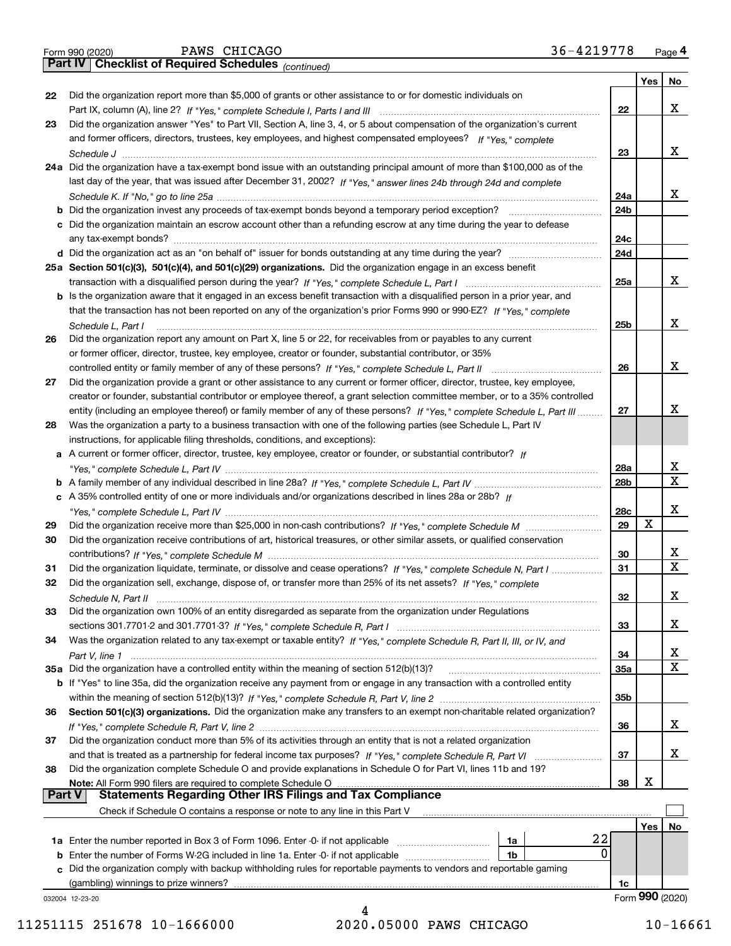|  | Form 990 (2020) |  |
|--|-----------------|--|
|  |                 |  |

*(continued)*

|               |                                                                                                                                    |                 | Yes        | No              |
|---------------|------------------------------------------------------------------------------------------------------------------------------------|-----------------|------------|-----------------|
| 22            | Did the organization report more than \$5,000 of grants or other assistance to or for domestic individuals on                      |                 |            |                 |
|               |                                                                                                                                    | 22              |            | x               |
| 23            | Did the organization answer "Yes" to Part VII, Section A, line 3, 4, or 5 about compensation of the organization's current         |                 |            |                 |
|               | and former officers, directors, trustees, key employees, and highest compensated employees? If "Yes," complete                     |                 |            |                 |
|               |                                                                                                                                    | 23              |            | x               |
|               | 24a Did the organization have a tax-exempt bond issue with an outstanding principal amount of more than \$100,000 as of the        |                 |            |                 |
|               | last day of the year, that was issued after December 31, 2002? If "Yes," answer lines 24b through 24d and complete                 |                 |            |                 |
|               |                                                                                                                                    | 24a             |            | x               |
|               | <b>b</b> Did the organization invest any proceeds of tax-exempt bonds beyond a temporary period exception?                         | 24 <sub>b</sub> |            |                 |
|               | c Did the organization maintain an escrow account other than a refunding escrow at any time during the year to defease             |                 |            |                 |
|               |                                                                                                                                    | 24c             |            |                 |
|               |                                                                                                                                    | 24d             |            |                 |
|               | 25a Section 501(c)(3), 501(c)(4), and 501(c)(29) organizations. Did the organization engage in an excess benefit                   |                 |            |                 |
|               |                                                                                                                                    | 25a             |            | x               |
|               |                                                                                                                                    |                 |            |                 |
|               | b Is the organization aware that it engaged in an excess benefit transaction with a disqualified person in a prior year, and       |                 |            |                 |
|               | that the transaction has not been reported on any of the organization's prior Forms 990 or 990-EZ? If "Yes," complete              |                 |            | x               |
|               | Schedule L, Part I                                                                                                                 | 25b             |            |                 |
| 26            | Did the organization report any amount on Part X, line 5 or 22, for receivables from or payables to any current                    |                 |            |                 |
|               | or former officer, director, trustee, key employee, creator or founder, substantial contributor, or 35%                            |                 |            |                 |
|               |                                                                                                                                    | 26              |            | х               |
| 27            | Did the organization provide a grant or other assistance to any current or former officer, director, trustee, key employee,        |                 |            |                 |
|               | creator or founder, substantial contributor or employee thereof, a grant selection committee member, or to a 35% controlled        |                 |            |                 |
|               | entity (including an employee thereof) or family member of any of these persons? If "Yes," complete Schedule L, Part III           | 27              |            | x               |
| 28            | Was the organization a party to a business transaction with one of the following parties (see Schedule L, Part IV                  |                 |            |                 |
|               | instructions, for applicable filing thresholds, conditions, and exceptions):                                                       |                 |            |                 |
|               | a A current or former officer, director, trustee, key employee, creator or founder, or substantial contributor? If                 |                 |            |                 |
|               |                                                                                                                                    | 28a             |            | х               |
|               |                                                                                                                                    | 28 <sub>b</sub> |            | х               |
|               | c A 35% controlled entity of one or more individuals and/or organizations described in lines 28a or 28b? If                        |                 |            |                 |
|               |                                                                                                                                    | 28c             |            | х               |
| 29            |                                                                                                                                    | 29              | Χ          |                 |
| 30            | Did the organization receive contributions of art, historical treasures, or other similar assets, or qualified conservation        |                 |            |                 |
|               |                                                                                                                                    | 30              |            | х               |
| 31            | Did the organization liquidate, terminate, or dissolve and cease operations? If "Yes," complete Schedule N, Part I                 | 31              |            | $\mathbf X$     |
| 32            | Did the organization sell, exchange, dispose of, or transfer more than 25% of its net assets? If "Yes," complete                   |                 |            |                 |
|               |                                                                                                                                    | 32              |            | х               |
| 33            | Did the organization own 100% of an entity disregarded as separate from the organization under Regulations                         |                 |            |                 |
|               |                                                                                                                                    | 33              |            | х               |
| 34            | Was the organization related to any tax-exempt or taxable entity? If "Yes," complete Schedule R, Part II, III, or IV, and          |                 |            |                 |
|               |                                                                                                                                    |                 |            | х               |
|               | 35a Did the organization have a controlled entity within the meaning of section 512(b)(13)?                                        | 34              |            | X               |
|               |                                                                                                                                    | 35a             |            |                 |
|               | <b>b</b> If "Yes" to line 35a, did the organization receive any payment from or engage in any transaction with a controlled entity |                 |            |                 |
|               |                                                                                                                                    | 35b             |            |                 |
| 36            | Section 501(c)(3) organizations. Did the organization make any transfers to an exempt non-charitable related organization?         |                 |            |                 |
|               |                                                                                                                                    | 36              |            | x               |
| 37            | Did the organization conduct more than 5% of its activities through an entity that is not a related organization                   |                 |            |                 |
|               |                                                                                                                                    | 37              |            | х               |
| 38            | Did the organization complete Schedule O and provide explanations in Schedule O for Part VI, lines 11b and 19?                     |                 |            |                 |
|               | Note: All Form 990 filers are required to complete Schedule O                                                                      | 38              | X          |                 |
| <b>Part V</b> | <b>Statements Regarding Other IRS Filings and Tax Compliance</b>                                                                   |                 |            |                 |
|               | Check if Schedule O contains a response or note to any line in this Part V                                                         |                 |            |                 |
|               |                                                                                                                                    |                 | <b>Yes</b> | No              |
|               | 22<br>1a                                                                                                                           |                 |            |                 |
|               | 0<br><b>b</b> Enter the number of Forms W-2G included in line 1a. Enter -0- if not applicable<br>1b                                |                 |            |                 |
| c             | Did the organization comply with backup withholding rules for reportable payments to vendors and reportable gaming                 |                 |            |                 |
|               | (gambling) winnings to prize winners?                                                                                              | 1c              |            |                 |
|               | 032004 12-23-20                                                                                                                    |                 |            | Form 990 (2020) |
|               |                                                                                                                                    |                 |            |                 |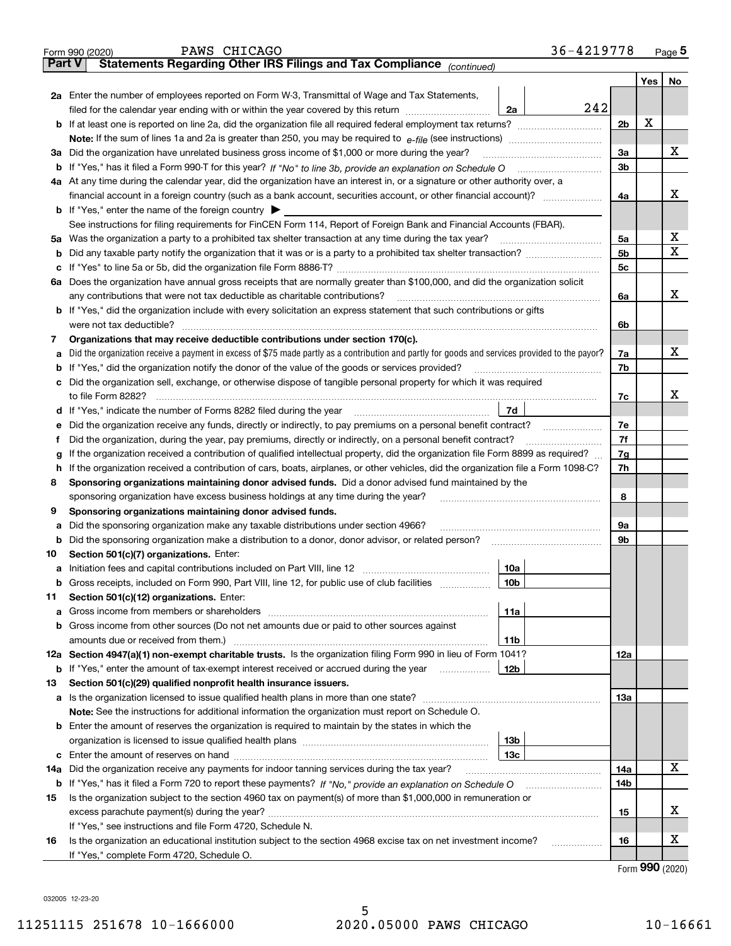|               | 36-4219778<br>PAWS CHICAGO<br>Form 990 (2020)                                                                                                                                                                                    |                |     | Page 5 |
|---------------|----------------------------------------------------------------------------------------------------------------------------------------------------------------------------------------------------------------------------------|----------------|-----|--------|
| <b>Part V</b> | Statements Regarding Other IRS Filings and Tax Compliance (continued)                                                                                                                                                            |                |     |        |
|               |                                                                                                                                                                                                                                  |                | Yes | No     |
|               | 2a Enter the number of employees reported on Form W-3, Transmittal of Wage and Tax Statements,                                                                                                                                   |                |     |        |
|               | 242<br>filed for the calendar year ending with or within the year covered by this return<br>2a                                                                                                                                   |                |     |        |
|               |                                                                                                                                                                                                                                  | 2 <sub>b</sub> | X   |        |
|               |                                                                                                                                                                                                                                  |                |     |        |
|               | 3a Did the organization have unrelated business gross income of \$1,000 or more during the year?                                                                                                                                 | 3a             |     | x      |
|               |                                                                                                                                                                                                                                  | 3 <sub>b</sub> |     |        |
|               | 4a At any time during the calendar year, did the organization have an interest in, or a signature or other authority over, a                                                                                                     |                |     |        |
|               |                                                                                                                                                                                                                                  | 4a             |     | x      |
|               | <b>b</b> If "Yes," enter the name of the foreign country $\blacktriangleright$                                                                                                                                                   |                |     |        |
|               | See instructions for filing requirements for FinCEN Form 114, Report of Foreign Bank and Financial Accounts (FBAR).                                                                                                              |                |     |        |
|               | 5a Was the organization a party to a prohibited tax shelter transaction at any time during the tax year?                                                                                                                         | 5a             |     | x<br>Χ |
| b             |                                                                                                                                                                                                                                  | 5 <sub>b</sub> |     |        |
| c             |                                                                                                                                                                                                                                  | 5 <sub>c</sub> |     |        |
| 6а            | Does the organization have annual gross receipts that are normally greater than \$100,000, and did the organization solicit                                                                                                      |                |     | x      |
|               | any contributions that were not tax deductible as charitable contributions?<br><b>b</b> If "Yes," did the organization include with every solicitation an express statement that such contributions or gifts                     | 6a             |     |        |
|               | were not tax deductible?                                                                                                                                                                                                         |                |     |        |
| 7             |                                                                                                                                                                                                                                  | 6b             |     |        |
| a             | Organizations that may receive deductible contributions under section 170(c).<br>Did the organization receive a payment in excess of \$75 made partly as a contribution and partly for goods and services provided to the payor? | 7a             |     | x      |
|               | <b>b</b> If "Yes," did the organization notify the donor of the value of the goods or services provided?                                                                                                                         | 7b             |     |        |
| c             | Did the organization sell, exchange, or otherwise dispose of tangible personal property for which it was required                                                                                                                |                |     |        |
|               | to file Form 8282?                                                                                                                                                                                                               | 7с             |     | x      |
|               | 7d<br>d If "Yes," indicate the number of Forms 8282 filed during the year                                                                                                                                                        |                |     |        |
| е             | Did the organization receive any funds, directly or indirectly, to pay premiums on a personal benefit contract?                                                                                                                  | 7e             |     |        |
| f             | Did the organization, during the year, pay premiums, directly or indirectly, on a personal benefit contract?                                                                                                                     | 7f             |     |        |
| g             | If the organization received a contribution of qualified intellectual property, did the organization file Form 8899 as required?                                                                                                 | 7g             |     |        |
| h.            | If the organization received a contribution of cars, boats, airplanes, or other vehicles, did the organization file a Form 1098-C?                                                                                               | 7h             |     |        |
| 8             | Sponsoring organizations maintaining donor advised funds. Did a donor advised fund maintained by the                                                                                                                             |                |     |        |
|               | sponsoring organization have excess business holdings at any time during the year?                                                                                                                                               | 8              |     |        |
| 9             | Sponsoring organizations maintaining donor advised funds.                                                                                                                                                                        |                |     |        |
| а             | Did the sponsoring organization make any taxable distributions under section 4966?                                                                                                                                               | 9а             |     |        |
| b             | Did the sponsoring organization make a distribution to a donor, donor advisor, or related person?                                                                                                                                | 9b             |     |        |
| 10            | Section 501(c)(7) organizations. Enter:                                                                                                                                                                                          |                |     |        |
|               | 10a                                                                                                                                                                                                                              |                |     |        |
|               | b Gross receipts, included on Form 990, Part VIII, line 12, for public use of club facilities<br>10b                                                                                                                             |                |     |        |
| 11            | Section 501(c)(12) organizations. Enter:                                                                                                                                                                                         |                |     |        |
| a             | 11a                                                                                                                                                                                                                              |                |     |        |
|               | <b>b</b> Gross income from other sources (Do not net amounts due or paid to other sources against                                                                                                                                |                |     |        |
|               | 11b                                                                                                                                                                                                                              |                |     |        |
|               | 12a Section 4947(a)(1) non-exempt charitable trusts. Is the organization filing Form 990 in lieu of Form 1041?                                                                                                                   | 12a            |     |        |
|               | <b>b</b> If "Yes," enter the amount of tax-exempt interest received or accrued during the year<br>12b                                                                                                                            |                |     |        |
| 13            | Section 501(c)(29) qualified nonprofit health insurance issuers.                                                                                                                                                                 |                |     |        |
| a             |                                                                                                                                                                                                                                  | 13а            |     |        |
|               | Note: See the instructions for additional information the organization must report on Schedule O.                                                                                                                                |                |     |        |
|               | <b>b</b> Enter the amount of reserves the organization is required to maintain by the states in which the                                                                                                                        |                |     |        |
|               | 13b                                                                                                                                                                                                                              |                |     |        |
| c             | 13с                                                                                                                                                                                                                              |                |     |        |
| 14a           | Did the organization receive any payments for indoor tanning services during the tax year?                                                                                                                                       | 14a            |     | х      |
|               |                                                                                                                                                                                                                                  | 14b            |     |        |
| 15            | Is the organization subject to the section 4960 tax on payment(s) of more than \$1,000,000 in remuneration or                                                                                                                    |                |     |        |
|               |                                                                                                                                                                                                                                  | 15             |     | х      |
|               | If "Yes," see instructions and file Form 4720, Schedule N.                                                                                                                                                                       |                |     |        |
| 16            | Is the organization an educational institution subject to the section 4968 excise tax on net investment income?<br>.                                                                                                             | 16             |     | х      |
|               | If "Yes," complete Form 4720, Schedule O.                                                                                                                                                                                        |                |     |        |

|  | Form 990 (2020) |
|--|-----------------|
|  |                 |

032005 12-23-20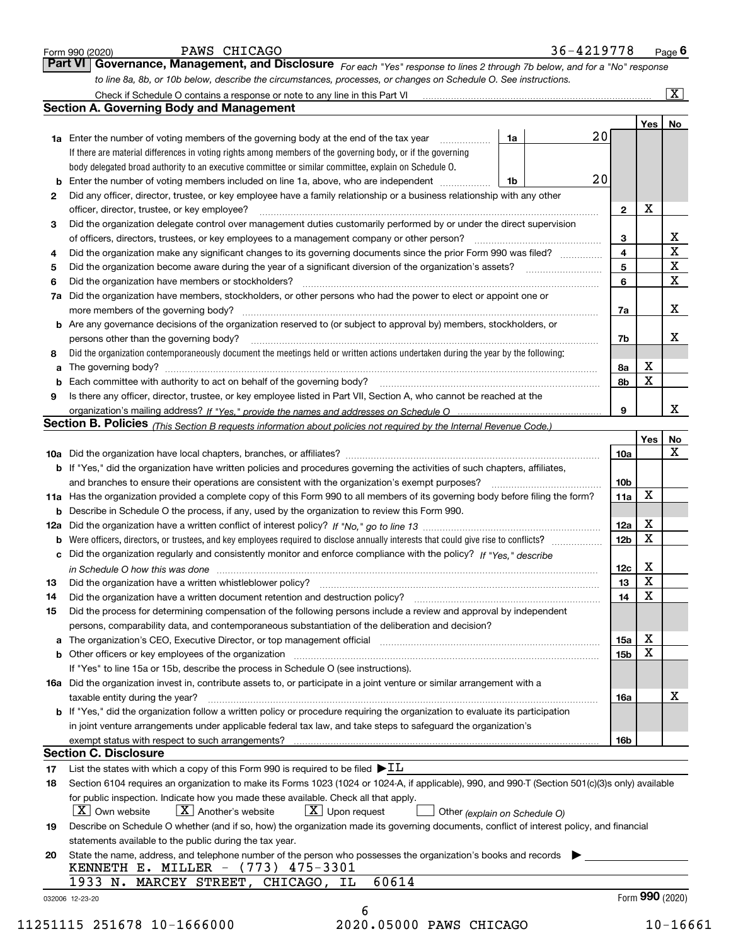|        | PAWS CHICAGO<br>Form 990 (2020)<br>Part VI<br>Governance, Management, and Disclosure For each "Yes" response to lines 2 through 7b below, and for a "No" response     | 36-4219778 |                         |                 | $Page$ <sup>6</sup>     |
|--------|-----------------------------------------------------------------------------------------------------------------------------------------------------------------------|------------|-------------------------|-----------------|-------------------------|
|        | to line 8a, 8b, or 10b below, describe the circumstances, processes, or changes on Schedule O. See instructions.                                                      |            |                         |                 |                         |
|        | Check if Schedule O contains a response or note to any line in this Part VI [11] [12] Check if Schedule O contains a response or note to any line in this Part VI     |            |                         |                 | $\overline{\mathbf{x}}$ |
|        | <b>Section A. Governing Body and Management</b>                                                                                                                       |            |                         |                 |                         |
|        |                                                                                                                                                                       |            |                         | Yes             | No                      |
|        | 1a<br><b>1a</b> Enter the number of voting members of the governing body at the end of the tax year                                                                   | 20         |                         |                 |                         |
|        | If there are material differences in voting rights among members of the governing body, or if the governing                                                           |            |                         |                 |                         |
|        | body delegated broad authority to an executive committee or similar committee, explain on Schedule O.                                                                 |            |                         |                 |                         |
|        | Enter the number of voting members included on line 1a, above, who are independent<br>1b                                                                              | 20         |                         |                 |                         |
| 2      | Did any officer, director, trustee, or key employee have a family relationship or a business relationship with any other                                              |            |                         |                 |                         |
|        | officer, director, trustee, or key employee?                                                                                                                          |            | $\mathbf{2}$            | X               |                         |
| з      | Did the organization delegate control over management duties customarily performed by or under the direct supervision                                                 |            |                         |                 |                         |
|        | of officers, directors, trustees, or key employees to a management company or other person?                                                                           |            | 3                       |                 | $\overline{\mathbf{X}}$ |
| 4      | Did the organization make any significant changes to its governing documents since the prior Form 990 was filed?                                                      |            | $\overline{\mathbf{4}}$ |                 | $\overline{\mathtt{x}}$ |
| 5      |                                                                                                                                                                       |            | 5                       |                 | $\mathbf X$             |
| 6      | Did the organization have members or stockholders?                                                                                                                    |            | 6                       |                 | $\mathbf X$             |
| 7a     | Did the organization have members, stockholders, or other persons who had the power to elect or appoint one or                                                        |            |                         |                 |                         |
|        |                                                                                                                                                                       |            | 7a                      |                 | X                       |
|        | <b>b</b> Are any governance decisions of the organization reserved to (or subject to approval by) members, stockholders, or<br>persons other than the governing body? |            |                         |                 | х                       |
|        | Did the organization contemporaneously document the meetings held or written actions undertaken during the year by the following:                                     |            | 7b                      |                 |                         |
| 8      |                                                                                                                                                                       |            | 8a                      | Х               |                         |
| a<br>b |                                                                                                                                                                       |            | 8b                      | X               |                         |
| 9      | Is there any officer, director, trustee, or key employee listed in Part VII, Section A, who cannot be reached at the                                                  |            |                         |                 |                         |
|        |                                                                                                                                                                       |            | 9                       |                 | x                       |
|        | Section B. Policies (This Section B requests information about policies not required by the Internal Revenue Code.)                                                   |            |                         |                 |                         |
|        |                                                                                                                                                                       |            |                         | Yes             | No                      |
|        |                                                                                                                                                                       |            | 10a                     |                 | X                       |
|        | b If "Yes," did the organization have written policies and procedures governing the activities of such chapters, affiliates,                                          |            |                         |                 |                         |
|        | and branches to ensure their operations are consistent with the organization's exempt purposes?                                                                       |            | 10 <sub>b</sub>         |                 |                         |
|        | 11a Has the organization provided a complete copy of this Form 990 to all members of its governing body before filing the form?                                       |            | 11a                     | х               |                         |
|        | <b>b</b> Describe in Schedule O the process, if any, used by the organization to review this Form 990.                                                                |            |                         |                 |                         |
| 12a    |                                                                                                                                                                       |            | 12a                     | x               |                         |
| b      | Were officers, directors, or trustees, and key employees required to disclose annually interests that could give rise to conflicts?                                   |            | 12 <sub>b</sub>         | x               |                         |
| c      | Did the organization regularly and consistently monitor and enforce compliance with the policy? If "Yes," describe                                                    |            |                         |                 |                         |
|        | in Schedule O how this was done measured and contained a state of the state of the state of the state of the s                                                        |            | 12c                     | x               |                         |
|        |                                                                                                                                                                       |            | 13                      | $\mathbf X$     |                         |
| 14     | Did the organization have a written document retention and destruction policy? [11] manufaction policy?                                                               |            | 14                      | X               |                         |
| 15     | Did the process for determining compensation of the following persons include a review and approval by independent                                                    |            |                         |                 |                         |
|        | persons, comparability data, and contemporaneous substantiation of the deliberation and decision?                                                                     |            |                         |                 |                         |
|        | a The organization's CEO, Executive Director, or top management official [111] [11] manument material manument                                                        |            | 15a                     | x               |                         |
|        |                                                                                                                                                                       |            | 15 <sub>b</sub>         | Х               |                         |
|        | If "Yes" to line 15a or 15b, describe the process in Schedule O (see instructions).                                                                                   |            |                         |                 |                         |
|        | 16a Did the organization invest in, contribute assets to, or participate in a joint venture or similar arrangement with a                                             |            |                         |                 | х                       |
|        | taxable entity during the year?<br>b If "Yes," did the organization follow a written policy or procedure requiring the organization to evaluate its participation     |            | 16a                     |                 |                         |
|        | in joint venture arrangements under applicable federal tax law, and take steps to safequard the organization's                                                        |            |                         |                 |                         |
|        |                                                                                                                                                                       |            | 16b                     |                 |                         |
|        | <b>Section C. Disclosure</b>                                                                                                                                          |            |                         |                 |                         |
| 17     | List the states with which a copy of this Form 990 is required to be filed $\blacktriangleright$ IL                                                                   |            |                         |                 |                         |
| 18     | Section 6104 requires an organization to make its Forms 1023 (1024 or 1024-A, if applicable), 990, and 990-T (Section 501(c)(3)s only) available                      |            |                         |                 |                         |
|        | for public inspection. Indicate how you made these available. Check all that apply.                                                                                   |            |                         |                 |                         |
|        | $ X $ Own website<br>$X$ Another's website<br>$\lfloor x \rfloor$ Upon request<br>Other (explain on Schedule O)                                                       |            |                         |                 |                         |
| 19     | Describe on Schedule O whether (and if so, how) the organization made its governing documents, conflict of interest policy, and financial                             |            |                         |                 |                         |
|        | statements available to the public during the tax year.                                                                                                               |            |                         |                 |                         |
| 20     | State the name, address, and telephone number of the person who possesses the organization's books and records                                                        |            |                         |                 |                         |
|        | KENNETH E. MILLER - (773) 475-3301                                                                                                                                    |            |                         |                 |                         |
|        | 60614<br>1933 N. MARCEY STREET, CHICAGO, IL                                                                                                                           |            |                         |                 |                         |
|        | 032006 12-23-20                                                                                                                                                       |            |                         | Form 990 (2020) |                         |
|        | 6                                                                                                                                                                     |            |                         |                 |                         |
|        | 11251115 251678 10-1666000<br>2020.05000 PAWS CHICAGO                                                                                                                 |            |                         |                 | $10 - 16661$            |
|        |                                                                                                                                                                       |            |                         |                 |                         |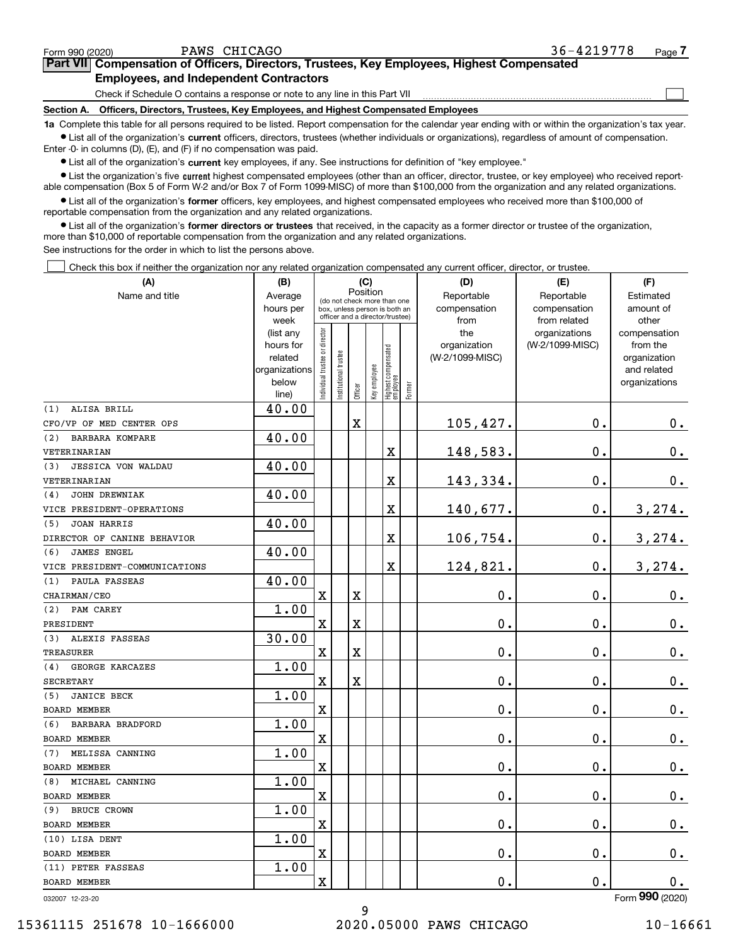$\mathcal{L}^{\text{max}}$ 

# **7Part VII Compensation of Officers, Directors, Trustees, Key Employees, Highest Compensated Employees, and Independent Contractors**

Check if Schedule O contains a response or note to any line in this Part VII

**Section A. Officers, Directors, Trustees, Key Employees, and Highest Compensated Employees**

**1a**  Complete this table for all persons required to be listed. Report compensation for the calendar year ending with or within the organization's tax year. **•** List all of the organization's current officers, directors, trustees (whether individuals or organizations), regardless of amount of compensation.

Enter -0- in columns (D), (E), and (F) if no compensation was paid.

 $\bullet$  List all of the organization's  $\,$ current key employees, if any. See instructions for definition of "key employee."

• List the organization's five current highest compensated employees (other than an officer, director, trustee, or key employee) who received report-■ List the organization's five current highest compensated employees (other than an officer, director, trustee, or key employee) who received report-<br>able compensation (Box 5 of Form W-2 and/or Box 7 of Form 1099-MISC) of

**•** List all of the organization's former officers, key employees, and highest compensated employees who received more than \$100,000 of reportable compensation from the organization and any related organizations.

**former directors or trustees**  ¥ List all of the organization's that received, in the capacity as a former director or trustee of the organization, more than \$10,000 of reportable compensation from the organization and any related organizations.

See instructions for the order in which to list the persons above.

Check this box if neither the organization nor any related organization compensated any current officer, director, or trustee.  $\mathcal{L}^{\text{max}}$ 

| (A)                              | (B)                    |                               |                                                                  |                         | (C)          |                                  |        | (D)                 | (E)                              | (F)                      |
|----------------------------------|------------------------|-------------------------------|------------------------------------------------------------------|-------------------------|--------------|----------------------------------|--------|---------------------|----------------------------------|--------------------------|
| Name and title                   | Average                |                               | (do not check more than one                                      | Position                |              |                                  |        | Reportable          | Reportable                       | Estimated                |
|                                  | hours per              |                               | box, unless person is both an<br>officer and a director/trustee) |                         |              |                                  |        | compensation        | compensation                     | amount of                |
|                                  | week                   |                               |                                                                  |                         |              |                                  |        | from                | from related                     | other                    |
|                                  | (list any<br>hours for |                               |                                                                  |                         |              |                                  |        | the<br>organization | organizations<br>(W-2/1099-MISC) | compensation<br>from the |
|                                  | related                |                               |                                                                  |                         |              |                                  |        | (W-2/1099-MISC)     |                                  | organization             |
|                                  | organizations          |                               |                                                                  |                         |              |                                  |        |                     |                                  | and related              |
|                                  | below                  | ndividual trustee or director | Institutional trustee                                            |                         | Key employee |                                  |        |                     |                                  | organizations            |
|                                  | line)                  |                               |                                                                  | Officer                 |              | Highest compensated<br> employee | Former |                     |                                  |                          |
| ALISA BRILL<br>(1)               | 40.00                  |                               |                                                                  |                         |              |                                  |        |                     |                                  |                          |
| CFO/VP OF MED CENTER OPS         |                        |                               |                                                                  | $\rm X$                 |              |                                  |        | 105,427.            | $\mathbf{0}$ .                   | $0_{.}$                  |
| (2)<br>BARBARA KOMPARE           | 40.00                  |                               |                                                                  |                         |              |                                  |        |                     |                                  |                          |
| VETERINARIAN                     |                        |                               |                                                                  |                         |              | X                                |        | 148,583.            | $\mathbf 0$ .                    | 0.                       |
| <b>JESSICA VON WALDAU</b><br>(3) | 40.00                  |                               |                                                                  |                         |              |                                  |        |                     |                                  |                          |
| VETERINARIAN                     |                        |                               |                                                                  |                         |              | $\overline{\textbf{X}}$          |        | 143,334.            | 0.                               | 0.                       |
| <b>JOHN DREWNIAK</b><br>(4)      | 40.00                  |                               |                                                                  |                         |              |                                  |        |                     |                                  |                          |
| VICE PRESIDENT-OPERATIONS        |                        |                               |                                                                  |                         |              | $\overline{\textbf{X}}$          |        | 140,677.            | 0.                               | 3,274.                   |
| <b>JOAN HARRIS</b><br>(5)        | 40.00                  |                               |                                                                  |                         |              |                                  |        |                     |                                  |                          |
| DIRECTOR OF CANINE BEHAVIOR      |                        |                               |                                                                  |                         |              | X                                |        | 106,754.            | 0.                               | 3,274.                   |
| <b>JAMES ENGEL</b><br>(6)        | 40.00                  |                               |                                                                  |                         |              |                                  |        |                     |                                  |                          |
| VICE PRESIDENT-COMMUNICATIONS    |                        |                               |                                                                  |                         |              | X                                |        | 124,821.            | 0.                               | 3,274.                   |
| PAULA FASSEAS<br>(1)             | 40.00                  |                               |                                                                  |                         |              |                                  |        |                     |                                  |                          |
| CHAIRMAN/CEO                     |                        | $\mathbf X$                   |                                                                  | X                       |              |                                  |        | 0.                  | 0.                               | $0_{.}$                  |
| PAM CAREY<br>(2)                 | 1.00                   |                               |                                                                  |                         |              |                                  |        |                     |                                  |                          |
| PRESIDENT                        |                        | $\overline{\textbf{X}}$       |                                                                  | $\overline{\textbf{X}}$ |              |                                  |        | 0.                  | 0.                               | $\mathbf 0$ .            |
| (3)<br>ALEXIS FASSEAS            | 30.00                  |                               |                                                                  |                         |              |                                  |        |                     |                                  |                          |
| <b>TREASURER</b>                 |                        | $\mathbf X$                   |                                                                  | X                       |              |                                  |        | 0.                  | $\mathbf 0$ .                    | $0_{.}$                  |
| (4)<br>GEORGE KARCAZES           | 1.00                   |                               |                                                                  |                         |              |                                  |        |                     |                                  |                          |
| <b>SECRETARY</b>                 |                        | $\mathbf X$                   |                                                                  | X                       |              |                                  |        | 0.                  | $\mathbf{0}$ .                   | $0_{.}$                  |
| <b>JANICE BECK</b><br>(5)        | 1.00                   |                               |                                                                  |                         |              |                                  |        |                     |                                  |                          |
| <b>BOARD MEMBER</b>              |                        | $\overline{\textbf{X}}$       |                                                                  |                         |              |                                  |        | 0.                  | $\mathbf 0$ .                    | $0_{.}$                  |
| BARBARA BRADFORD<br>(6)          | 1.00                   |                               |                                                                  |                         |              |                                  |        |                     |                                  |                          |
| <b>BOARD MEMBER</b>              |                        | $\overline{\textbf{X}}$       |                                                                  |                         |              |                                  |        | 0.                  | $\mathbf 0$ .                    | $0_{.}$                  |
| MELISSA CANNING<br>(7)           | 1.00                   |                               |                                                                  |                         |              |                                  |        |                     |                                  |                          |
| <b>BOARD MEMBER</b>              |                        | $\mathbf X$                   |                                                                  |                         |              |                                  |        | 0.                  | $\mathbf 0$ .                    | $\mathbf 0$ .            |
| MICHAEL CANNING<br>(8)           | 1.00                   |                               |                                                                  |                         |              |                                  |        |                     |                                  |                          |
| <b>BOARD MEMBER</b>              |                        | $\mathbf X$                   |                                                                  |                         |              |                                  |        | 0.                  | $\mathbf 0$ .                    | 0.                       |
| BRUCE CROWN<br>(9)               | 1.00                   |                               |                                                                  |                         |              |                                  |        |                     |                                  |                          |
| <b>BOARD MEMBER</b>              |                        | $\mathbf X$                   |                                                                  |                         |              |                                  |        | 0.                  | $\mathbf 0$ .                    | 0.                       |
| (10) LISA DENT                   | 1.00                   |                               |                                                                  |                         |              |                                  |        |                     |                                  |                          |
| <b>BOARD MEMBER</b>              |                        | X                             |                                                                  |                         |              |                                  |        | 0.                  | 0.                               | $\mathbf 0$ .            |
| (11) PETER FASSEAS               | 1.00                   |                               |                                                                  |                         |              |                                  |        |                     |                                  |                          |
| BOARD MEMBER                     |                        | $\overline{\textbf{X}}$       |                                                                  |                         |              |                                  |        | 0.                  | 0.                               | 0.<br>$\overline{2}$     |

032007 12-23-20

Form (2020) **990**

9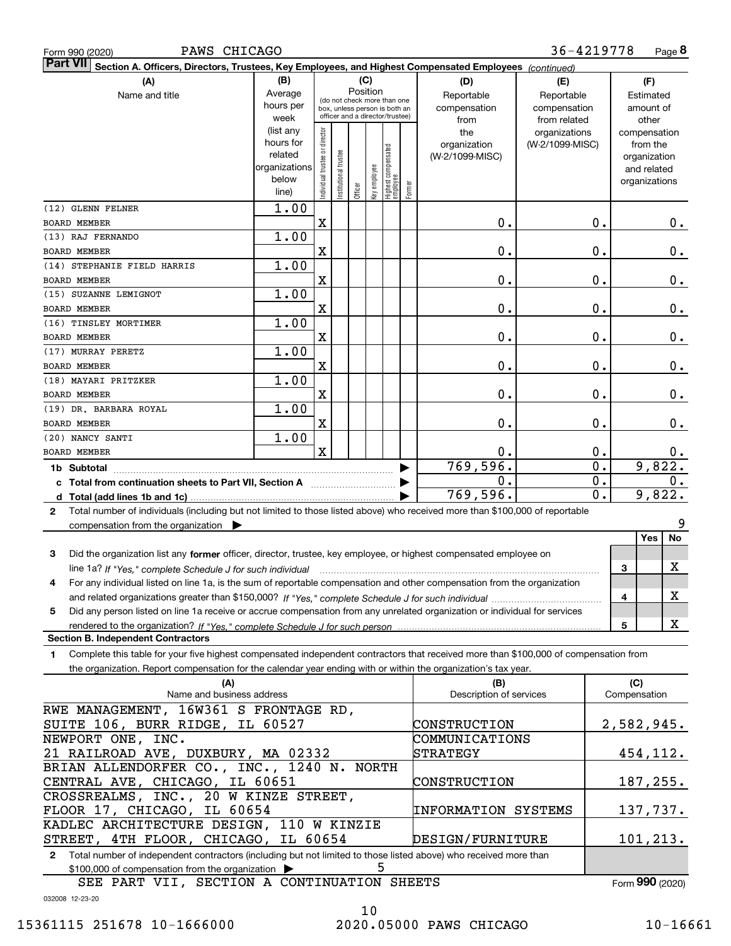| PAWS CHICAGO<br>Form 990 (2020)                                                                                                                                                                                                                                     |                      |                                |                       |                                         |              |                                  |        |                            | 36-4219778       |              | Page 8                      |
|---------------------------------------------------------------------------------------------------------------------------------------------------------------------------------------------------------------------------------------------------------------------|----------------------|--------------------------------|-----------------------|-----------------------------------------|--------------|----------------------------------|--------|----------------------------|------------------|--------------|-----------------------------|
| <b>Part VII</b><br>Section A. Officers, Directors, Trustees, Key Employees, and Highest Compensated Employees (continued)                                                                                                                                           |                      |                                |                       |                                         |              |                                  |        |                            |                  |              |                             |
| (A)                                                                                                                                                                                                                                                                 | (B)                  |                                |                       | (C)                                     |              |                                  |        | (D)                        | (E)              |              | (F)                         |
| Name and title                                                                                                                                                                                                                                                      | Average              |                                |                       | Position<br>(do not check more than one |              |                                  |        | Reportable                 | Reportable       |              | Estimated                   |
|                                                                                                                                                                                                                                                                     | hours per            |                                |                       | box, unless person is both an           |              |                                  |        | compensation               | compensation     |              | amount of                   |
|                                                                                                                                                                                                                                                                     | week                 |                                |                       | officer and a director/trustee)         |              |                                  |        | from                       | from related     |              | other                       |
|                                                                                                                                                                                                                                                                     | (list any            |                                |                       |                                         |              |                                  |        | the                        | organizations    |              | compensation                |
|                                                                                                                                                                                                                                                                     | hours for<br>related |                                |                       |                                         |              |                                  |        | organization               | (W-2/1099-MISC)  |              | from the                    |
|                                                                                                                                                                                                                                                                     | organizations        |                                |                       |                                         |              |                                  |        | (W-2/1099-MISC)            |                  |              | organization<br>and related |
|                                                                                                                                                                                                                                                                     | below                |                                |                       |                                         |              |                                  |        |                            |                  |              | organizations               |
|                                                                                                                                                                                                                                                                     | line)                | Individual trustee or director | Institutional trustee | Officer                                 | Key employee | Highest compensated<br> employee | Former |                            |                  |              |                             |
| (12) GLENN FELNER                                                                                                                                                                                                                                                   | 1.00                 |                                |                       |                                         |              |                                  |        |                            |                  |              |                             |
| <b>BOARD MEMBER</b>                                                                                                                                                                                                                                                 |                      | $\overline{\mathbf{X}}$        |                       |                                         |              |                                  |        | 0.                         | 0.               |              | 0.                          |
| (13) RAJ FERNANDO                                                                                                                                                                                                                                                   | 1.00                 |                                |                       |                                         |              |                                  |        |                            |                  |              |                             |
| <b>BOARD MEMBER</b>                                                                                                                                                                                                                                                 |                      | X                              |                       |                                         |              |                                  |        | $\mathbf 0$ .              | Ο.               |              | 0.                          |
| (14) STEPHANIE FIELD HARRIS                                                                                                                                                                                                                                         | 1.00                 |                                |                       |                                         |              |                                  |        |                            |                  |              |                             |
| <b>BOARD MEMBER</b>                                                                                                                                                                                                                                                 |                      | X                              |                       |                                         |              |                                  |        | $\mathbf 0$ .              | Ο.               |              | 0.                          |
| (15) SUZANNE LEMIGNOT                                                                                                                                                                                                                                               | 1.00                 |                                |                       |                                         |              |                                  |        |                            |                  |              |                             |
| <b>BOARD MEMBER</b>                                                                                                                                                                                                                                                 |                      | X                              |                       |                                         |              |                                  |        | $\mathbf 0$ .              | Ο.               |              | 0.                          |
| (16) TINSLEY MORTIMER                                                                                                                                                                                                                                               | 1.00                 |                                |                       |                                         |              |                                  |        |                            |                  |              |                             |
| <b>BOARD MEMBER</b>                                                                                                                                                                                                                                                 |                      | X                              |                       |                                         |              |                                  |        | $\mathbf 0$ .              | Ο.               |              | 0.                          |
| (17) MURRAY PERETZ                                                                                                                                                                                                                                                  | 1.00                 |                                |                       |                                         |              |                                  |        |                            |                  |              |                             |
| <b>BOARD MEMBER</b>                                                                                                                                                                                                                                                 |                      | X                              |                       |                                         |              |                                  |        | $\mathbf 0$ .              | 0.               |              | 0.                          |
| (18) MAYARI PRITZKER                                                                                                                                                                                                                                                | 1.00                 |                                |                       |                                         |              |                                  |        |                            |                  |              |                             |
| <b>BOARD MEMBER</b>                                                                                                                                                                                                                                                 |                      | X                              |                       |                                         |              |                                  |        | $\mathbf 0$ .              | 0.               |              | 0.                          |
| (19) DR. BARBARA ROYAL                                                                                                                                                                                                                                              | 1.00                 |                                |                       |                                         |              |                                  |        |                            |                  |              |                             |
| <b>BOARD MEMBER</b>                                                                                                                                                                                                                                                 |                      | X                              |                       |                                         |              |                                  |        | 0.                         | 0.               |              | 0.                          |
| (20) NANCY SANTI                                                                                                                                                                                                                                                    | 1.00                 | $\mathbf x$                    |                       |                                         |              |                                  |        |                            | 0.               |              |                             |
| <b>BOARD MEMBER</b>                                                                                                                                                                                                                                                 |                      |                                |                       |                                         |              |                                  |        | 0.<br>769,596.             | $\overline{0}$ . |              | $0$ .<br>9,822.             |
| 1b Subtotal                                                                                                                                                                                                                                                         |                      |                                |                       |                                         |              |                                  |        | 0.                         | 0.               |              | 0.                          |
|                                                                                                                                                                                                                                                                     |                      |                                |                       |                                         |              |                                  |        | 769,596.                   | 0.               |              | 9,822.                      |
| d $Total (add lines 1b and 1c)$ .<br>Total number of individuals (including but not limited to those listed above) who received more than \$100,000 of reportable<br>2                                                                                              |                      |                                |                       |                                         |              |                                  |        |                            |                  |              |                             |
| compensation from the organization $\blacktriangleright$                                                                                                                                                                                                            |                      |                                |                       |                                         |              |                                  |        |                            |                  |              | 9                           |
|                                                                                                                                                                                                                                                                     |                      |                                |                       |                                         |              |                                  |        |                            |                  |              | No<br>Yes                   |
| Did the organization list any former officer, director, trustee, key employee, or highest compensated employee on<br>3                                                                                                                                              |                      |                                |                       |                                         |              |                                  |        |                            |                  |              |                             |
|                                                                                                                                                                                                                                                                     |                      |                                |                       |                                         |              |                                  |        |                            |                  | 3            | х                           |
| line 1a? If "Yes," complete Schedule J for such individual manufactured contained and the Ves," complete Schedule J for such individual<br>For any individual listed on line 1a, is the sum of reportable compensation and other compensation from the organization |                      |                                |                       |                                         |              |                                  |        |                            |                  |              |                             |
| 4                                                                                                                                                                                                                                                                   |                      |                                |                       |                                         |              |                                  |        |                            |                  | 4            | х                           |
| Did any person listed on line 1a receive or accrue compensation from any unrelated organization or individual for services<br>5                                                                                                                                     |                      |                                |                       |                                         |              |                                  |        |                            |                  |              |                             |
|                                                                                                                                                                                                                                                                     |                      |                                |                       |                                         |              |                                  |        |                            |                  | 5            | X                           |
| <b>Section B. Independent Contractors</b>                                                                                                                                                                                                                           |                      |                                |                       |                                         |              |                                  |        |                            |                  |              |                             |
| Complete this table for your five highest compensated independent contractors that received more than \$100,000 of compensation from<br>1                                                                                                                           |                      |                                |                       |                                         |              |                                  |        |                            |                  |              |                             |
| the organization. Report compensation for the calendar year ending with or within the organization's tax year.                                                                                                                                                      |                      |                                |                       |                                         |              |                                  |        |                            |                  |              |                             |
| (A)                                                                                                                                                                                                                                                                 |                      |                                |                       |                                         |              |                                  |        | (B)                        |                  | (C)          |                             |
| Name and business address                                                                                                                                                                                                                                           |                      |                                |                       |                                         |              |                                  |        | Description of services    |                  | Compensation |                             |
| RWE MANAGEMENT, 16W361 S FRONTAGE RD,                                                                                                                                                                                                                               |                      |                                |                       |                                         |              |                                  |        |                            |                  |              |                             |
| SUITE 106, BURR RIDGE, IL 60527                                                                                                                                                                                                                                     |                      |                                |                       |                                         |              |                                  |        | CONSTRUCTION               |                  | 2,582,945.   |                             |
| NEWPORT ONE, INC.                                                                                                                                                                                                                                                   |                      |                                |                       |                                         |              |                                  |        | COMMUNICATIONS             |                  |              |                             |
| 21 RAILROAD AVE, DUXBURY, MA 02332                                                                                                                                                                                                                                  |                      |                                |                       |                                         |              |                                  |        | STRATEGY                   |                  |              | 454,112.                    |
| BRIAN ALLENDORFER CO., INC., 1240 N. NORTH                                                                                                                                                                                                                          |                      |                                |                       |                                         |              |                                  |        |                            |                  |              |                             |
| CENTRAL AVE, CHICAGO, IL 60651                                                                                                                                                                                                                                      |                      |                                |                       |                                         |              |                                  |        | CONSTRUCTION               |                  |              | 187,255.                    |
| CROSSREALMS, INC., 20 W KINZE STREET,                                                                                                                                                                                                                               |                      |                                |                       |                                         |              |                                  |        |                            |                  |              |                             |
| FLOOR 17, CHICAGO, IL 60654                                                                                                                                                                                                                                         |                      |                                |                       |                                         |              |                                  |        | <b>INFORMATION SYSTEMS</b> |                  |              | 137,737.                    |
| KADLEC ARCHITECTURE DESIGN, 110 W KINZIE                                                                                                                                                                                                                            |                      |                                |                       |                                         |              |                                  |        |                            |                  |              |                             |
| STREET, 4TH FLOOR, CHICAGO, IL 60654                                                                                                                                                                                                                                |                      |                                |                       |                                         |              |                                  |        | DESIGN/FURNITURE           |                  |              | 101, 213.                   |
| Total number of independent contractors (including but not limited to those listed above) who received more than<br>$\mathbf{2}$                                                                                                                                    |                      |                                |                       |                                         | 5            |                                  |        |                            |                  |              |                             |
| \$100,000 of compensation from the organization ><br>SEE PART VII, SECTION A CONTINUATION SHEETS                                                                                                                                                                    |                      |                                |                       |                                         |              |                                  |        |                            |                  |              | Form 990 (2020)             |
| 000000                                                                                                                                                                                                                                                              |                      |                                |                       |                                         |              |                                  |        |                            |                  |              |                             |

032008 12-23-20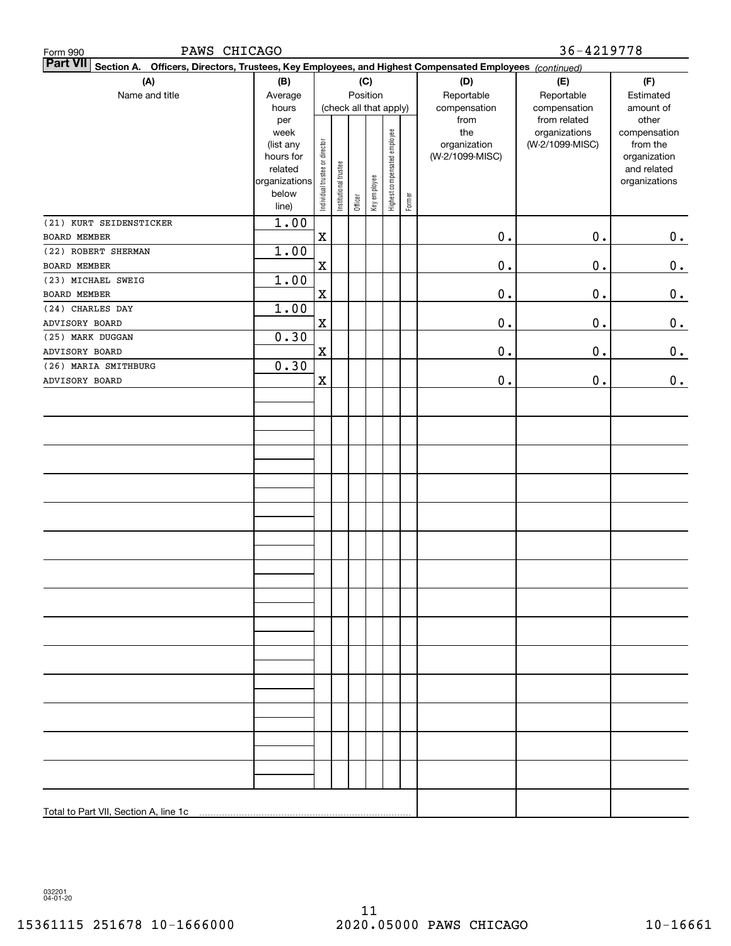| PAWS CHICAGO<br>Form 990                                                                                                  | 36-4219778                                                                          |                                |                       |         |                                        |                              |        |                                                                |                                                                  |                                                                                                |  |
|---------------------------------------------------------------------------------------------------------------------------|-------------------------------------------------------------------------------------|--------------------------------|-----------------------|---------|----------------------------------------|------------------------------|--------|----------------------------------------------------------------|------------------------------------------------------------------|------------------------------------------------------------------------------------------------|--|
| <b>Part VII</b><br>Section A. Officers, Directors, Trustees, Key Employees, and Highest Compensated Employees (continued) |                                                                                     |                                |                       |         |                                        |                              |        |                                                                |                                                                  |                                                                                                |  |
| (A)                                                                                                                       | (B)                                                                                 |                                |                       |         | (C)                                    |                              |        | (D)                                                            | (E)                                                              | (F)                                                                                            |  |
| Name and title                                                                                                            | Average                                                                             | Position                       |                       |         |                                        |                              |        | Reportable                                                     | Reportable                                                       | Estimated                                                                                      |  |
|                                                                                                                           | hours<br>per<br>week<br>(list any<br>hours for<br>related<br>organizations<br>below | Individual trustee or director | Institutional trustee |         | (check all that apply)<br>Key employee | Highest compensated employee |        | compensation<br>from<br>the<br>organization<br>(W-2/1099-MISC) | compensation<br>from related<br>organizations<br>(W-2/1099-MISC) | amount of<br>other<br>compensation<br>from the<br>organization<br>and related<br>organizations |  |
|                                                                                                                           | line)                                                                               |                                |                       | Officer |                                        |                              | Former |                                                                |                                                                  |                                                                                                |  |
| (21) KURT SEIDENSTICKER                                                                                                   | 1.00                                                                                |                                |                       |         |                                        |                              |        |                                                                |                                                                  |                                                                                                |  |
| BOARD MEMBER                                                                                                              |                                                                                     | $\mathbf X$                    |                       |         |                                        |                              |        | $\mathbf 0$ .                                                  | $0$ .                                                            | 0.                                                                                             |  |
| (22) ROBERT SHERMAN                                                                                                       | 1.00                                                                                |                                |                       |         |                                        |                              |        |                                                                |                                                                  |                                                                                                |  |
| BOARD MEMBER                                                                                                              |                                                                                     | $\mathbf X$                    |                       |         |                                        |                              |        | $\mathbf 0$ .                                                  | 0.                                                               | 0.                                                                                             |  |
| (23) MICHAEL SWEIG                                                                                                        | 1.00                                                                                |                                |                       |         |                                        |                              |        |                                                                |                                                                  |                                                                                                |  |
| BOARD MEMBER                                                                                                              |                                                                                     | $\mathbf X$                    |                       |         |                                        |                              |        | $\mathbf 0$ .                                                  | 0.                                                               | 0.                                                                                             |  |
| (24) CHARLES DAY                                                                                                          | 1.00                                                                                |                                |                       |         |                                        |                              |        |                                                                |                                                                  |                                                                                                |  |
| ADVISORY BOARD                                                                                                            |                                                                                     | $\mathbf X$                    |                       |         |                                        |                              |        | $\mathbf 0$ .                                                  | 0.                                                               | $\mathbf 0$ .                                                                                  |  |
| (25) MARK DUGGAN                                                                                                          | 0.30                                                                                |                                |                       |         |                                        |                              |        |                                                                |                                                                  |                                                                                                |  |
| ADVISORY BOARD                                                                                                            |                                                                                     | $\mathbf X$                    |                       |         |                                        |                              |        | $\mathbf 0$ .                                                  | 0.                                                               | 0.                                                                                             |  |
| (26) MARIA SMITHBURG                                                                                                      | 0.30                                                                                |                                |                       |         |                                        |                              |        |                                                                |                                                                  |                                                                                                |  |
| ADVISORY BOARD                                                                                                            |                                                                                     | $\mathbf X$                    |                       |         |                                        |                              |        | $\mathbf 0$ .                                                  | 0.                                                               | 0.                                                                                             |  |
|                                                                                                                           |                                                                                     |                                |                       |         |                                        |                              |        |                                                                |                                                                  |                                                                                                |  |
|                                                                                                                           |                                                                                     |                                |                       |         |                                        |                              |        |                                                                |                                                                  |                                                                                                |  |
|                                                                                                                           |                                                                                     |                                |                       |         |                                        |                              |        |                                                                |                                                                  |                                                                                                |  |
|                                                                                                                           |                                                                                     |                                |                       |         |                                        |                              |        |                                                                |                                                                  |                                                                                                |  |
|                                                                                                                           |                                                                                     |                                |                       |         |                                        |                              |        |                                                                |                                                                  |                                                                                                |  |
|                                                                                                                           |                                                                                     |                                |                       |         |                                        |                              |        |                                                                |                                                                  |                                                                                                |  |
|                                                                                                                           |                                                                                     |                                |                       |         |                                        |                              |        |                                                                |                                                                  |                                                                                                |  |
|                                                                                                                           |                                                                                     |                                |                       |         |                                        |                              |        |                                                                |                                                                  |                                                                                                |  |
|                                                                                                                           |                                                                                     |                                |                       |         |                                        |                              |        |                                                                |                                                                  |                                                                                                |  |
|                                                                                                                           |                                                                                     |                                |                       |         |                                        |                              |        |                                                                |                                                                  |                                                                                                |  |
|                                                                                                                           |                                                                                     |                                |                       |         |                                        |                              |        |                                                                |                                                                  |                                                                                                |  |
|                                                                                                                           |                                                                                     |                                |                       |         |                                        |                              |        |                                                                |                                                                  |                                                                                                |  |
|                                                                                                                           |                                                                                     |                                |                       |         |                                        |                              |        |                                                                |                                                                  |                                                                                                |  |
|                                                                                                                           |                                                                                     |                                |                       |         |                                        |                              |        |                                                                |                                                                  |                                                                                                |  |
|                                                                                                                           |                                                                                     |                                |                       |         |                                        |                              |        |                                                                |                                                                  |                                                                                                |  |
|                                                                                                                           |                                                                                     |                                |                       |         |                                        |                              |        |                                                                |                                                                  |                                                                                                |  |
|                                                                                                                           |                                                                                     |                                |                       |         |                                        |                              |        |                                                                |                                                                  |                                                                                                |  |
|                                                                                                                           |                                                                                     |                                |                       |         |                                        |                              |        |                                                                |                                                                  |                                                                                                |  |
|                                                                                                                           |                                                                                     |                                |                       |         |                                        |                              |        |                                                                |                                                                  |                                                                                                |  |
|                                                                                                                           |                                                                                     |                                |                       |         |                                        |                              |        |                                                                |                                                                  |                                                                                                |  |
| Total to Part VII, Section A, line 1c                                                                                     |                                                                                     |                                |                       |         |                                        |                              |        |                                                                |                                                                  |                                                                                                |  |
|                                                                                                                           |                                                                                     |                                |                       |         |                                        |                              |        |                                                                |                                                                  |                                                                                                |  |

032201 04-01-20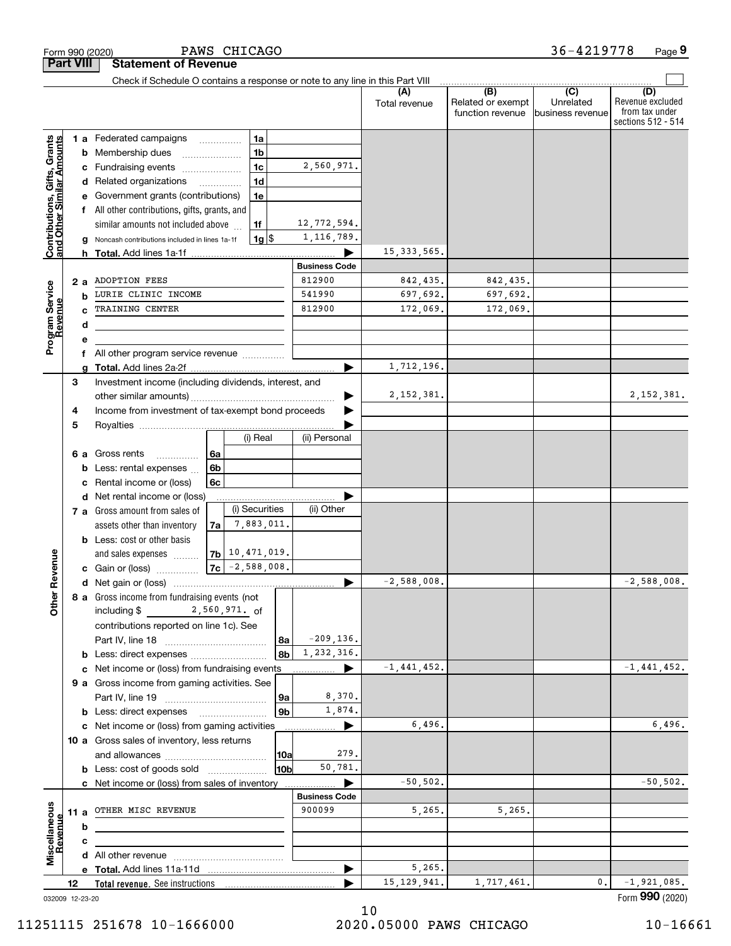|                                                           |    |     |                                                       |            |                          |                    |                |                      | (A)             | (B)                                   | $\overline{C}$                | (D)                                                      |
|-----------------------------------------------------------|----|-----|-------------------------------------------------------|------------|--------------------------|--------------------|----------------|----------------------|-----------------|---------------------------------------|-------------------------------|----------------------------------------------------------|
|                                                           |    |     |                                                       |            |                          |                    |                |                      | Total revenue   | Related or exempt<br>function revenue | Unrelated<br>business revenue | Revenue excluded<br>from tax under<br>sections 512 - 514 |
|                                                           |    |     | <b>1 a</b> Federated campaigns                        |            |                          | 1a                 |                |                      |                 |                                       |                               |                                                          |
|                                                           |    |     | <b>b</b> Membership dues                              |            |                          | 1 <sub>b</sub>     |                |                      |                 |                                       |                               |                                                          |
|                                                           |    |     | c Fundraising events                                  |            |                          | 1 <sub>c</sub>     |                | 2,560,971.           |                 |                                       |                               |                                                          |
| Contributions, Gifts, Grants<br>and Other Similar Amounts |    |     | d Related organizations                               |            | $\overline{\phantom{a}}$ | 1 <sub>d</sub>     |                |                      |                 |                                       |                               |                                                          |
|                                                           |    |     | e Government grants (contributions)                   |            |                          | 1e                 |                |                      |                 |                                       |                               |                                                          |
|                                                           |    |     | f All other contributions, gifts, grants, and         |            |                          |                    |                |                      |                 |                                       |                               |                                                          |
|                                                           |    |     | similar amounts not included above                    |            |                          | 1f                 |                | 12,772,594.          |                 |                                       |                               |                                                          |
|                                                           |    |     | g Noncash contributions included in lines 1a-1f       |            |                          | $1g$ $\frac{1}{3}$ |                | 1,116,789.           |                 |                                       |                               |                                                          |
|                                                           |    |     |                                                       |            |                          |                    |                |                      | 15, 333, 565.   |                                       |                               |                                                          |
|                                                           |    |     |                                                       |            |                          |                    |                | <b>Business Code</b> |                 |                                       |                               |                                                          |
|                                                           |    | 2 a | <b>ADOPTION FEES</b>                                  |            |                          |                    |                | 812900               | 842,435.        | 842,435.                              |                               |                                                          |
| Program Service<br>Revenue                                |    | b   | LURIE CLINIC INCOME                                   |            |                          |                    |                | 541990               | 697,692.        | 697,692.                              |                               |                                                          |
|                                                           |    |     | TRAINING CENTER                                       |            |                          |                    |                | 812900               | 172,069.        | 172,069.                              |                               |                                                          |
|                                                           |    | d   |                                                       |            |                          |                    |                |                      |                 |                                       |                               |                                                          |
|                                                           |    | е   |                                                       |            |                          |                    |                |                      |                 |                                       |                               |                                                          |
|                                                           |    |     | All other program service revenue                     |            |                          |                    |                |                      |                 |                                       |                               |                                                          |
|                                                           |    |     |                                                       |            |                          |                    |                |                      | 1,712,196.      |                                       |                               |                                                          |
|                                                           | 3  |     | Investment income (including dividends, interest, and |            |                          |                    |                |                      |                 |                                       |                               |                                                          |
|                                                           |    |     |                                                       |            |                          |                    |                |                      | 2, 152, 381.    |                                       |                               | 2, 152, 381.                                             |
|                                                           | 4  |     | Income from investment of tax-exempt bond proceeds    |            |                          |                    |                |                      |                 |                                       |                               |                                                          |
|                                                           | 5  |     |                                                       |            |                          | (i) Real           |                | (ii) Personal        |                 |                                       |                               |                                                          |
|                                                           |    |     |                                                       |            |                          |                    |                |                      |                 |                                       |                               |                                                          |
|                                                           |    | 6а  | Gross rents<br>.<br><b>b</b> Less: rental expenses    | l 6a<br>6b |                          |                    |                |                      |                 |                                       |                               |                                                          |
|                                                           |    | c   | Rental income or (loss)                               | 6с         |                          |                    |                |                      |                 |                                       |                               |                                                          |
|                                                           |    |     | d Net rental income or (loss)                         |            |                          |                    |                |                      |                 |                                       |                               |                                                          |
|                                                           |    |     | 7 a Gross amount from sales of                        |            | (i) Securities           |                    |                | (ii) Other           |                 |                                       |                               |                                                          |
|                                                           |    |     | assets other than inventory                           | 7a l       | 7,883,011.               |                    |                |                      |                 |                                       |                               |                                                          |
|                                                           |    |     | <b>b</b> Less: cost or other basis                    |            |                          |                    |                |                      |                 |                                       |                               |                                                          |
|                                                           |    |     | and sales expenses                                    |            | $7b \mid 10,471,019.$    |                    |                |                      |                 |                                       |                               |                                                          |
| Revenue                                                   |    |     | <b>c</b> Gain or (loss) $\ldots$                      |            | $ 7c  - 2,588,008.$      |                    |                |                      |                 |                                       |                               |                                                          |
|                                                           |    |     |                                                       |            |                          |                    |                |                      | $-2,588,008.$   |                                       |                               | $-2,588,008.$                                            |
|                                                           |    |     | 8 a Gross income from fundraising events (not         |            |                          |                    |                |                      |                 |                                       |                               |                                                          |
| <b>Othe</b>                                               |    |     | 2,560,971. of<br>including $$$                        |            |                          |                    |                |                      |                 |                                       |                               |                                                          |
|                                                           |    |     | contributions reported on line 1c). See               |            |                          |                    |                |                      |                 |                                       |                               |                                                          |
|                                                           |    |     |                                                       |            |                          |                    | l 8a           | $-209, 136.$         |                 |                                       |                               |                                                          |
|                                                           |    |     |                                                       |            |                          |                    | 8b             | 1,232,316.           |                 |                                       |                               |                                                          |
|                                                           |    |     | c Net income or (loss) from fundraising events        |            |                          |                    |                | .                    | $-1, 441, 452.$ |                                       |                               | $-1,441,452.$                                            |
|                                                           |    |     | 9 a Gross income from gaming activities. See          |            |                          |                    |                |                      |                 |                                       |                               |                                                          |
|                                                           |    |     |                                                       |            |                          |                    | 9a             | 8,370.               |                 |                                       |                               |                                                          |
|                                                           |    |     | <b>b</b> Less: direct expenses                        |            |                          |                    | 9 <sub>b</sub> | 1,874.               |                 |                                       |                               |                                                          |
|                                                           |    |     | c Net income or (loss) from gaming activities         |            |                          |                    |                | ▶                    | 6,496.          |                                       |                               | 6,496.                                                   |
|                                                           |    |     | 10 a Gross sales of inventory, less returns           |            |                          |                    |                |                      |                 |                                       |                               |                                                          |
|                                                           |    |     |                                                       |            |                          |                    | 10a            | 279.                 |                 |                                       |                               |                                                          |
|                                                           |    |     | <b>b</b> Less: cost of goods sold                     |            |                          |                    | 10bl           | 50,781.              |                 |                                       |                               |                                                          |
|                                                           |    |     | c Net income or (loss) from sales of inventory        |            |                          |                    |                |                      | $-50, 502.$     |                                       |                               | $-50, 502.$                                              |
|                                                           |    |     |                                                       |            |                          |                    |                | <b>Business Code</b> |                 |                                       |                               |                                                          |
| Miscellaneous                                             |    |     | 11 a OTHER MISC REVENUE                               |            |                          |                    |                | 900099               | 5,265.          | 5,265.                                |                               |                                                          |
|                                                           |    | b   |                                                       |            |                          |                    |                |                      |                 |                                       |                               |                                                          |
| Revenue                                                   |    | с   |                                                       |            |                          |                    |                |                      |                 |                                       |                               |                                                          |
|                                                           |    |     |                                                       |            |                          |                    |                |                      |                 |                                       |                               |                                                          |
|                                                           |    |     |                                                       |            |                          |                    |                |                      | 5,265.          |                                       |                               |                                                          |
|                                                           | 12 |     |                                                       |            |                          |                    |                |                      | 15, 129, 941.   | 1,717,461.                            | 0.                            | $-1,921,085.$<br>Form 990 (2020)                         |

Form 990 (2020) Page PAWS CHICAGO

**9**

36-4219778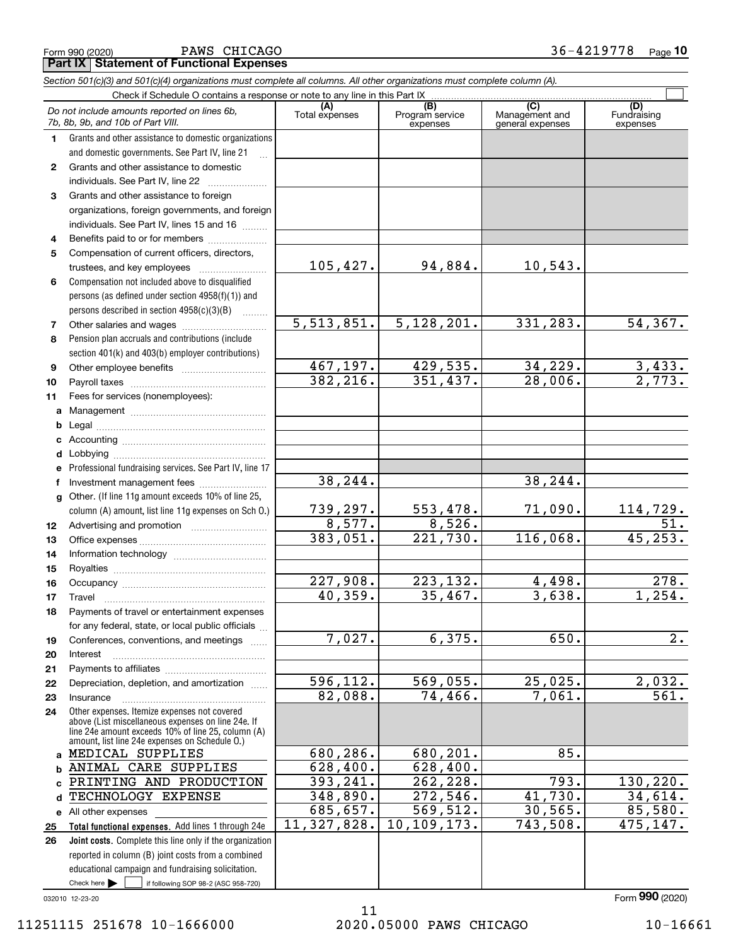Form 990 (2020) Page **Part IX Statement of Functional Expenses** PAWS CHICAGO 36-4219778

*Section 501(c)(3) and 501(c)(4) organizations must complete all columns. All other organizations must complete column (A).*

|              | Do not include amounts reported on lines 6b,<br>7b, 8b, 9b, and 10b of Part VIII.                    | (A)<br>Total expenses | (B)<br>Program service<br>expenses | $\overline{(C)}$<br>Management and<br>general expenses | (D)<br>Fundraising<br>expenses        |
|--------------|------------------------------------------------------------------------------------------------------|-----------------------|------------------------------------|--------------------------------------------------------|---------------------------------------|
| 1.           | Grants and other assistance to domestic organizations                                                |                       |                                    |                                                        |                                       |
|              | and domestic governments. See Part IV, line 21                                                       |                       |                                    |                                                        |                                       |
| 2            | Grants and other assistance to domestic                                                              |                       |                                    |                                                        |                                       |
|              | individuals. See Part IV, line 22                                                                    |                       |                                    |                                                        |                                       |
| 3            | Grants and other assistance to foreign                                                               |                       |                                    |                                                        |                                       |
|              | organizations, foreign governments, and foreign                                                      |                       |                                    |                                                        |                                       |
|              | individuals. See Part IV, lines 15 and 16                                                            |                       |                                    |                                                        |                                       |
| 4            | Benefits paid to or for members                                                                      |                       |                                    |                                                        |                                       |
| 5            | Compensation of current officers, directors,                                                         |                       |                                    |                                                        |                                       |
|              | trustees, and key employees                                                                          | 105,427.              | 94,884.                            | 10,543.                                                |                                       |
| 6            | Compensation not included above to disqualified                                                      |                       |                                    |                                                        |                                       |
|              | persons (as defined under section 4958(f)(1)) and                                                    |                       |                                    |                                                        |                                       |
|              | persons described in section 4958(c)(3)(B)                                                           |                       |                                    |                                                        |                                       |
| 7            |                                                                                                      | 5,513,851.            | 5,128,201.                         | 331,283.                                               | 54, 367.                              |
| 8            | Pension plan accruals and contributions (include                                                     |                       |                                    |                                                        |                                       |
|              | section 401(k) and 403(b) employer contributions)                                                    |                       |                                    |                                                        |                                       |
| 9            |                                                                                                      | 467,197.              | 429,535.                           | 34,229.                                                | $\frac{3,433}{2,773}$                 |
| 10           |                                                                                                      | 382, 216.             | 351,437.                           | 28,006.                                                |                                       |
| 11           | Fees for services (nonemployees):                                                                    |                       |                                    |                                                        |                                       |
| a            |                                                                                                      |                       |                                    |                                                        |                                       |
| b            |                                                                                                      |                       |                                    |                                                        |                                       |
| c            |                                                                                                      |                       |                                    |                                                        |                                       |
| d            |                                                                                                      |                       |                                    |                                                        |                                       |
| е            | Professional fundraising services. See Part IV, line 17                                              |                       |                                    |                                                        |                                       |
| f            | Investment management fees                                                                           | 38, 244.              |                                    | 38, 244.                                               |                                       |
| $\mathbf{q}$ | Other. (If line 11g amount exceeds 10% of line 25,                                                   |                       |                                    |                                                        |                                       |
|              | column (A) amount, list line 11g expenses on Sch O.)                                                 | 739,297.              | 553,478.                           | 71,090.                                                | <u> 114,729.</u><br>$\overline{51}$ . |
| 12           |                                                                                                      | 8,577.                | 8,526.                             |                                                        |                                       |
| 13           |                                                                                                      | 383,051.              | $\overline{221,730}$ .             | 116,068.                                               | 45, 253.                              |
| 14           |                                                                                                      |                       |                                    |                                                        |                                       |
| 15           |                                                                                                      |                       | 223, 132.                          |                                                        |                                       |
| 16           |                                                                                                      | 227,908.<br>40,359.   | 35,467.                            | 4,498.<br>3,638.                                       | 278.<br>1,254.                        |
| 17           | Travel                                                                                               |                       |                                    |                                                        |                                       |
| 18           | Payments of travel or entertainment expenses                                                         |                       |                                    |                                                        |                                       |
|              | for any federal, state, or local public officials                                                    | 7,027.                | 6,375.                             | 650.                                                   | $\overline{2}$ .                      |
| 19           | Conferences, conventions, and meetings                                                               |                       |                                    |                                                        |                                       |
| 20           | Interest                                                                                             |                       |                                    |                                                        |                                       |
| 21           | Depreciation, depletion, and amortization                                                            | 596, 112.             | 569,055.                           | 25,025.                                                | 2,032.                                |
| 22<br>23     | Insurance                                                                                            | 82,088.               | 74,466.                            | 7,061.                                                 | $\overline{561}$ .                    |
| 24           | Other expenses. Itemize expenses not covered                                                         |                       |                                    |                                                        |                                       |
|              | above (List miscellaneous expenses on line 24e. If                                                   |                       |                                    |                                                        |                                       |
|              | line 24e amount exceeds 10% of line 25, column (A)<br>amount, list line 24e expenses on Schedule O.) |                       |                                    |                                                        |                                       |
| a            | MEDICAL SUPPLIES                                                                                     | 680,286.              | 680,201.                           | 85.                                                    |                                       |
| b            | ANIMAL CARE SUPPLIES                                                                                 | 628,400.              | 628,400.                           |                                                        |                                       |
| C            | PRINTING AND PRODUCTION                                                                              | 393, 241.             | 262, 228.                          | 793.                                                   | 130,220.                              |
| d            | TECHNOLOGY EXPENSE                                                                                   | 348,890.              | 272,546.                           | 41,730.                                                | 34,614.                               |
|              | e All other expenses                                                                                 | 685,657.              | 569, 512.                          | 30, 565.                                               | 85,580.                               |
| 25           | Total functional expenses. Add lines 1 through 24e                                                   | 11,327,828.           | 10, 109, 173.                      | 743,508.                                               | 475,147.                              |
| 26           | <b>Joint costs.</b> Complete this line only if the organization                                      |                       |                                    |                                                        |                                       |
|              | reported in column (B) joint costs from a combined                                                   |                       |                                    |                                                        |                                       |
|              | educational campaign and fundraising solicitation.                                                   |                       |                                    |                                                        |                                       |
|              | Check here $\blacktriangleright$<br>if following SOP 98-2 (ASC 958-720)                              |                       |                                    |                                                        |                                       |

032010 12-23-20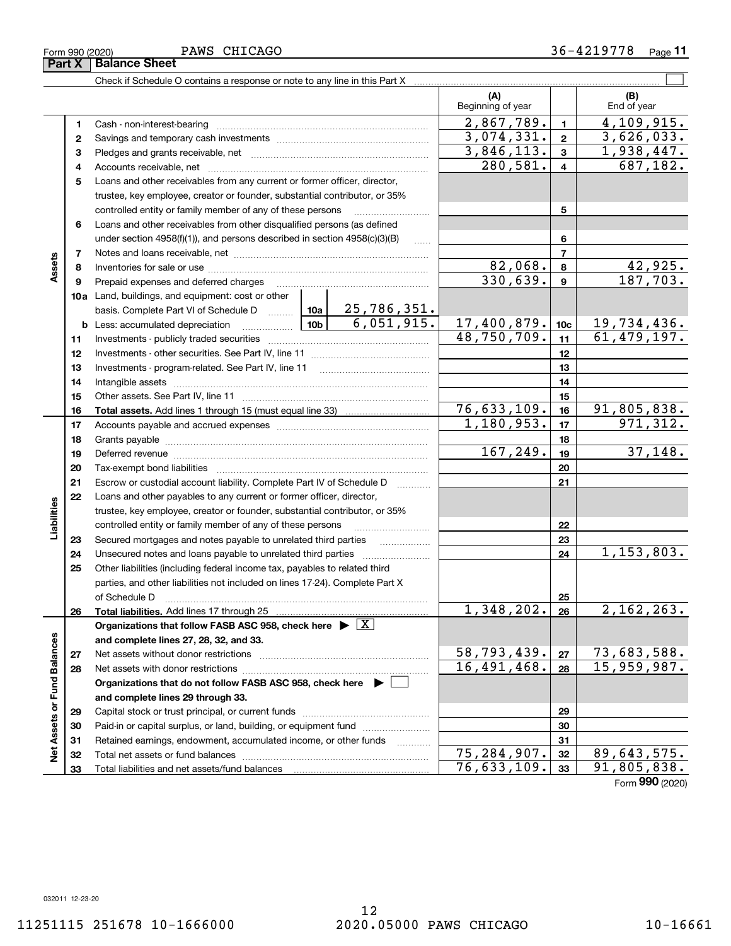#### Form 990 (2020) Page **11 Part X Balance Sheet** PAWS CHICAGO

Check if Schedule O contains a response or note to any line in this Part X

|                             |    |                                                                                                                                                                                                                                |          |                    | (A)<br>Beginning of year   |                | (B)<br>End of year          |
|-----------------------------|----|--------------------------------------------------------------------------------------------------------------------------------------------------------------------------------------------------------------------------------|----------|--------------------|----------------------------|----------------|-----------------------------|
|                             | 1  | Cash - non-interest-bearing                                                                                                                                                                                                    |          |                    | 2,867,789.                 | 1.             | 4,109,915.                  |
|                             | 2  |                                                                                                                                                                                                                                |          |                    | 3,074,331.                 | $\overline{2}$ | 3,626,033.                  |
|                             | з  |                                                                                                                                                                                                                                |          |                    | 3,846,113.                 | 3              | 1,938,447.                  |
|                             | 4  |                                                                                                                                                                                                                                |          |                    | 280,581.                   | 4              | 687,182.                    |
|                             | 5  | Loans and other receivables from any current or former officer, director,                                                                                                                                                      |          |                    |                            |                |                             |
|                             |    | trustee, key employee, creator or founder, substantial contributor, or 35%                                                                                                                                                     |          |                    |                            |                |                             |
|                             |    | controlled entity or family member of any of these persons                                                                                                                                                                     |          |                    |                            | 5              |                             |
|                             | 6  | Loans and other receivables from other disqualified persons (as defined                                                                                                                                                        |          |                    |                            |                |                             |
|                             |    | under section 4958(f)(1)), and persons described in section 4958(c)(3)(B)                                                                                                                                                      |          | $\ldots$           |                            | 6              |                             |
|                             | 7  |                                                                                                                                                                                                                                |          |                    |                            | 7              |                             |
| Assets                      | 8  |                                                                                                                                                                                                                                | 82,068.  | 8                  | 42,925.                    |                |                             |
|                             | 9  | Prepaid expenses and deferred charges                                                                                                                                                                                          |          |                    | 330,639.                   | 9              | 187,703.                    |
|                             |    | 10a Land, buildings, and equipment: cost or other                                                                                                                                                                              |          |                    |                            |                |                             |
|                             |    | basis. Complete Part VI of Schedule D  10a                                                                                                                                                                                     |          | <u>25,786,351.</u> |                            |                |                             |
|                             |    | $\frac{10b}{100}$<br><b>b</b> Less: accumulated depreciation                                                                                                                                                                   |          | 6,051,915.         | 17,400,879.                | 10c            | 19,734,436.<br>61,479,197.  |
|                             | 11 |                                                                                                                                                                                                                                |          |                    | 48,750,709.                | 11             |                             |
|                             | 12 |                                                                                                                                                                                                                                |          |                    | 12                         |                |                             |
|                             | 13 |                                                                                                                                                                                                                                |          |                    |                            | 13             |                             |
|                             | 14 |                                                                                                                                                                                                                                |          |                    | 14                         |                |                             |
|                             | 15 |                                                                                                                                                                                                                                |          |                    | 15                         |                |                             |
|                             | 16 |                                                                                                                                                                                                                                |          |                    | 76,633,109.                | 16             | 91,805,838.                 |
|                             | 17 |                                                                                                                                                                                                                                |          |                    | 1,180,953.                 | 17             | 971, 312.                   |
|                             | 18 |                                                                                                                                                                                                                                |          |                    |                            | 18             |                             |
|                             | 19 | Deferred revenue information and contact the contract of the contract of the contract of the contract of the contract of the contract of the contract of the contract of the contract of the contract of the contract of the c | 167,249. | 19                 | 37,148.                    |                |                             |
|                             | 20 |                                                                                                                                                                                                                                |          |                    | 20                         |                |                             |
|                             | 21 | Escrow or custodial account liability. Complete Part IV of Schedule D                                                                                                                                                          |          | 21                 |                            |                |                             |
|                             | 22 | Loans and other payables to any current or former officer, director,                                                                                                                                                           |          |                    |                            |                |                             |
| Liabilities                 |    | trustee, key employee, creator or founder, substantial contributor, or 35%                                                                                                                                                     |          |                    |                            |                |                             |
|                             |    | controlled entity or family member of any of these persons                                                                                                                                                                     |          |                    |                            | 22             |                             |
|                             | 23 | Secured mortgages and notes payable to unrelated third parties                                                                                                                                                                 |          | .                  |                            | 23             |                             |
|                             | 24 |                                                                                                                                                                                                                                |          |                    |                            | 24             | 1,153,803.                  |
|                             | 25 | Other liabilities (including federal income tax, payables to related third                                                                                                                                                     |          |                    |                            |                |                             |
|                             |    | parties, and other liabilities not included on lines 17-24). Complete Part X                                                                                                                                                   |          |                    |                            |                |                             |
|                             | 26 | of Schedule D                                                                                                                                                                                                                  |          |                    | 1,348,202.                 | 25<br>26       | 2,162,263.                  |
|                             |    | Organizations that follow FASB ASC 958, check here $\blacktriangleright \mid X \mid$                                                                                                                                           |          |                    |                            |                |                             |
|                             |    | and complete lines 27, 28, 32, and 33.                                                                                                                                                                                         |          |                    |                            |                |                             |
|                             | 27 | Net assets without donor restrictions                                                                                                                                                                                          |          |                    | <u>58,793,439.</u>         | 27             | 73,683,588.                 |
|                             | 28 | Net assets with donor restrictions                                                                                                                                                                                             |          |                    | 16,491,468.                | 28             | 15,959,987.                 |
|                             |    | Organizations that do not follow FASB ASC 958, check here $\blacktriangleright$                                                                                                                                                |          |                    |                            |                |                             |
|                             |    | and complete lines 29 through 33.                                                                                                                                                                                              |          |                    |                            |                |                             |
|                             | 29 | Capital stock or trust principal, or current funds                                                                                                                                                                             |          |                    |                            | 29             |                             |
|                             | 30 | Paid-in or capital surplus, or land, building, or equipment fund                                                                                                                                                               |          |                    | 30                         |                |                             |
|                             | 31 | Retained earnings, endowment, accumulated income, or other funds                                                                                                                                                               | .        |                    | 31                         |                |                             |
| Net Assets or Fund Balances | 32 |                                                                                                                                                                                                                                |          |                    | $\overline{75,}$ 284, 907. | 32             | 89,643,575.                 |
|                             | 33 | Total liabilities and net assets/fund balances                                                                                                                                                                                 |          |                    | 76,633,109.                | 33             | $\overline{91}$ , 805, 838. |
|                             |    |                                                                                                                                                                                                                                |          |                    |                            |                | Form 990 (2020)             |
|                             |    |                                                                                                                                                                                                                                |          |                    |                            |                |                             |

 $\mathcal{L}^{\text{max}}$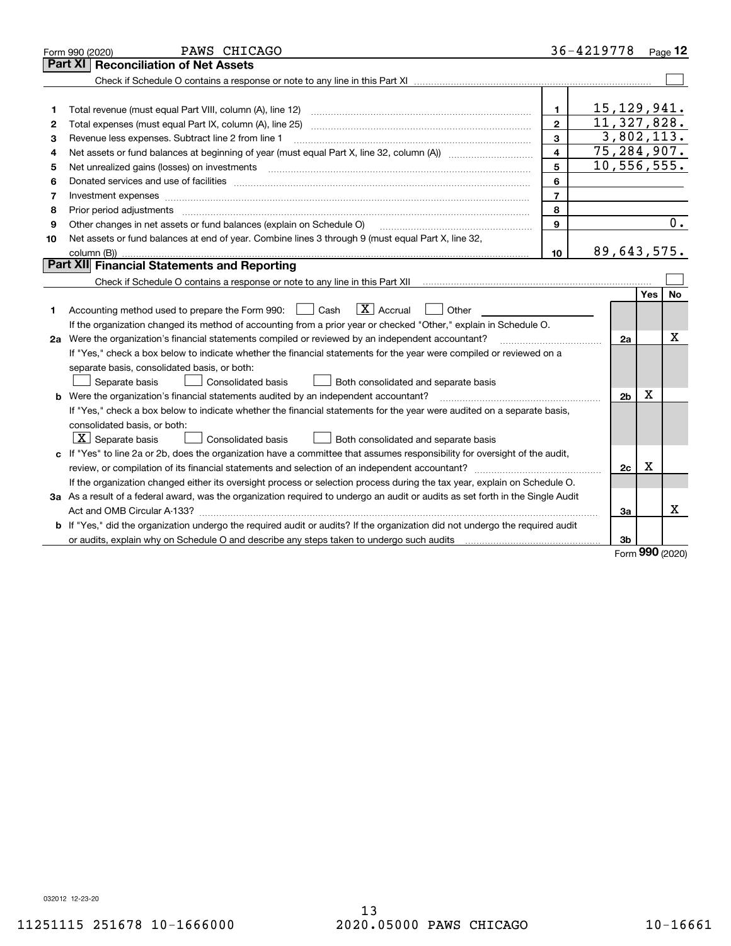|    | PAWS CHICAGO<br>Form 990 (2020)                                                                                                                                     |                | 36-4219778                |            | Page 12 |
|----|---------------------------------------------------------------------------------------------------------------------------------------------------------------------|----------------|---------------------------|------------|---------|
|    | <b>Part XI</b><br><b>Reconciliation of Net Assets</b>                                                                                                               |                |                           |            |         |
|    |                                                                                                                                                                     |                |                           |            |         |
|    |                                                                                                                                                                     |                |                           |            |         |
| 1  |                                                                                                                                                                     | $\mathbf{1}$   | 15,129,941.               |            |         |
| 2  |                                                                                                                                                                     | $\overline{2}$ | 11,327,828.               |            |         |
| 3  | Revenue less expenses. Subtract line 2 from line 1                                                                                                                  | 3              | 3,802,113.                |            |         |
| 4  |                                                                                                                                                                     | 4              | $\overline{75,284,907}$ . |            |         |
| 5  |                                                                                                                                                                     | 5              | 10,556,555.               |            |         |
| 6  |                                                                                                                                                                     | 6              |                           |            |         |
| 7  |                                                                                                                                                                     | $\overline{7}$ |                           |            |         |
| 8  | Prior period adjustments www.communication.communication.com/news/communication.com/news/communication.com/new                                                      | 8              |                           |            |         |
| 9  | Other changes in net assets or fund balances (explain on Schedule O)                                                                                                | 9              |                           |            | 0.      |
| 10 | Net assets or fund balances at end of year. Combine lines 3 through 9 (must equal Part X, line 32,                                                                  |                |                           |            |         |
|    | column (B))                                                                                                                                                         | 10             | 89,643,575.               |            |         |
|    | Part XII Financial Statements and Reporting                                                                                                                         |                |                           |            |         |
|    | Check if Schedule O contains a response or note to any line in this Part XII [11] [12] Check if Schedule O contains a response or note to any line in this Part XII |                |                           |            |         |
|    |                                                                                                                                                                     |                |                           | <b>Yes</b> | No      |
| 1  | $\boxed{\text{X}}$ Accrual<br>Accounting method used to prepare the Form 990: <u>[</u> Cash<br>Other                                                                |                |                           |            |         |
|    | If the organization changed its method of accounting from a prior year or checked "Other," explain in Schedule O.                                                   |                |                           |            |         |
|    | 2a Were the organization's financial statements compiled or reviewed by an independent accountant?                                                                  |                | 2a                        |            | х       |
|    | If "Yes," check a box below to indicate whether the financial statements for the year were compiled or reviewed on a                                                |                |                           |            |         |
|    | separate basis, consolidated basis, or both:                                                                                                                        |                |                           |            |         |
|    | Separate basis<br>Consolidated basis<br>Both consolidated and separate basis                                                                                        |                |                           |            |         |
|    | <b>b</b> Were the organization's financial statements audited by an independent accountant?                                                                         |                | 2 <sub>b</sub>            | х          |         |
|    | If "Yes," check a box below to indicate whether the financial statements for the year were audited on a separate basis,                                             |                |                           |            |         |
|    | consolidated basis, or both:                                                                                                                                        |                |                           |            |         |
|    | $ \mathbf{X} $ Separate basis<br><b>Consolidated basis</b><br>Both consolidated and separate basis                                                                  |                |                           |            |         |
|    | c If "Yes" to line 2a or 2b, does the organization have a committee that assumes responsibility for oversight of the audit,                                         |                |                           |            |         |
|    |                                                                                                                                                                     |                | 2c                        | x          |         |
|    | If the organization changed either its oversight process or selection process during the tax year, explain on Schedule O.                                           |                |                           |            |         |
|    | 3a As a result of a federal award, was the organization required to undergo an audit or audits as set forth in the Single Audit                                     |                |                           |            |         |
|    |                                                                                                                                                                     |                | Зa                        |            | x       |
|    | b If "Yes," did the organization undergo the required audit or audits? If the organization did not undergo the required audit                                       |                |                           |            |         |
|    |                                                                                                                                                                     |                | 3b                        | <b>000</b> |         |

Form (2020) **990**

032012 12-23-20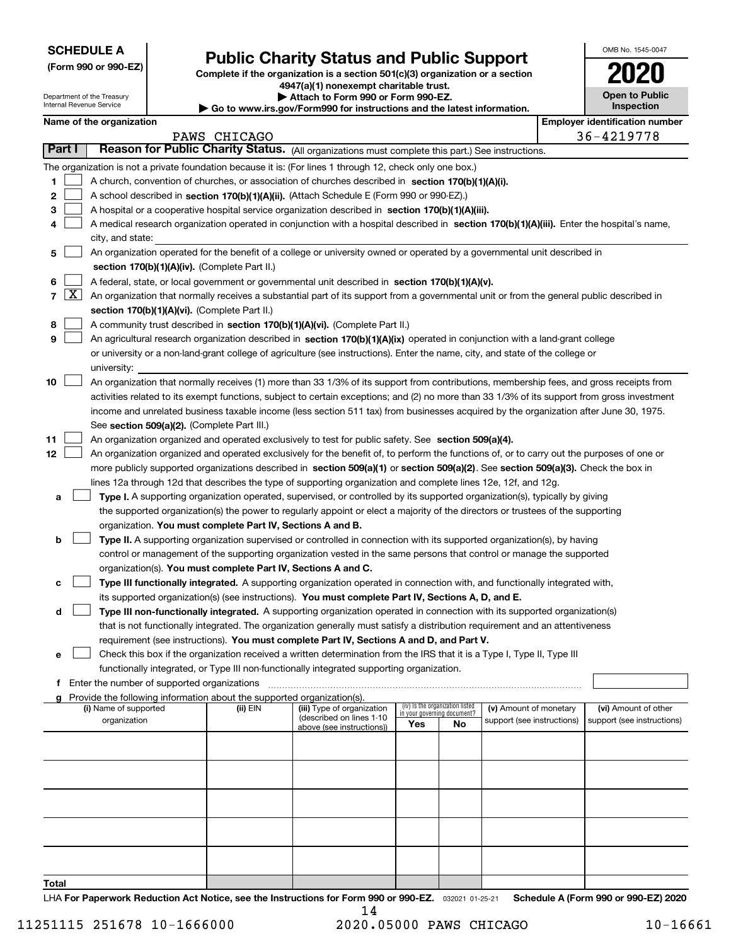| <b>SCHEDULE A</b> |  |
|-------------------|--|
|-------------------|--|

**(Form 990 or 990-EZ)**

# **Public Charity Status and Public Support**

**Complete if the organization is a section 501(c)(3) organization or a section 4947(a)(1) nonexempt charitable trust. | Attach to Form 990 or Form 990-EZ.** 

| OMB No 1545-0047                    |
|-------------------------------------|
| 2020                                |
| <b>Open to Public</b><br>Inspection |

|       |                   | Department of the Treasury<br>Internal Revenue Service | Attach to Form 990 or Form 990-EZ.<br>$\blacktriangleright$ Go to www.irs.gov/Form990 for instructions and the latest information. | <b>Open to Public</b><br>Inspection                                                                                                                                                                                              |                             |                                 |                            |  |                                       |  |
|-------|-------------------|--------------------------------------------------------|------------------------------------------------------------------------------------------------------------------------------------|----------------------------------------------------------------------------------------------------------------------------------------------------------------------------------------------------------------------------------|-----------------------------|---------------------------------|----------------------------|--|---------------------------------------|--|
|       |                   | Name of the organization                               |                                                                                                                                    |                                                                                                                                                                                                                                  |                             |                                 |                            |  | <b>Employer identification number</b> |  |
|       |                   |                                                        | PAWS CHICAGO                                                                                                                       |                                                                                                                                                                                                                                  |                             |                                 |                            |  | 36-4219778                            |  |
|       | Part I            |                                                        |                                                                                                                                    | Reason for Public Charity Status. (All organizations must complete this part.) See instructions.                                                                                                                                 |                             |                                 |                            |  |                                       |  |
|       |                   |                                                        |                                                                                                                                    | The organization is not a private foundation because it is: (For lines 1 through 12, check only one box.)                                                                                                                        |                             |                                 |                            |  |                                       |  |
| 1.    |                   |                                                        |                                                                                                                                    | A church, convention of churches, or association of churches described in section 170(b)(1)(A)(i).                                                                                                                               |                             |                                 |                            |  |                                       |  |
| 2     |                   |                                                        |                                                                                                                                    | A school described in section 170(b)(1)(A)(ii). (Attach Schedule E (Form 990 or 990-EZ).)                                                                                                                                        |                             |                                 |                            |  |                                       |  |
| 3     |                   |                                                        |                                                                                                                                    | A hospital or a cooperative hospital service organization described in section 170(b)(1)(A)(iii).                                                                                                                                |                             |                                 |                            |  |                                       |  |
| 4     |                   |                                                        |                                                                                                                                    | A medical research organization operated in conjunction with a hospital described in section 170(b)(1)(A)(iii). Enter the hospital's name,                                                                                       |                             |                                 |                            |  |                                       |  |
|       |                   | city, and state:                                       |                                                                                                                                    |                                                                                                                                                                                                                                  |                             |                                 |                            |  |                                       |  |
| 5.    |                   |                                                        | section 170(b)(1)(A)(iv). (Complete Part II.)                                                                                      | An organization operated for the benefit of a college or university owned or operated by a governmental unit described in                                                                                                        |                             |                                 |                            |  |                                       |  |
|       |                   |                                                        |                                                                                                                                    | A federal, state, or local government or governmental unit described in section 170(b)(1)(A)(v).                                                                                                                                 |                             |                                 |                            |  |                                       |  |
| 6     | $7 \vert X \vert$ |                                                        |                                                                                                                                    | An organization that normally receives a substantial part of its support from a governmental unit or from the general public described in                                                                                        |                             |                                 |                            |  |                                       |  |
|       |                   |                                                        | section 170(b)(1)(A)(vi). (Complete Part II.)                                                                                      |                                                                                                                                                                                                                                  |                             |                                 |                            |  |                                       |  |
| 8     |                   |                                                        |                                                                                                                                    | A community trust described in section 170(b)(1)(A)(vi). (Complete Part II.)                                                                                                                                                     |                             |                                 |                            |  |                                       |  |
| 9     |                   |                                                        |                                                                                                                                    | An agricultural research organization described in section 170(b)(1)(A)(ix) operated in conjunction with a land-grant college                                                                                                    |                             |                                 |                            |  |                                       |  |
|       |                   |                                                        |                                                                                                                                    | or university or a non-land-grant college of agriculture (see instructions). Enter the name, city, and state of the college or                                                                                                   |                             |                                 |                            |  |                                       |  |
|       |                   | university:                                            |                                                                                                                                    |                                                                                                                                                                                                                                  |                             |                                 |                            |  |                                       |  |
| 10    |                   |                                                        |                                                                                                                                    | An organization that normally receives (1) more than 33 1/3% of its support from contributions, membership fees, and gross receipts from                                                                                         |                             |                                 |                            |  |                                       |  |
|       |                   |                                                        |                                                                                                                                    | activities related to its exempt functions, subject to certain exceptions; and (2) no more than 33 1/3% of its support from gross investment                                                                                     |                             |                                 |                            |  |                                       |  |
|       |                   |                                                        |                                                                                                                                    | income and unrelated business taxable income (less section 511 tax) from businesses acquired by the organization after June 30, 1975.                                                                                            |                             |                                 |                            |  |                                       |  |
|       |                   |                                                        | See section 509(a)(2). (Complete Part III.)                                                                                        |                                                                                                                                                                                                                                  |                             |                                 |                            |  |                                       |  |
| 11    |                   |                                                        |                                                                                                                                    | An organization organized and operated exclusively to test for public safety. See section 509(a)(4).                                                                                                                             |                             |                                 |                            |  |                                       |  |
| 12    |                   |                                                        |                                                                                                                                    | An organization organized and operated exclusively for the benefit of, to perform the functions of, or to carry out the purposes of one or                                                                                       |                             |                                 |                            |  |                                       |  |
|       |                   |                                                        |                                                                                                                                    | more publicly supported organizations described in section 509(a)(1) or section 509(a)(2). See section 509(a)(3). Check the box in                                                                                               |                             |                                 |                            |  |                                       |  |
|       |                   |                                                        |                                                                                                                                    | lines 12a through 12d that describes the type of supporting organization and complete lines 12e, 12f, and 12g.                                                                                                                   |                             |                                 |                            |  |                                       |  |
| a     |                   |                                                        |                                                                                                                                    | Type I. A supporting organization operated, supervised, or controlled by its supported organization(s), typically by giving                                                                                                      |                             |                                 |                            |  |                                       |  |
|       |                   |                                                        |                                                                                                                                    | the supported organization(s) the power to regularly appoint or elect a majority of the directors or trustees of the supporting                                                                                                  |                             |                                 |                            |  |                                       |  |
|       |                   |                                                        | organization. You must complete Part IV, Sections A and B.                                                                         |                                                                                                                                                                                                                                  |                             |                                 |                            |  |                                       |  |
| b     |                   |                                                        |                                                                                                                                    | Type II. A supporting organization supervised or controlled in connection with its supported organization(s), by having                                                                                                          |                             |                                 |                            |  |                                       |  |
|       |                   |                                                        |                                                                                                                                    | control or management of the supporting organization vested in the same persons that control or manage the supported                                                                                                             |                             |                                 |                            |  |                                       |  |
|       |                   |                                                        | organization(s). You must complete Part IV, Sections A and C.                                                                      |                                                                                                                                                                                                                                  |                             |                                 |                            |  |                                       |  |
| с     |                   |                                                        |                                                                                                                                    | Type III functionally integrated. A supporting organization operated in connection with, and functionally integrated with,<br>its supported organization(s) (see instructions). You must complete Part IV, Sections A, D, and E. |                             |                                 |                            |  |                                       |  |
| d     |                   |                                                        |                                                                                                                                    | Type III non-functionally integrated. A supporting organization operated in connection with its supported organization(s)                                                                                                        |                             |                                 |                            |  |                                       |  |
|       |                   |                                                        |                                                                                                                                    | that is not functionally integrated. The organization generally must satisfy a distribution requirement and an attentiveness                                                                                                     |                             |                                 |                            |  |                                       |  |
|       |                   |                                                        |                                                                                                                                    | requirement (see instructions). You must complete Part IV, Sections A and D, and Part V.                                                                                                                                         |                             |                                 |                            |  |                                       |  |
| е     |                   |                                                        |                                                                                                                                    | Check this box if the organization received a written determination from the IRS that it is a Type I, Type II, Type III                                                                                                          |                             |                                 |                            |  |                                       |  |
|       |                   |                                                        |                                                                                                                                    | functionally integrated, or Type III non-functionally integrated supporting organization.                                                                                                                                        |                             |                                 |                            |  |                                       |  |
| f     |                   | Enter the number of supported organizations            |                                                                                                                                    |                                                                                                                                                                                                                                  |                             |                                 |                            |  |                                       |  |
|       |                   |                                                        | Provide the following information about the supported organization(s).                                                             |                                                                                                                                                                                                                                  |                             |                                 |                            |  |                                       |  |
|       |                   | (i) Name of supported                                  | (ii) EIN                                                                                                                           | (iii) Type of organization<br>(described on lines 1-10                                                                                                                                                                           | in your governing document? | (iv) Is the organization listed | (v) Amount of monetary     |  | (vi) Amount of other                  |  |
|       |                   | organization                                           |                                                                                                                                    | above (see instructions))                                                                                                                                                                                                        | Yes                         | No                              | support (see instructions) |  | support (see instructions)            |  |
|       |                   |                                                        |                                                                                                                                    |                                                                                                                                                                                                                                  |                             |                                 |                            |  |                                       |  |
|       |                   |                                                        |                                                                                                                                    |                                                                                                                                                                                                                                  |                             |                                 |                            |  |                                       |  |
|       |                   |                                                        |                                                                                                                                    |                                                                                                                                                                                                                                  |                             |                                 |                            |  |                                       |  |
|       |                   |                                                        |                                                                                                                                    |                                                                                                                                                                                                                                  |                             |                                 |                            |  |                                       |  |
|       |                   |                                                        |                                                                                                                                    |                                                                                                                                                                                                                                  |                             |                                 |                            |  |                                       |  |
|       |                   |                                                        |                                                                                                                                    |                                                                                                                                                                                                                                  |                             |                                 |                            |  |                                       |  |
|       |                   |                                                        |                                                                                                                                    |                                                                                                                                                                                                                                  |                             |                                 |                            |  |                                       |  |
|       |                   |                                                        |                                                                                                                                    |                                                                                                                                                                                                                                  |                             |                                 |                            |  |                                       |  |
|       |                   |                                                        |                                                                                                                                    |                                                                                                                                                                                                                                  |                             |                                 |                            |  |                                       |  |
| Total |                   |                                                        |                                                                                                                                    |                                                                                                                                                                                                                                  |                             |                                 |                            |  |                                       |  |

LHA For Paperwork Reduction Act Notice, see the Instructions for Form 990 or 990-EZ. <sub>032021</sub> o1-25-21 Schedule A (Form 990 or 990-EZ) 2020 14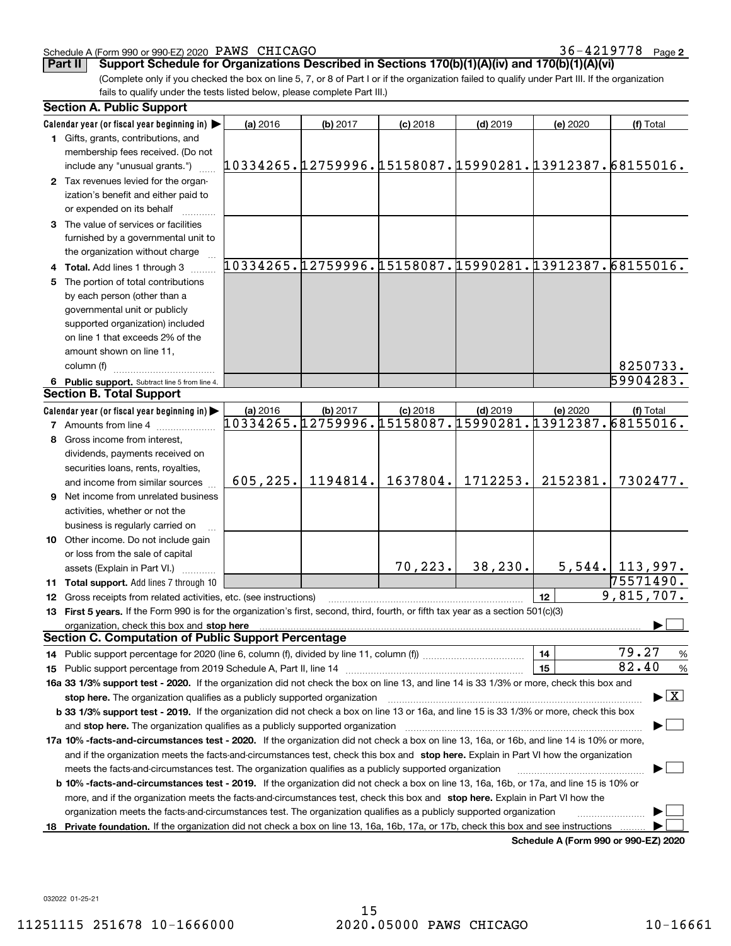#### Schedule A (Form 990 or 990-EZ) 2020 Page PAWS CHICAGO 36-4219778

**Part II** | Support Schedule for Organizations Described in Sections 170(b)(1)(A)(iv) and 170(b)(1)(A)(vi)

(Complete only if you checked the box on line 5, 7, or 8 of Part I or if the organization failed to qualify under Part III. If the organization fails to qualify under the tests listed below, please complete Part III.)

|    | <b>Section A. Public Support</b>                                                                                                               |                                                        |          |                                                           |            |                                      |                                          |
|----|------------------------------------------------------------------------------------------------------------------------------------------------|--------------------------------------------------------|----------|-----------------------------------------------------------|------------|--------------------------------------|------------------------------------------|
|    | Calendar year (or fiscal year beginning in)                                                                                                    | (a) 2016                                               | (b) 2017 | $(c)$ 2018                                                | $(d)$ 2019 | (e) 2020                             | (f) Total                                |
|    | 1 Gifts, grants, contributions, and                                                                                                            |                                                        |          |                                                           |            |                                      |                                          |
|    | membership fees received. (Do not                                                                                                              |                                                        |          |                                                           |            |                                      |                                          |
|    | include any "unusual grants.")                                                                                                                 | 10334265.12759996.15158087.15990281.13912387.68155016. |          |                                                           |            |                                      |                                          |
|    | 2 Tax revenues levied for the organ-                                                                                                           |                                                        |          |                                                           |            |                                      |                                          |
|    | ization's benefit and either paid to                                                                                                           |                                                        |          |                                                           |            |                                      |                                          |
|    | or expended on its behalf                                                                                                                      |                                                        |          |                                                           |            |                                      |                                          |
|    | 3 The value of services or facilities                                                                                                          |                                                        |          |                                                           |            |                                      |                                          |
|    | furnished by a governmental unit to                                                                                                            |                                                        |          |                                                           |            |                                      |                                          |
|    | the organization without charge                                                                                                                |                                                        |          |                                                           |            |                                      |                                          |
|    | 4 Total. Add lines 1 through 3                                                                                                                 |                                                        |          | $10334265$ .12759996.15158087.15990281.13912387.68155016. |            |                                      |                                          |
|    | 5 The portion of total contributions                                                                                                           |                                                        |          |                                                           |            |                                      |                                          |
|    | by each person (other than a                                                                                                                   |                                                        |          |                                                           |            |                                      |                                          |
|    | governmental unit or publicly                                                                                                                  |                                                        |          |                                                           |            |                                      |                                          |
|    |                                                                                                                                                |                                                        |          |                                                           |            |                                      |                                          |
|    | supported organization) included                                                                                                               |                                                        |          |                                                           |            |                                      |                                          |
|    | on line 1 that exceeds 2% of the                                                                                                               |                                                        |          |                                                           |            |                                      |                                          |
|    | amount shown on line 11,                                                                                                                       |                                                        |          |                                                           |            |                                      |                                          |
|    | column (f)                                                                                                                                     |                                                        |          |                                                           |            |                                      | 8250733.                                 |
|    | 6 Public support. Subtract line 5 from line 4.                                                                                                 |                                                        |          |                                                           |            |                                      | 59904283.                                |
|    | <b>Section B. Total Support</b>                                                                                                                |                                                        |          |                                                           |            |                                      |                                          |
|    | Calendar year (or fiscal year beginning in)                                                                                                    | (a) 2016                                               | (b) 2017 | $(c)$ 2018                                                | $(d)$ 2019 | (e) 2020                             | (f) Total                                |
|    | <b>7</b> Amounts from line 4                                                                                                                   |                                                        |          | 10334265.12759996.15158087.15990281.13912387.68155016.    |            |                                      |                                          |
|    | 8 Gross income from interest,                                                                                                                  |                                                        |          |                                                           |            |                                      |                                          |
|    | dividends, payments received on                                                                                                                |                                                        |          |                                                           |            |                                      |                                          |
|    | securities loans, rents, royalties,                                                                                                            |                                                        |          |                                                           |            |                                      |                                          |
|    | and income from similar sources                                                                                                                | 605, 225.                                              | 1194814. | 1637804.                                                  | 1712253.   | 2152381.                             | 7302477.                                 |
|    | <b>9</b> Net income from unrelated business                                                                                                    |                                                        |          |                                                           |            |                                      |                                          |
|    | activities, whether or not the                                                                                                                 |                                                        |          |                                                           |            |                                      |                                          |
|    | business is regularly carried on                                                                                                               |                                                        |          |                                                           |            |                                      |                                          |
|    | <b>10</b> Other income. Do not include gain                                                                                                    |                                                        |          |                                                           |            |                                      |                                          |
|    | or loss from the sale of capital                                                                                                               |                                                        |          |                                                           |            |                                      |                                          |
|    | assets (Explain in Part VI.) <b>Constant</b>                                                                                                   |                                                        |          | 70, 223.                                                  | 38,230.    |                                      | $5,544.$ 113,997.                        |
|    | 11 Total support. Add lines 7 through 10                                                                                                       |                                                        |          |                                                           |            |                                      | 75571490.                                |
|    | 12 Gross receipts from related activities, etc. (see instructions)                                                                             |                                                        |          |                                                           |            | 12                                   | 9,815,707.                               |
|    | 13 First 5 years. If the Form 990 is for the organization's first, second, third, fourth, or fifth tax year as a section 501(c)(3)             |                                                        |          |                                                           |            |                                      |                                          |
|    | organization, check this box and stop here                                                                                                     |                                                        |          |                                                           |            |                                      |                                          |
|    | <b>Section C. Computation of Public Support Percentage</b>                                                                                     |                                                        |          |                                                           |            |                                      |                                          |
|    |                                                                                                                                                |                                                        |          |                                                           |            | 14                                   | 79.27<br>%                               |
|    |                                                                                                                                                |                                                        |          |                                                           |            | 15                                   | 82.40<br>$\%$                            |
|    | 16a 33 1/3% support test - 2020. If the organization did not check the box on line 13, and line 14 is 33 1/3% or more, check this box and      |                                                        |          |                                                           |            |                                      |                                          |
|    | stop here. The organization qualifies as a publicly supported organization                                                                     |                                                        |          |                                                           |            |                                      | $\blacktriangleright$ $\boxed{\text{X}}$ |
|    | b 33 1/3% support test - 2019. If the organization did not check a box on line 13 or 16a, and line 15 is 33 1/3% or more, check this box       |                                                        |          |                                                           |            |                                      |                                          |
|    | and stop here. The organization qualifies as a publicly supported organization                                                                 |                                                        |          |                                                           |            |                                      |                                          |
|    | 17a 10% -facts-and-circumstances test - 2020. If the organization did not check a box on line 13, 16a, or 16b, and line 14 is 10% or more,     |                                                        |          |                                                           |            |                                      |                                          |
|    | and if the organization meets the facts-and-circumstances test, check this box and stop here. Explain in Part VI how the organization          |                                                        |          |                                                           |            |                                      |                                          |
|    | meets the facts-and-circumstances test. The organization qualifies as a publicly supported organization                                        |                                                        |          |                                                           |            |                                      |                                          |
|    |                                                                                                                                                |                                                        |          |                                                           |            |                                      |                                          |
|    | <b>b 10% -facts-and-circumstances test - 2019.</b> If the organization did not check a box on line 13, 16a, 16b, or 17a, and line 15 is 10% or |                                                        |          |                                                           |            |                                      |                                          |
|    | more, and if the organization meets the facts-and-circumstances test, check this box and stop here. Explain in Part VI how the                 |                                                        |          |                                                           |            |                                      |                                          |
|    | organization meets the facts-and-circumstances test. The organization qualifies as a publicly supported organization                           |                                                        |          |                                                           |            |                                      |                                          |
| 18 | Private foundation. If the organization did not check a box on line 13, 16a, 16b, 17a, or 17b, check this box and see instructions             |                                                        |          |                                                           |            | Schedule A (Form 990 or 990-F7) 2020 |                                          |

**Schedule A (Form 990 or 990-EZ) 2020**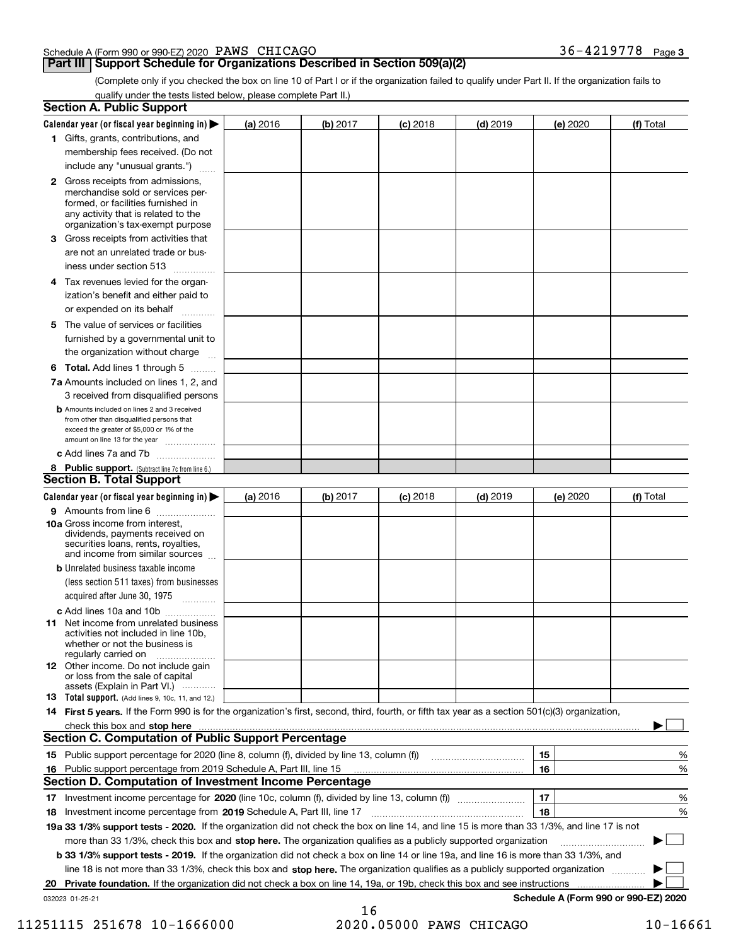#### Schedule A (Form 990 or 990-EZ) 2020 Page PAWS CHICAGO 36-4219778

#### **Part III** | Support Schedule for Organizations Described in Section 509(a)(2)

(Complete only if you checked the box on line 10 of Part I or if the organization failed to qualify under Part II. If the organization fails to qualify under the tests listed below, please complete Part II.)

|    | <b>Section A. Public Support</b>                                                                                                                                                                                               |          |          |                 |            |          |                                      |
|----|--------------------------------------------------------------------------------------------------------------------------------------------------------------------------------------------------------------------------------|----------|----------|-----------------|------------|----------|--------------------------------------|
|    | Calendar year (or fiscal year beginning in) $\blacktriangleright$                                                                                                                                                              | (a) 2016 | (b) 2017 | <b>(c)</b> 2018 | $(d)$ 2019 | (e) 2020 | (f) Total                            |
|    | 1 Gifts, grants, contributions, and                                                                                                                                                                                            |          |          |                 |            |          |                                      |
|    | membership fees received. (Do not                                                                                                                                                                                              |          |          |                 |            |          |                                      |
|    | include any "unusual grants.")                                                                                                                                                                                                 |          |          |                 |            |          |                                      |
|    | <b>2</b> Gross receipts from admissions,<br>merchandise sold or services per-<br>formed, or facilities furnished in<br>any activity that is related to the<br>organization's tax-exempt purpose                                |          |          |                 |            |          |                                      |
|    | 3 Gross receipts from activities that<br>are not an unrelated trade or bus-                                                                                                                                                    |          |          |                 |            |          |                                      |
|    | iness under section 513                                                                                                                                                                                                        |          |          |                 |            |          |                                      |
|    | 4 Tax revenues levied for the organ-<br>ization's benefit and either paid to                                                                                                                                                   |          |          |                 |            |          |                                      |
|    | or expended on its behalf<br>.                                                                                                                                                                                                 |          |          |                 |            |          |                                      |
|    | 5 The value of services or facilities<br>furnished by a governmental unit to<br>the organization without charge                                                                                                                |          |          |                 |            |          |                                      |
|    | <b>6 Total.</b> Add lines 1 through 5 $\dots$                                                                                                                                                                                  |          |          |                 |            |          |                                      |
|    | 7a Amounts included on lines 1, 2, and<br>3 received from disqualified persons                                                                                                                                                 |          |          |                 |            |          |                                      |
|    | <b>b</b> Amounts included on lines 2 and 3 received<br>from other than disqualified persons that<br>exceed the greater of \$5,000 or 1% of the<br>amount on line 13 for the year                                               |          |          |                 |            |          |                                      |
|    | c Add lines 7a and 7b                                                                                                                                                                                                          |          |          |                 |            |          |                                      |
|    | 8 Public support. (Subtract line 7c from line 6.)<br><b>Section B. Total Support</b>                                                                                                                                           |          |          |                 |            |          |                                      |
|    | Calendar year (or fiscal year beginning in)                                                                                                                                                                                    | (a) 2016 | (b) 2017 | <b>(c)</b> 2018 | $(d)$ 2019 | (e) 2020 | (f) Total                            |
|    | 9 Amounts from line 6                                                                                                                                                                                                          |          |          |                 |            |          |                                      |
|    | 10a Gross income from interest,<br>dividends, payments received on<br>securities loans, rents, royalties,<br>and income from similar sources                                                                                   |          |          |                 |            |          |                                      |
|    | <b>b</b> Unrelated business taxable income<br>(less section 511 taxes) from businesses<br>acquired after June 30, 1975 [10001]                                                                                                 |          |          |                 |            |          |                                      |
|    | c Add lines 10a and 10b                                                                                                                                                                                                        |          |          |                 |            |          |                                      |
|    | 11 Net income from unrelated business<br>activities not included in line 10b,<br>whether or not the business is<br>regularly carried on                                                                                        |          |          |                 |            |          |                                      |
|    | <b>12</b> Other income. Do not include gain<br>or loss from the sale of capital<br>assets (Explain in Part VI.)                                                                                                                |          |          |                 |            |          |                                      |
|    | 13 Total support. (Add lines 9, 10c, 11, and 12.)                                                                                                                                                                              |          |          |                 |            |          |                                      |
|    | 14 First 5 years. If the Form 990 is for the organization's first, second, third, fourth, or fifth tax year as a section 501(c)(3) organization,                                                                               |          |          |                 |            |          |                                      |
|    | check this box and stop here measurement content to the state of the state of the state of the state of the state of the state of the state of the state of the state of the state of the state of the state of the state of t |          |          |                 |            |          |                                      |
|    | <b>Section C. Computation of Public Support Percentage</b>                                                                                                                                                                     |          |          |                 |            |          |                                      |
|    |                                                                                                                                                                                                                                |          |          |                 |            | 15       | %                                    |
| 16 | Public support percentage from 2019 Schedule A, Part III, line 15                                                                                                                                                              |          |          |                 |            | 16       | %                                    |
|    | <b>Section D. Computation of Investment Income Percentage</b>                                                                                                                                                                  |          |          |                 |            |          |                                      |
|    | 17 Investment income percentage for 2020 (line 10c, column (f), divided by line 13, column (f))                                                                                                                                |          |          |                 |            | 17       | %                                    |
|    | 18 Investment income percentage from 2019 Schedule A, Part III, line 17                                                                                                                                                        |          |          |                 |            | 18       | %                                    |
|    | 19a 33 1/3% support tests - 2020. If the organization did not check the box on line 14, and line 15 is more than 33 1/3%, and line 17 is not                                                                                   |          |          |                 |            |          |                                      |
|    | more than 33 1/3%, check this box and stop here. The organization qualifies as a publicly supported organization                                                                                                               |          |          |                 |            |          | $\sim$ 1                             |
|    | b 33 1/3% support tests - 2019. If the organization did not check a box on line 14 or line 19a, and line 16 is more than 33 1/3%, and                                                                                          |          |          |                 |            |          |                                      |
|    | line 18 is not more than 33 1/3%, check this box and stop here. The organization qualifies as a publicly supported organization                                                                                                |          |          |                 |            |          |                                      |
| 20 | Private foundation. If the organization did not check a box on line 14, 19a, or 19b, check this box and see instructions                                                                                                       |          |          |                 |            |          |                                      |
|    | 032023 01-25-21                                                                                                                                                                                                                |          | 16       |                 |            |          | Schedule A (Form 990 or 990-EZ) 2020 |

## 11251115 251678 10-1666000 2020.05000 PAWS CHICAGO 10-16661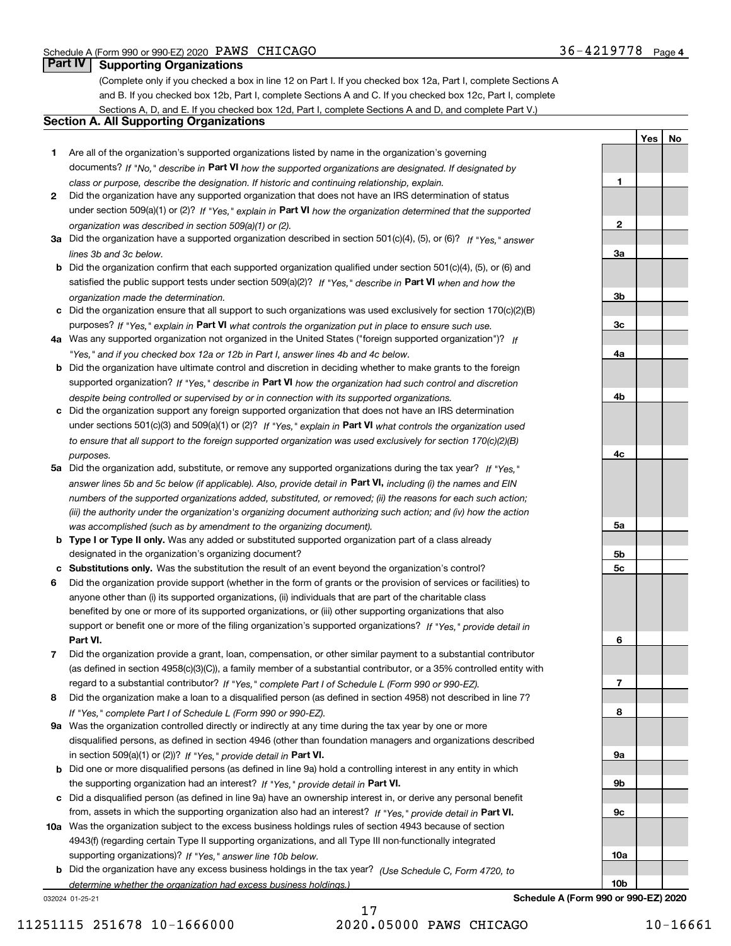**1**

**2**

**3a**

**3b**

**3c**

**4a**

**4b**

**4c**

**5a**

**5b5c**

**6**

**7**

**8**

**9a**

**9b**

**9c**

**10b**

**Yes No**

## **Part IV Supporting Organizations**

(Complete only if you checked a box in line 12 on Part I. If you checked box 12a, Part I, complete Sections A and B. If you checked box 12b, Part I, complete Sections A and C. If you checked box 12c, Part I, complete Sections A, D, and E. If you checked box 12d, Part I, complete Sections A and D, and complete Part V.)

#### **Section A. All Supporting Organizations**

- **1** Are all of the organization's supported organizations listed by name in the organization's governing documents? If "No," describe in **Part VI** how the supported organizations are designated. If designated by *class or purpose, describe the designation. If historic and continuing relationship, explain.*
- **2** Did the organization have any supported organization that does not have an IRS determination of status under section 509(a)(1) or (2)? If "Yes," explain in Part VI how the organization determined that the supported *organization was described in section 509(a)(1) or (2).*
- **3a** Did the organization have a supported organization described in section 501(c)(4), (5), or (6)? If "Yes," answer *lines 3b and 3c below.*
- **b** Did the organization confirm that each supported organization qualified under section 501(c)(4), (5), or (6) and satisfied the public support tests under section 509(a)(2)? If "Yes," describe in **Part VI** when and how the *organization made the determination.*
- **c**Did the organization ensure that all support to such organizations was used exclusively for section 170(c)(2)(B) purposes? If "Yes," explain in **Part VI** what controls the organization put in place to ensure such use.
- **4a***If* Was any supported organization not organized in the United States ("foreign supported organization")? *"Yes," and if you checked box 12a or 12b in Part I, answer lines 4b and 4c below.*
- **b** Did the organization have ultimate control and discretion in deciding whether to make grants to the foreign supported organization? If "Yes," describe in **Part VI** how the organization had such control and discretion *despite being controlled or supervised by or in connection with its supported organizations.*
- **c** Did the organization support any foreign supported organization that does not have an IRS determination under sections 501(c)(3) and 509(a)(1) or (2)? If "Yes," explain in **Part VI** what controls the organization used *to ensure that all support to the foreign supported organization was used exclusively for section 170(c)(2)(B) purposes.*
- **5a** Did the organization add, substitute, or remove any supported organizations during the tax year? If "Yes," answer lines 5b and 5c below (if applicable). Also, provide detail in **Part VI,** including (i) the names and EIN *numbers of the supported organizations added, substituted, or removed; (ii) the reasons for each such action; (iii) the authority under the organization's organizing document authorizing such action; and (iv) how the action was accomplished (such as by amendment to the organizing document).*
- **b** Type I or Type II only. Was any added or substituted supported organization part of a class already designated in the organization's organizing document?
- **cSubstitutions only.**  Was the substitution the result of an event beyond the organization's control?
- **6** Did the organization provide support (whether in the form of grants or the provision of services or facilities) to **Part VI.** *If "Yes," provide detail in* support or benefit one or more of the filing organization's supported organizations? anyone other than (i) its supported organizations, (ii) individuals that are part of the charitable class benefited by one or more of its supported organizations, or (iii) other supporting organizations that also
- **7**Did the organization provide a grant, loan, compensation, or other similar payment to a substantial contributor *If "Yes," complete Part I of Schedule L (Form 990 or 990-EZ).* regard to a substantial contributor? (as defined in section 4958(c)(3)(C)), a family member of a substantial contributor, or a 35% controlled entity with
- **8** Did the organization make a loan to a disqualified person (as defined in section 4958) not described in line 7? *If "Yes," complete Part I of Schedule L (Form 990 or 990-EZ).*
- **9a** Was the organization controlled directly or indirectly at any time during the tax year by one or more in section 509(a)(1) or (2))? If "Yes," *provide detail in* <code>Part VI.</code> disqualified persons, as defined in section 4946 (other than foundation managers and organizations described
- **b** Did one or more disqualified persons (as defined in line 9a) hold a controlling interest in any entity in which the supporting organization had an interest? If "Yes," provide detail in P**art VI**.
- **c**Did a disqualified person (as defined in line 9a) have an ownership interest in, or derive any personal benefit from, assets in which the supporting organization also had an interest? If "Yes," provide detail in P**art VI.**
- **10a** Was the organization subject to the excess business holdings rules of section 4943 because of section supporting organizations)? If "Yes," answer line 10b below. 4943(f) (regarding certain Type II supporting organizations, and all Type III non-functionally integrated
- **b** Did the organization have any excess business holdings in the tax year? (Use Schedule C, Form 4720, to *determine whether the organization had excess business holdings.)*

032024 01-25-21

17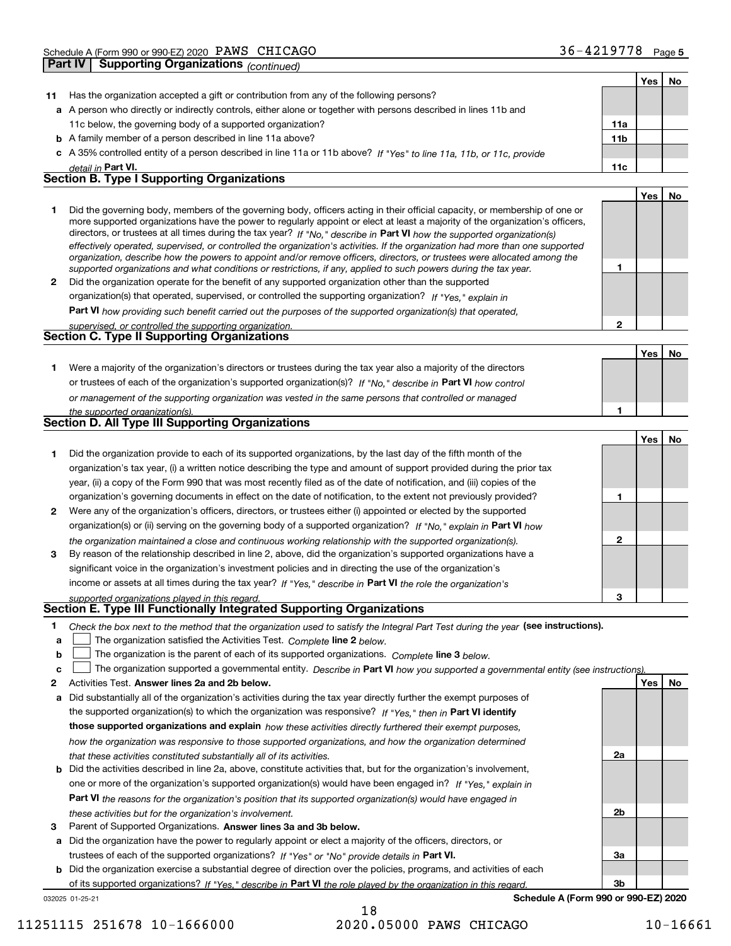|    |                                                                                                                                                                                                                                              |                 | Yes | No |
|----|----------------------------------------------------------------------------------------------------------------------------------------------------------------------------------------------------------------------------------------------|-----------------|-----|----|
| 11 | Has the organization accepted a gift or contribution from any of the following persons?                                                                                                                                                      |                 |     |    |
|    | a A person who directly or indirectly controls, either alone or together with persons described in lines 11b and                                                                                                                             |                 |     |    |
|    | 11c below, the governing body of a supported organization?                                                                                                                                                                                   | 11a             |     |    |
|    | <b>b</b> A family member of a person described in line 11a above?                                                                                                                                                                            | 11 <sub>b</sub> |     |    |
|    | c A 35% controlled entity of a person described in line 11a or 11b above? If "Yes" to line 11a, 11b, or 11c, provide<br>detail in Part VI.                                                                                                   | 11c             |     |    |
|    | <b>Section B. Type I Supporting Organizations</b>                                                                                                                                                                                            |                 |     |    |
|    |                                                                                                                                                                                                                                              |                 | Yes | No |
| 1  | Did the governing body, members of the governing body, officers acting in their official capacity, or membership of one or                                                                                                                   |                 |     |    |
|    | more supported organizations have the power to regularly appoint or elect at least a majority of the organization's officers,                                                                                                                |                 |     |    |
|    | directors, or trustees at all times during the tax year? If "No," describe in Part VI how the supported organization(s)                                                                                                                      |                 |     |    |
|    | effectively operated, supervised, or controlled the organization's activities. If the organization had more than one supported                                                                                                               |                 |     |    |
|    | organization, describe how the powers to appoint and/or remove officers, directors, or trustees were allocated among the<br>supported organizations and what conditions or restrictions, if any, applied to such powers during the tax year. | 1               |     |    |
| 2  | Did the organization operate for the benefit of any supported organization other than the supported                                                                                                                                          |                 |     |    |
|    | organization(s) that operated, supervised, or controlled the supporting organization? If "Yes," explain in                                                                                                                                   |                 |     |    |
|    | <b>Part VI</b> how providing such benefit carried out the purposes of the supported organization(s) that operated,                                                                                                                           |                 |     |    |
|    | supervised, or controlled the supporting organization.                                                                                                                                                                                       | $\mathbf{2}$    |     |    |
|    | <b>Section C. Type II Supporting Organizations</b>                                                                                                                                                                                           |                 |     |    |
|    |                                                                                                                                                                                                                                              |                 | Yes | No |
| 1. | Were a majority of the organization's directors or trustees during the tax year also a majority of the directors                                                                                                                             |                 |     |    |
|    | or trustees of each of the organization's supported organization(s)? If "No," describe in Part VI how control                                                                                                                                |                 |     |    |
|    | or management of the supporting organization was vested in the same persons that controlled or managed                                                                                                                                       |                 |     |    |
|    | the supported organization(s).<br><b>Section D. All Type III Supporting Organizations</b>                                                                                                                                                    | 1               |     |    |
|    |                                                                                                                                                                                                                                              |                 |     |    |
|    |                                                                                                                                                                                                                                              |                 | Yes | No |
| 1  | Did the organization provide to each of its supported organizations, by the last day of the fifth month of the<br>organization's tax year, (i) a written notice describing the type and amount of support provided during the prior tax      |                 |     |    |
|    | year, (ii) a copy of the Form 990 that was most recently filed as of the date of notification, and (iii) copies of the                                                                                                                       |                 |     |    |
|    | organization's governing documents in effect on the date of notification, to the extent not previously provided?                                                                                                                             | 1               |     |    |
| 2  | Were any of the organization's officers, directors, or trustees either (i) appointed or elected by the supported                                                                                                                             |                 |     |    |
|    | organization(s) or (ii) serving on the governing body of a supported organization? If "No," explain in Part VI how                                                                                                                           |                 |     |    |
|    | the organization maintained a close and continuous working relationship with the supported organization(s).                                                                                                                                  | $\mathbf{2}$    |     |    |
| 3  | By reason of the relationship described in line 2, above, did the organization's supported organizations have a                                                                                                                              |                 |     |    |
|    | significant voice in the organization's investment policies and in directing the use of the organization's                                                                                                                                   |                 |     |    |
|    | income or assets at all times during the tax year? If "Yes," describe in Part VI the role the organization's                                                                                                                                 |                 |     |    |
|    | supported organizations played in this regard.                                                                                                                                                                                               | 3               |     |    |
|    | Section E. Type III Functionally Integrated Supporting Organizations                                                                                                                                                                         |                 |     |    |
| 1  | Check the box next to the method that the organization used to satisfy the Integral Part Test during the year (see instructions).                                                                                                            |                 |     |    |
| a  | The organization satisfied the Activities Test. Complete line 2 below.                                                                                                                                                                       |                 |     |    |
| b  | The organization is the parent of each of its supported organizations. Complete line 3 below.                                                                                                                                                |                 |     |    |
| c  | The organization supported a governmental entity. Describe in Part VI how you supported a governmental entity (see instructions).                                                                                                            |                 |     |    |
| 2  | Activities Test. Answer lines 2a and 2b below.                                                                                                                                                                                               |                 | Yes | No |
| a  | Did substantially all of the organization's activities during the tax year directly further the exempt purposes of                                                                                                                           |                 |     |    |
|    | the supported organization(s) to which the organization was responsive? If "Yes," then in Part VI identify                                                                                                                                   |                 |     |    |
|    | those supported organizations and explain how these activities directly furthered their exempt purposes,                                                                                                                                     |                 |     |    |
|    | how the organization was responsive to those supported organizations, and how the organization determined                                                                                                                                    | 2a              |     |    |
| b  | that these activities constituted substantially all of its activities.<br>Did the activities described in line 2a, above, constitute activities that, but for the organization's involvement,                                                |                 |     |    |
|    | one or more of the organization's supported organization(s) would have been engaged in? If "Yes," explain in                                                                                                                                 |                 |     |    |
|    | Part VI the reasons for the organization's position that its supported organization(s) would have engaged in                                                                                                                                 |                 |     |    |
|    | these activities but for the organization's involvement.                                                                                                                                                                                     | 2 <sub>b</sub>  |     |    |
| з  | Parent of Supported Organizations. Answer lines 3a and 3b below.                                                                                                                                                                             |                 |     |    |
| а  | Did the organization have the power to regularly appoint or elect a majority of the officers, directors, or                                                                                                                                  |                 |     |    |
|    | trustees of each of the supported organizations? If "Yes" or "No" provide details in Part VI.                                                                                                                                                | За              |     |    |
|    | <b>b</b> Did the organization exercise a substantial degree of direction over the policies, programs, and activities of each                                                                                                                 |                 |     |    |

**Part VI**  *If "Yes," describe in the role played by the organization in this regard.* of its supported organizations?

**Schedule A (Form 990 or 990-EZ) 2020**

**3b**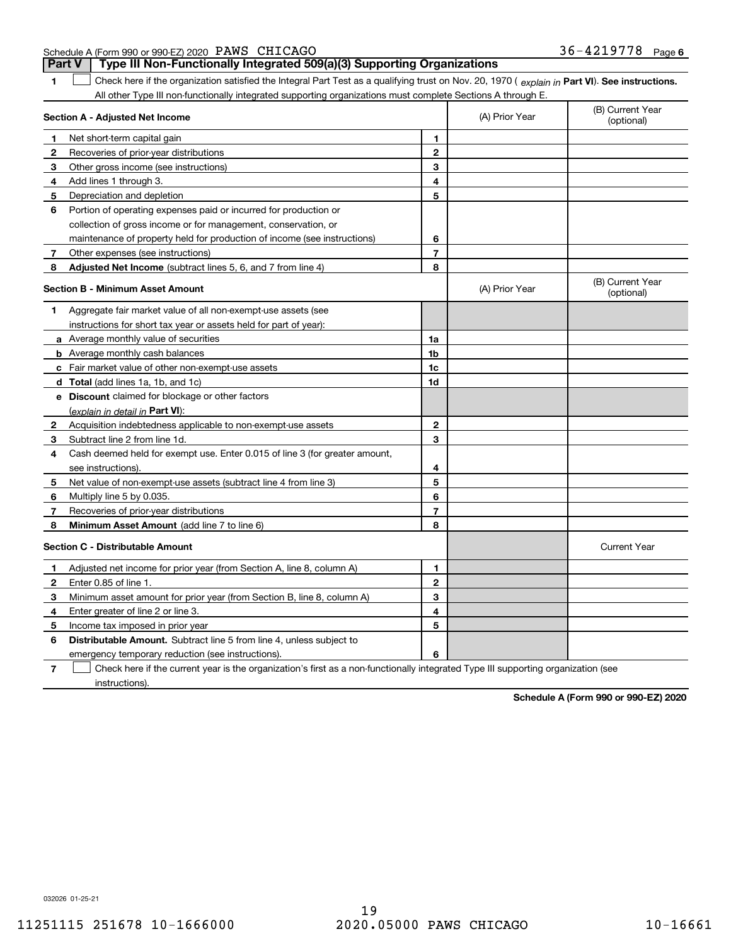| 4 (Form 990 or 990-EZ) 2020<br>Schedule A<br>Page |
|---------------------------------------------------|
|---------------------------------------------------|

|  | Part V   Type III Non-Functionally Integrated 509(a)(3) Supporting Organizations                                                                      |  |  |
|--|-------------------------------------------------------------------------------------------------------------------------------------------------------|--|--|
|  | $\Box$ Check here if the organization satisfied the Integral Part Test as a qualifying trust on Nov. 20, 1970 (explain in Part VI). See instructions. |  |  |
|  | All other Type III non-functionally integrated supporting organizations must complete Sections A through E.                                           |  |  |

| Section A - Adjusted Net Income         |                                                                             |                | (A) Prior Year | (B) Current Year<br>(optional) |
|-----------------------------------------|-----------------------------------------------------------------------------|----------------|----------------|--------------------------------|
| 1                                       | Net short-term capital gain                                                 | 1              |                |                                |
| $\overline{2}$                          | Recoveries of prior-year distributions                                      | $\mathbf{2}$   |                |                                |
| 3                                       | Other gross income (see instructions)                                       | 3              |                |                                |
| 4                                       | Add lines 1 through 3.                                                      | 4              |                |                                |
| 5                                       | Depreciation and depletion                                                  | 5              |                |                                |
| 6                                       | Portion of operating expenses paid or incurred for production or            |                |                |                                |
|                                         | collection of gross income or for management, conservation, or              |                |                |                                |
|                                         | maintenance of property held for production of income (see instructions)    | 6              |                |                                |
| 7                                       | Other expenses (see instructions)                                           | $\overline{7}$ |                |                                |
| 8                                       | Adjusted Net Income (subtract lines 5, 6, and 7 from line 4)                | 8              |                |                                |
|                                         | Section B - Minimum Asset Amount                                            |                | (A) Prior Year | (B) Current Year<br>(optional) |
| 1                                       | Aggregate fair market value of all non-exempt-use assets (see               |                |                |                                |
|                                         | instructions for short tax year or assets held for part of year):           |                |                |                                |
|                                         | <b>a</b> Average monthly value of securities                                | 1a             |                |                                |
|                                         | <b>b</b> Average monthly cash balances                                      | 1b             |                |                                |
|                                         | c Fair market value of other non-exempt-use assets                          | 1c             |                |                                |
|                                         | d Total (add lines 1a, 1b, and 1c)                                          | 1d             |                |                                |
|                                         | e Discount claimed for blockage or other factors                            |                |                |                                |
|                                         | (explain in detail in Part VI):                                             |                |                |                                |
| 2                                       | Acquisition indebtedness applicable to non-exempt-use assets                | $\mathbf{2}$   |                |                                |
| 3                                       | Subtract line 2 from line 1d.                                               | 3              |                |                                |
| 4                                       | Cash deemed held for exempt use. Enter 0.015 of line 3 (for greater amount, |                |                |                                |
|                                         | see instructions).                                                          | 4              |                |                                |
| 5                                       | Net value of non-exempt-use assets (subtract line 4 from line 3)            | 5              |                |                                |
| 6                                       | Multiply line 5 by 0.035.                                                   | 6              |                |                                |
| 7                                       | Recoveries of prior-year distributions                                      | $\overline{7}$ |                |                                |
| 8                                       | <b>Minimum Asset Amount</b> (add line 7 to line 6)                          | 8              |                |                                |
| <b>Section C - Distributable Amount</b> |                                                                             |                |                | <b>Current Year</b>            |
| 1                                       | Adjusted net income for prior year (from Section A, line 8, column A)       | 1              |                |                                |
| 2                                       | Enter 0.85 of line 1.                                                       | $\mathbf{2}$   |                |                                |
| 3                                       | Minimum asset amount for prior year (from Section B, line 8, column A)      | 3              |                |                                |
| 4                                       | Enter greater of line 2 or line 3.                                          | 4              |                |                                |
| 5                                       | Income tax imposed in prior year                                            | 5              |                |                                |
| 6                                       | <b>Distributable Amount.</b> Subtract line 5 from line 4, unless subject to |                |                |                                |
|                                         | emergency temporary reduction (see instructions).                           | 6              |                |                                |
|                                         |                                                                             |                |                |                                |

**7**Check here if the current year is the organization's first as a non-functionally integrated Type III supporting organization (see instructions).

**Schedule A (Form 990 or 990-EZ) 2020**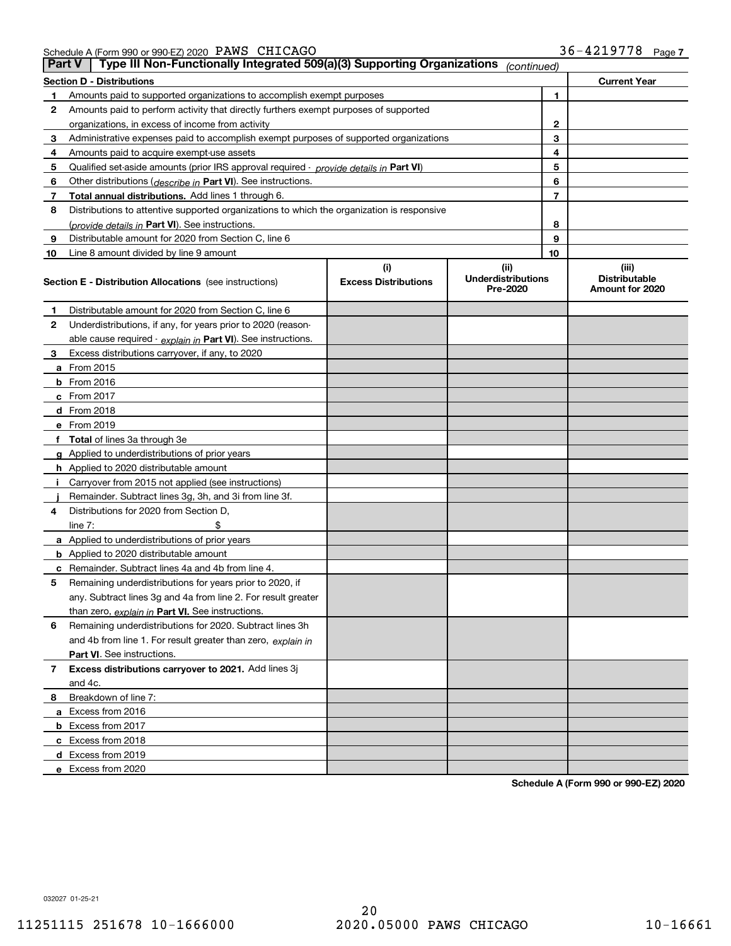Schedule A (Form 990 or 990-EZ) 2020 Page PAWS CHICAGO 36-4219778

|    | Type III Non-Functionally Integrated 509(a)(3) Supporting Organizations<br><b>Part V</b><br>(continued) |                             |                                       |                                         |  |  |
|----|---------------------------------------------------------------------------------------------------------|-----------------------------|---------------------------------------|-----------------------------------------|--|--|
|    | <b>Section D - Distributions</b><br><b>Current Year</b>                                                 |                             |                                       |                                         |  |  |
| 1  | 1<br>Amounts paid to supported organizations to accomplish exempt purposes                              |                             |                                       |                                         |  |  |
| 2  | Amounts paid to perform activity that directly furthers exempt purposes of supported                    |                             |                                       |                                         |  |  |
|    | organizations, in excess of income from activity                                                        |                             | 2                                     |                                         |  |  |
| 3  | Administrative expenses paid to accomplish exempt purposes of supported organizations                   |                             | 3                                     |                                         |  |  |
| 4  | Amounts paid to acquire exempt-use assets                                                               |                             | 4                                     |                                         |  |  |
| 5  | Qualified set-aside amounts (prior IRS approval required - provide details in Part VI)                  |                             | 5                                     |                                         |  |  |
| 6  | Other distributions ( <i>describe in</i> Part VI). See instructions.                                    |                             | 6                                     |                                         |  |  |
| 7  | Total annual distributions. Add lines 1 through 6.                                                      |                             | 7                                     |                                         |  |  |
| 8  | Distributions to attentive supported organizations to which the organization is responsive              |                             |                                       |                                         |  |  |
|    | (provide details in Part VI). See instructions.                                                         |                             | 8                                     |                                         |  |  |
| 9  | Distributable amount for 2020 from Section C, line 6                                                    |                             | 9                                     |                                         |  |  |
| 10 | Line 8 amount divided by line 9 amount                                                                  |                             | 10                                    |                                         |  |  |
|    |                                                                                                         | (i)                         | (ii)                                  | (iii)                                   |  |  |
|    | <b>Section E - Distribution Allocations</b> (see instructions)                                          | <b>Excess Distributions</b> | <b>Underdistributions</b><br>Pre-2020 | <b>Distributable</b><br>Amount for 2020 |  |  |
| 1  | Distributable amount for 2020 from Section C, line 6                                                    |                             |                                       |                                         |  |  |
| 2  | Underdistributions, if any, for years prior to 2020 (reason-                                            |                             |                                       |                                         |  |  |
|    | able cause required - explain in Part VI). See instructions.                                            |                             |                                       |                                         |  |  |
| 3  | Excess distributions carryover, if any, to 2020                                                         |                             |                                       |                                         |  |  |
|    | <b>a</b> From 2015                                                                                      |                             |                                       |                                         |  |  |
|    | <b>b</b> From 2016                                                                                      |                             |                                       |                                         |  |  |
|    | $c$ From 2017                                                                                           |                             |                                       |                                         |  |  |
|    | d From 2018                                                                                             |                             |                                       |                                         |  |  |
|    | e From 2019                                                                                             |                             |                                       |                                         |  |  |
|    | f Total of lines 3a through 3e                                                                          |                             |                                       |                                         |  |  |
|    | g Applied to underdistributions of prior years                                                          |                             |                                       |                                         |  |  |
|    | <b>h</b> Applied to 2020 distributable amount                                                           |                             |                                       |                                         |  |  |
|    | Carryover from 2015 not applied (see instructions)                                                      |                             |                                       |                                         |  |  |
|    | Remainder. Subtract lines 3g, 3h, and 3i from line 3f.                                                  |                             |                                       |                                         |  |  |
| 4  | Distributions for 2020 from Section D,                                                                  |                             |                                       |                                         |  |  |
|    | line $7:$                                                                                               |                             |                                       |                                         |  |  |
|    | a Applied to underdistributions of prior years                                                          |                             |                                       |                                         |  |  |
|    | <b>b</b> Applied to 2020 distributable amount                                                           |                             |                                       |                                         |  |  |
|    | c Remainder. Subtract lines 4a and 4b from line 4.                                                      |                             |                                       |                                         |  |  |
| 5. | Remaining underdistributions for years prior to 2020, if                                                |                             |                                       |                                         |  |  |
|    | any. Subtract lines 3g and 4a from line 2. For result greater                                           |                             |                                       |                                         |  |  |
|    | than zero, explain in Part VI. See instructions.                                                        |                             |                                       |                                         |  |  |
| 6  | Remaining underdistributions for 2020. Subtract lines 3h                                                |                             |                                       |                                         |  |  |
|    | and 4b from line 1. For result greater than zero, explain in                                            |                             |                                       |                                         |  |  |
|    | Part VI. See instructions.                                                                              |                             |                                       |                                         |  |  |
| 7  | Excess distributions carryover to 2021. Add lines 3j                                                    |                             |                                       |                                         |  |  |
|    | and 4c.                                                                                                 |                             |                                       |                                         |  |  |
| 8  | Breakdown of line 7:                                                                                    |                             |                                       |                                         |  |  |
|    | a Excess from 2016                                                                                      |                             |                                       |                                         |  |  |
|    | <b>b</b> Excess from 2017                                                                               |                             |                                       |                                         |  |  |
|    | c Excess from 2018                                                                                      |                             |                                       |                                         |  |  |
|    | d Excess from 2019                                                                                      |                             |                                       |                                         |  |  |
|    | e Excess from 2020                                                                                      |                             |                                       |                                         |  |  |

**Schedule A (Form 990 or 990-EZ) 2020**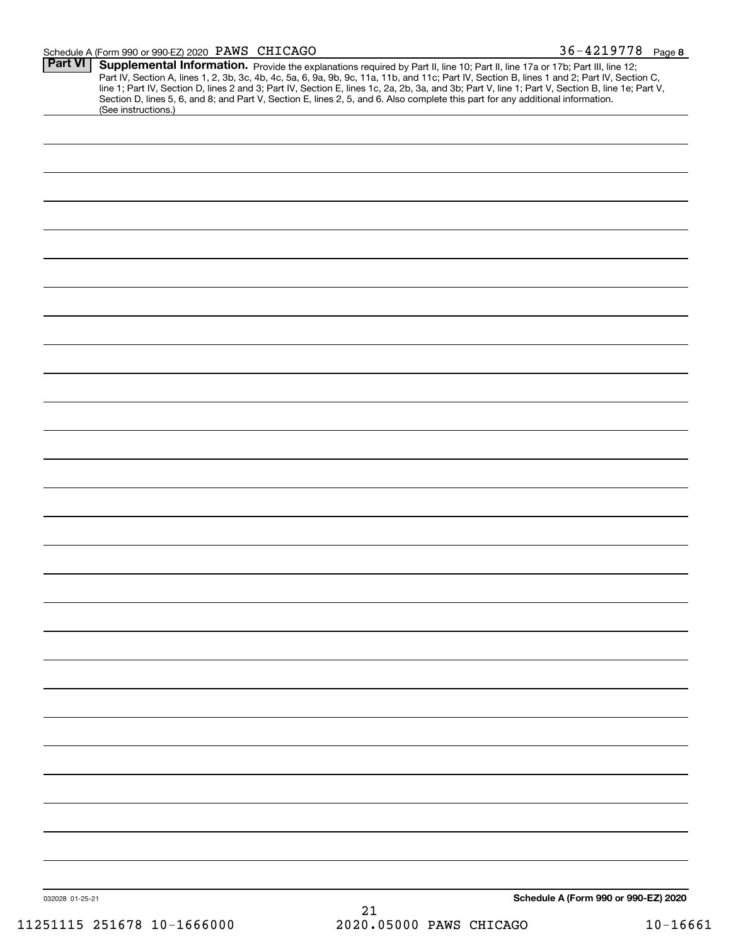#### Schedule A (Form 990 or 990-EZ) 2020 Page PAWS CHICAGO 36-4219778

| Part VI         | Supplemental Information. Provide the explanations required by Part II, line 10; Part II, line 17a or 17b; Part III, line 12;<br>Part IV, Section A, lines 1, 2, 3b, 3c, 4b, 4c, 5a, 6, 9a, 9b, 9c, 11a, 11b, and 11c; Part IV, Section B, lines 1 and 2; Part IV, Section C,<br>line 1; Part IV, Section D, lines 2 and 3; Part IV, Section E, lines 1c, 2a, 2b, 3a, and 3b; Part V, line 1; Part V, Section B, line 1e; Part V,<br>Section D, lines 5, 6, and 8; and Part V, Section E, lines 2, 5, and 6. Also complete this part for any additional information. |
|-----------------|----------------------------------------------------------------------------------------------------------------------------------------------------------------------------------------------------------------------------------------------------------------------------------------------------------------------------------------------------------------------------------------------------------------------------------------------------------------------------------------------------------------------------------------------------------------------|
|                 | (See instructions.)                                                                                                                                                                                                                                                                                                                                                                                                                                                                                                                                                  |
|                 |                                                                                                                                                                                                                                                                                                                                                                                                                                                                                                                                                                      |
|                 |                                                                                                                                                                                                                                                                                                                                                                                                                                                                                                                                                                      |
|                 |                                                                                                                                                                                                                                                                                                                                                                                                                                                                                                                                                                      |
|                 |                                                                                                                                                                                                                                                                                                                                                                                                                                                                                                                                                                      |
|                 |                                                                                                                                                                                                                                                                                                                                                                                                                                                                                                                                                                      |
|                 |                                                                                                                                                                                                                                                                                                                                                                                                                                                                                                                                                                      |
|                 |                                                                                                                                                                                                                                                                                                                                                                                                                                                                                                                                                                      |
|                 |                                                                                                                                                                                                                                                                                                                                                                                                                                                                                                                                                                      |
|                 |                                                                                                                                                                                                                                                                                                                                                                                                                                                                                                                                                                      |
|                 |                                                                                                                                                                                                                                                                                                                                                                                                                                                                                                                                                                      |
|                 |                                                                                                                                                                                                                                                                                                                                                                                                                                                                                                                                                                      |
|                 |                                                                                                                                                                                                                                                                                                                                                                                                                                                                                                                                                                      |
|                 |                                                                                                                                                                                                                                                                                                                                                                                                                                                                                                                                                                      |
|                 |                                                                                                                                                                                                                                                                                                                                                                                                                                                                                                                                                                      |
|                 |                                                                                                                                                                                                                                                                                                                                                                                                                                                                                                                                                                      |
|                 |                                                                                                                                                                                                                                                                                                                                                                                                                                                                                                                                                                      |
|                 |                                                                                                                                                                                                                                                                                                                                                                                                                                                                                                                                                                      |
|                 |                                                                                                                                                                                                                                                                                                                                                                                                                                                                                                                                                                      |
|                 |                                                                                                                                                                                                                                                                                                                                                                                                                                                                                                                                                                      |
|                 |                                                                                                                                                                                                                                                                                                                                                                                                                                                                                                                                                                      |
|                 |                                                                                                                                                                                                                                                                                                                                                                                                                                                                                                                                                                      |
|                 |                                                                                                                                                                                                                                                                                                                                                                                                                                                                                                                                                                      |
|                 |                                                                                                                                                                                                                                                                                                                                                                                                                                                                                                                                                                      |
|                 |                                                                                                                                                                                                                                                                                                                                                                                                                                                                                                                                                                      |
|                 |                                                                                                                                                                                                                                                                                                                                                                                                                                                                                                                                                                      |
|                 |                                                                                                                                                                                                                                                                                                                                                                                                                                                                                                                                                                      |
|                 |                                                                                                                                                                                                                                                                                                                                                                                                                                                                                                                                                                      |
|                 |                                                                                                                                                                                                                                                                                                                                                                                                                                                                                                                                                                      |
|                 |                                                                                                                                                                                                                                                                                                                                                                                                                                                                                                                                                                      |
|                 |                                                                                                                                                                                                                                                                                                                                                                                                                                                                                                                                                                      |
|                 |                                                                                                                                                                                                                                                                                                                                                                                                                                                                                                                                                                      |
|                 |                                                                                                                                                                                                                                                                                                                                                                                                                                                                                                                                                                      |
|                 |                                                                                                                                                                                                                                                                                                                                                                                                                                                                                                                                                                      |
|                 |                                                                                                                                                                                                                                                                                                                                                                                                                                                                                                                                                                      |
|                 |                                                                                                                                                                                                                                                                                                                                                                                                                                                                                                                                                                      |
| 032028 01-25-21 | Schedule A (Form 990 or 990-EZ) 2020                                                                                                                                                                                                                                                                                                                                                                                                                                                                                                                                 |
|                 | 21                                                                                                                                                                                                                                                                                                                                                                                                                                                                                                                                                                   |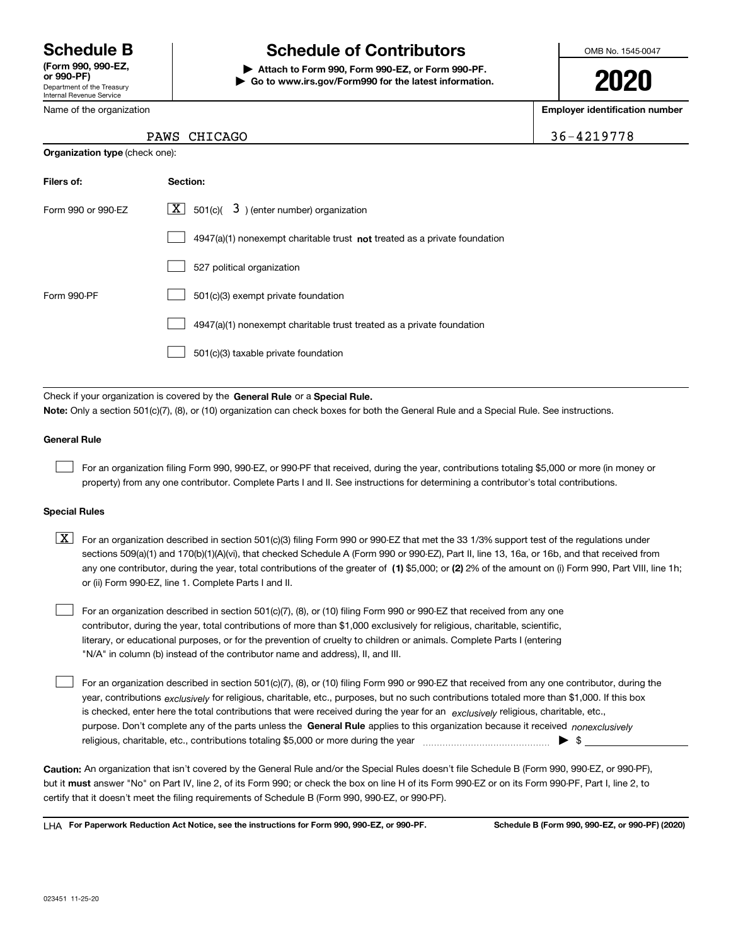Department of the Treasury Internal Revenue Service **(Form 990, 990-EZ, or 990-PF)**

Name of the organization

# **Schedule B Schedule of Contributors**

**| Attach to Form 990, Form 990-EZ, or Form 990-PF. | Go to www.irs.gov/Form990 for the latest information.** OMB No. 1545-0047

# **2020**

**Employer identification number**

| 6-4219778 |  |
|-----------|--|
|           |  |

#### PAWS CHICAGO 3

| <b>Organization type (check one):</b> |                                                                           |  |  |
|---------------------------------------|---------------------------------------------------------------------------|--|--|
| Filers of:                            | Section:                                                                  |  |  |
| Form 990 or 990-EZ                    | $\lfloor x \rfloor$ 501(c)( 3) (enter number) organization                |  |  |
|                                       | 4947(a)(1) nonexempt charitable trust not treated as a private foundation |  |  |
|                                       | 527 political organization                                                |  |  |
| Form 990-PF                           | 501(c)(3) exempt private foundation                                       |  |  |
|                                       | 4947(a)(1) nonexempt charitable trust treated as a private foundation     |  |  |
|                                       | 501(c)(3) taxable private foundation                                      |  |  |
|                                       |                                                                           |  |  |

Check if your organization is covered by the **General Rule** or a **Special Rule.**<br>Nota: Only a section 501(c)(7), (8), or (10) erganization can chock boxes for be **Note:**  Only a section 501(c)(7), (8), or (10) organization can check boxes for both the General Rule and a Special Rule. See instructions.

#### **General Rule**

 $\mathcal{L}^{\text{max}}$ 

For an organization filing Form 990, 990-EZ, or 990-PF that received, during the year, contributions totaling \$5,000 or more (in money or property) from any one contributor. Complete Parts I and II. See instructions for determining a contributor's total contributions.

#### **Special Rules**

any one contributor, during the year, total contributions of the greater of  $\,$  (1) \$5,000; or **(2)** 2% of the amount on (i) Form 990, Part VIII, line 1h;  $\boxed{\textbf{X}}$  For an organization described in section 501(c)(3) filing Form 990 or 990-EZ that met the 33 1/3% support test of the regulations under sections 509(a)(1) and 170(b)(1)(A)(vi), that checked Schedule A (Form 990 or 990-EZ), Part II, line 13, 16a, or 16b, and that received from or (ii) Form 990-EZ, line 1. Complete Parts I and II.

For an organization described in section 501(c)(7), (8), or (10) filing Form 990 or 990-EZ that received from any one contributor, during the year, total contributions of more than \$1,000 exclusively for religious, charitable, scientific, literary, or educational purposes, or for the prevention of cruelty to children or animals. Complete Parts I (entering "N/A" in column (b) instead of the contributor name and address), II, and III.  $\mathcal{L}^{\text{max}}$ 

purpose. Don't complete any of the parts unless the **General Rule** applies to this organization because it received *nonexclusively* year, contributions <sub>exclusively</sub> for religious, charitable, etc., purposes, but no such contributions totaled more than \$1,000. If this box is checked, enter here the total contributions that were received during the year for an  $\;$ exclusively religious, charitable, etc., For an organization described in section 501(c)(7), (8), or (10) filing Form 990 or 990-EZ that received from any one contributor, during the religious, charitable, etc., contributions totaling \$5,000 or more during the year  $\Box$ — $\Box$   $\Box$   $\Box$  $\mathcal{L}^{\text{max}}$ 

**Caution:**  An organization that isn't covered by the General Rule and/or the Special Rules doesn't file Schedule B (Form 990, 990-EZ, or 990-PF), but it **must** answer "No" on Part IV, line 2, of its Form 990; or check the box on line H of its Form 990-EZ or on its Form 990-PF, Part I, line 2, to<br>cortify that it doesn't meet the filipe requirements of Schodule B (Fer certify that it doesn't meet the filing requirements of Schedule B (Form 990, 990-EZ, or 990-PF).

**For Paperwork Reduction Act Notice, see the instructions for Form 990, 990-EZ, or 990-PF. Schedule B (Form 990, 990-EZ, or 990-PF) (2020)** LHA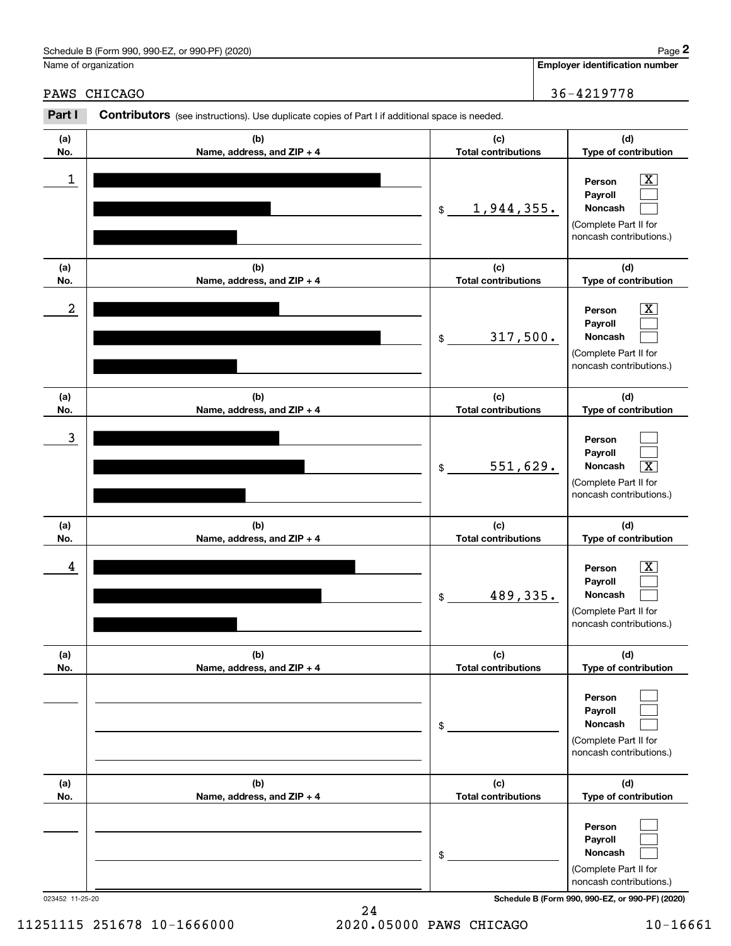|                  | Schedule B (Form 990, 990-EZ, or 990-PF) (2020)<br>Name of organization                        |                                   | Page 2<br><b>Employer identification number</b>                                                                                     |
|------------------|------------------------------------------------------------------------------------------------|-----------------------------------|-------------------------------------------------------------------------------------------------------------------------------------|
|                  |                                                                                                |                                   |                                                                                                                                     |
| PAWS             | CHICAGO                                                                                        |                                   | 36-4219778                                                                                                                          |
| Part I           | Contributors (see instructions). Use duplicate copies of Part I if additional space is needed. |                                   |                                                                                                                                     |
| (a)<br>No.       | (b)<br>Name, address, and ZIP + 4                                                              | (c)<br><b>Total contributions</b> | (d)<br>Type of contribution                                                                                                         |
| 1                |                                                                                                | 1,944,355.<br>\$                  | $\mathbf{X}$<br>Person<br>Payroll<br>Noncash<br>(Complete Part II for<br>noncash contributions.)                                    |
| (a)<br>No.       | (b)<br>Name, address, and ZIP + 4                                                              | (c)<br><b>Total contributions</b> | (d)<br>Type of contribution                                                                                                         |
| $\boldsymbol{2}$ |                                                                                                | 317,500.<br>\$                    | $\overline{\mathbf{X}}$<br>Person<br>Payroll<br>Noncash<br>(Complete Part II for<br>noncash contributions.)                         |
| (a)<br>No.       | (b)<br>Name, address, and ZIP + 4                                                              | (c)<br><b>Total contributions</b> | (d)<br>Type of contribution                                                                                                         |
| 3                |                                                                                                | 551,629.<br>\$                    | Person<br>Payroll<br>$\overline{\mathbf{X}}$<br>Noncash<br>(Complete Part II for<br>noncash contributions.)                         |
| (a)<br>No.       | (b)<br>Name, address, and ZIP + 4                                                              | (c)<br><b>Total contributions</b> | (d)<br>Type of contribution                                                                                                         |
| 4                |                                                                                                | 489,335.<br>\$                    | $\mathbf{X}$<br>Person<br>Payroll<br>Noncash<br>(Complete Part II for<br>noncash contributions.)                                    |
| (a)<br>No.       | (b)<br>Name, address, and ZIP + 4                                                              | (c)<br><b>Total contributions</b> | (d)<br>Type of contribution                                                                                                         |
|                  |                                                                                                | \$                                | Person<br>Payroll<br>Noncash<br>(Complete Part II for<br>noncash contributions.)                                                    |
| (a)<br>No.       | (b)<br>Name, address, and ZIP + 4                                                              | (c)<br><b>Total contributions</b> | (d)<br>Type of contribution                                                                                                         |
|                  | 023452 11-25-20                                                                                | \$                                | Person<br>Payroll<br>Noncash<br>(Complete Part II for<br>noncash contributions.)<br>Schedule B (Form 990, 990-EZ, or 990-PF) (2020) |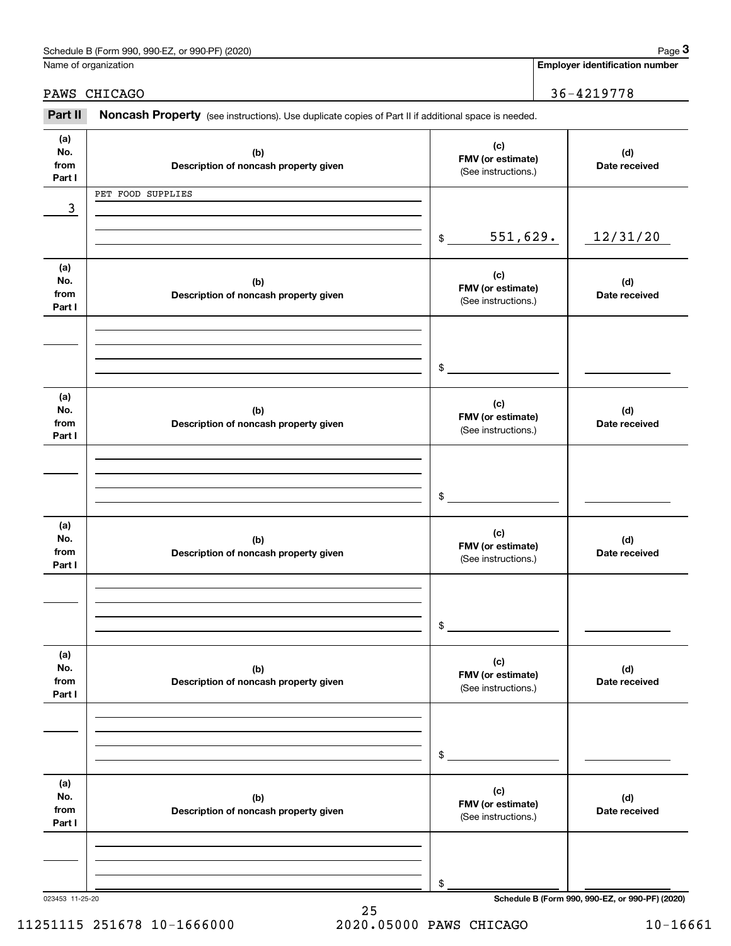|                              | Schedule B (Form 990, 990-EZ, or 990-PF) (2020)                                                     |                                                 | Page 3                                          |
|------------------------------|-----------------------------------------------------------------------------------------------------|-------------------------------------------------|-------------------------------------------------|
|                              | Name of organization                                                                                |                                                 | <b>Employer identification number</b>           |
| PAWS CHICAGO                 |                                                                                                     |                                                 | 36-4219778                                      |
| Part II                      | Noncash Property (see instructions). Use duplicate copies of Part II if additional space is needed. |                                                 |                                                 |
| (a)<br>No.<br>from<br>Part I | (b)<br>Description of noncash property given                                                        | (c)<br>FMV (or estimate)<br>(See instructions.) | (d)<br>Date received                            |
| 3                            | PET FOOD SUPPLIES                                                                                   |                                                 |                                                 |
|                              |                                                                                                     | 551,629.<br>$\frac{1}{2}$                       | 12/31/20                                        |
| (a)<br>No.<br>from<br>Part I | (b)<br>Description of noncash property given                                                        | (c)<br>FMV (or estimate)<br>(See instructions.) | (d)<br>Date received                            |
|                              |                                                                                                     | \$                                              |                                                 |
| (a)<br>No.<br>from<br>Part I | (b)<br>Description of noncash property given                                                        | (c)<br>FMV (or estimate)<br>(See instructions.) | (d)<br>Date received                            |
|                              |                                                                                                     | \$                                              |                                                 |
| (a)<br>No.<br>from<br>Part I | (b)<br>Description of noncash property given                                                        | (c)<br>FMV (or estimate)<br>(See instructions.) | (d)<br>Date received                            |
|                              |                                                                                                     | \$                                              |                                                 |
| (a)<br>No.<br>from<br>Part I | (b)<br>Description of noncash property given                                                        | (c)<br>FMV (or estimate)<br>(See instructions.) | (d)<br>Date received                            |
|                              |                                                                                                     | \$                                              |                                                 |
| (a)<br>No.<br>from<br>Part I | (b)<br>Description of noncash property given                                                        | (c)<br>FMV (or estimate)<br>(See instructions.) | (d)<br>Date received                            |
|                              |                                                                                                     | \$                                              |                                                 |
| 023453 11-25-20              |                                                                                                     |                                                 | Schedule B (Form 990, 990-EZ, or 990-PF) (2020) |

11251115 251678 10-1666000 2020.05000 PAWS CHICAGO 10-16661

25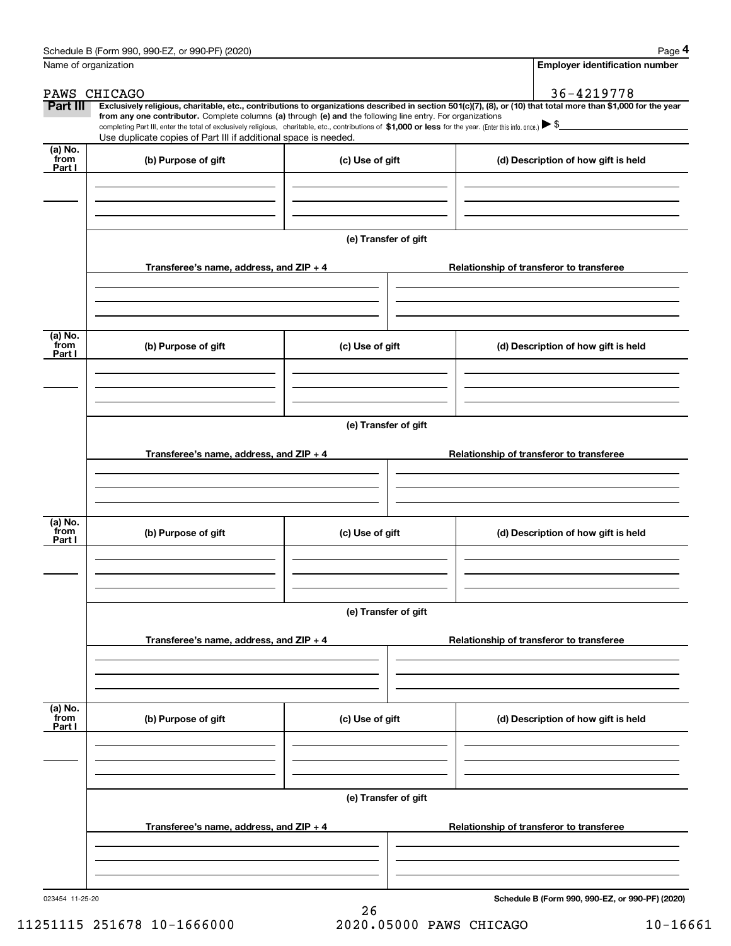|                 | Schedule B (Form 990, 990-EZ, or 990-PF) (2020)                                                                                                                                                                                                                                                 |                      |  | Page 4                                          |  |  |
|-----------------|-------------------------------------------------------------------------------------------------------------------------------------------------------------------------------------------------------------------------------------------------------------------------------------------------|----------------------|--|-------------------------------------------------|--|--|
|                 | Name of organization                                                                                                                                                                                                                                                                            |                      |  | <b>Employer identification number</b>           |  |  |
|                 | PAWS CHICAGO                                                                                                                                                                                                                                                                                    |                      |  | 36-4219778                                      |  |  |
| Part III        | Exclusively religious, charitable, etc., contributions to organizations described in section 501(c)(7), (8), or (10) that total more than \$1,000 for the year                                                                                                                                  |                      |  |                                                 |  |  |
|                 | from any one contributor. Complete columns (a) through (e) and the following line entry. For organizations<br>completing Part III, enter the total of exclusively religious, charitable, etc., contributions of \$1,000 or less for the year. (Enter this info. once.) $\blacktriangleright$ \$ |                      |  |                                                 |  |  |
|                 | Use duplicate copies of Part III if additional space is needed.                                                                                                                                                                                                                                 |                      |  |                                                 |  |  |
| (a) No.         |                                                                                                                                                                                                                                                                                                 |                      |  |                                                 |  |  |
| from<br>Part I  | (b) Purpose of gift                                                                                                                                                                                                                                                                             | (c) Use of gift      |  | (d) Description of how gift is held             |  |  |
|                 |                                                                                                                                                                                                                                                                                                 |                      |  |                                                 |  |  |
|                 |                                                                                                                                                                                                                                                                                                 |                      |  |                                                 |  |  |
|                 |                                                                                                                                                                                                                                                                                                 |                      |  |                                                 |  |  |
|                 |                                                                                                                                                                                                                                                                                                 |                      |  |                                                 |  |  |
|                 |                                                                                                                                                                                                                                                                                                 |                      |  |                                                 |  |  |
|                 | (e) Transfer of gift                                                                                                                                                                                                                                                                            |                      |  |                                                 |  |  |
|                 | Transferee's name, address, and ZIP + 4                                                                                                                                                                                                                                                         |                      |  | Relationship of transferor to transferee        |  |  |
|                 |                                                                                                                                                                                                                                                                                                 |                      |  |                                                 |  |  |
|                 |                                                                                                                                                                                                                                                                                                 |                      |  |                                                 |  |  |
|                 |                                                                                                                                                                                                                                                                                                 |                      |  |                                                 |  |  |
|                 |                                                                                                                                                                                                                                                                                                 |                      |  |                                                 |  |  |
| (a) No.<br>from |                                                                                                                                                                                                                                                                                                 |                      |  |                                                 |  |  |
| Part I          | (b) Purpose of gift                                                                                                                                                                                                                                                                             | (c) Use of gift      |  | (d) Description of how gift is held             |  |  |
|                 |                                                                                                                                                                                                                                                                                                 |                      |  |                                                 |  |  |
|                 |                                                                                                                                                                                                                                                                                                 |                      |  |                                                 |  |  |
|                 |                                                                                                                                                                                                                                                                                                 |                      |  |                                                 |  |  |
|                 |                                                                                                                                                                                                                                                                                                 |                      |  |                                                 |  |  |
|                 | (e) Transfer of gift                                                                                                                                                                                                                                                                            |                      |  |                                                 |  |  |
|                 |                                                                                                                                                                                                                                                                                                 |                      |  |                                                 |  |  |
|                 | Transferee's name, address, and ZIP + 4                                                                                                                                                                                                                                                         |                      |  | Relationship of transferor to transferee        |  |  |
|                 |                                                                                                                                                                                                                                                                                                 |                      |  |                                                 |  |  |
|                 |                                                                                                                                                                                                                                                                                                 |                      |  |                                                 |  |  |
|                 |                                                                                                                                                                                                                                                                                                 |                      |  |                                                 |  |  |
|                 |                                                                                                                                                                                                                                                                                                 |                      |  |                                                 |  |  |
| (a) No.<br>from | (b) Purpose of gift                                                                                                                                                                                                                                                                             | (c) Use of gift      |  | (d) Description of how gift is held             |  |  |
| Part I          |                                                                                                                                                                                                                                                                                                 |                      |  |                                                 |  |  |
|                 |                                                                                                                                                                                                                                                                                                 |                      |  |                                                 |  |  |
|                 |                                                                                                                                                                                                                                                                                                 |                      |  |                                                 |  |  |
|                 |                                                                                                                                                                                                                                                                                                 |                      |  |                                                 |  |  |
|                 |                                                                                                                                                                                                                                                                                                 | (e) Transfer of gift |  |                                                 |  |  |
|                 |                                                                                                                                                                                                                                                                                                 |                      |  |                                                 |  |  |
|                 | Transferee's name, address, and $ZIP + 4$                                                                                                                                                                                                                                                       |                      |  | Relationship of transferor to transferee        |  |  |
|                 |                                                                                                                                                                                                                                                                                                 |                      |  |                                                 |  |  |
|                 |                                                                                                                                                                                                                                                                                                 |                      |  |                                                 |  |  |
|                 |                                                                                                                                                                                                                                                                                                 |                      |  |                                                 |  |  |
|                 |                                                                                                                                                                                                                                                                                                 |                      |  |                                                 |  |  |
| (a) No.<br>from |                                                                                                                                                                                                                                                                                                 |                      |  |                                                 |  |  |
| Part I          | (b) Purpose of gift                                                                                                                                                                                                                                                                             | (c) Use of gift      |  | (d) Description of how gift is held             |  |  |
|                 |                                                                                                                                                                                                                                                                                                 |                      |  |                                                 |  |  |
|                 |                                                                                                                                                                                                                                                                                                 |                      |  |                                                 |  |  |
|                 |                                                                                                                                                                                                                                                                                                 |                      |  |                                                 |  |  |
|                 |                                                                                                                                                                                                                                                                                                 |                      |  |                                                 |  |  |
|                 | (e) Transfer of gift                                                                                                                                                                                                                                                                            |                      |  |                                                 |  |  |
|                 |                                                                                                                                                                                                                                                                                                 |                      |  |                                                 |  |  |
|                 | Transferee's name, address, and $ZIP + 4$                                                                                                                                                                                                                                                       |                      |  | Relationship of transferor to transferee        |  |  |
|                 |                                                                                                                                                                                                                                                                                                 |                      |  |                                                 |  |  |
|                 |                                                                                                                                                                                                                                                                                                 |                      |  |                                                 |  |  |
|                 |                                                                                                                                                                                                                                                                                                 |                      |  |                                                 |  |  |
|                 |                                                                                                                                                                                                                                                                                                 |                      |  |                                                 |  |  |
| 023454 11-25-20 |                                                                                                                                                                                                                                                                                                 |                      |  | Schedule B (Form 990, 990-EZ, or 990-PF) (2020) |  |  |

11251115 251678 10-1666000 2020.05000 PAWS CHICAGO 10-16661

26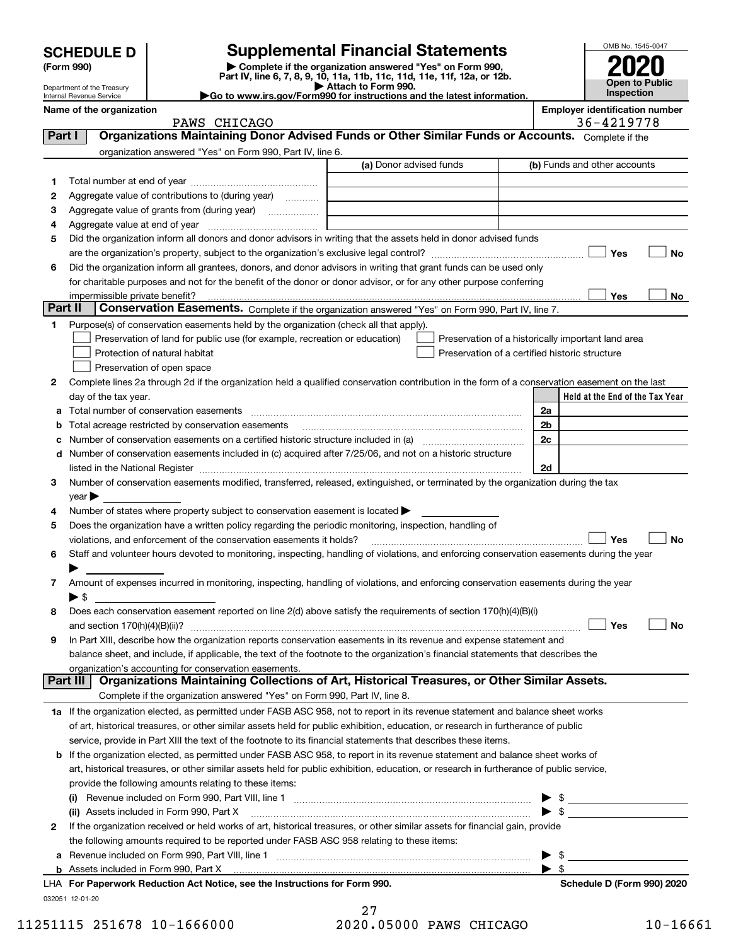| <b>SCHEDULE D</b> |  |
|-------------------|--|
|-------------------|--|

Department of the Treasury Internal Revenue Service

| (Form 990) |  |
|------------|--|
|------------|--|

# **SCHEDULE D Supplemental Financial Statements**

(Form 990)<br>
Pepartment of the Treasury<br>
Department of the Treasury<br>
Department of the Treasury<br>
Department of the Treasury<br> **Co to www.irs.gov/Form990 for instructions and the latest information.**<br> **Co to www.irs.gov/Form9** 



| Name of the organization |  |
|--------------------------|--|

|         | Name of the organization<br>PAWS CHICAGO                                                                                                       |                         |    | <b>Employer identification number</b><br>36-4219778                                                  |
|---------|------------------------------------------------------------------------------------------------------------------------------------------------|-------------------------|----|------------------------------------------------------------------------------------------------------|
| Part I  | Organizations Maintaining Donor Advised Funds or Other Similar Funds or Accounts. Complete if the                                              |                         |    |                                                                                                      |
|         | organization answered "Yes" on Form 990, Part IV, line 6.                                                                                      |                         |    |                                                                                                      |
|         |                                                                                                                                                | (a) Donor advised funds |    | (b) Funds and other accounts                                                                         |
|         |                                                                                                                                                |                         |    |                                                                                                      |
| 1.      |                                                                                                                                                |                         |    |                                                                                                      |
| 2       | Aggregate value of contributions to (during year)                                                                                              |                         |    |                                                                                                      |
| 3       | Aggregate value of grants from (during year)                                                                                                   |                         |    |                                                                                                      |
| 4       |                                                                                                                                                |                         |    |                                                                                                      |
| 5       | Did the organization inform all donors and donor advisors in writing that the assets held in donor advised funds                               |                         |    |                                                                                                      |
|         |                                                                                                                                                |                         |    | Yes<br>No                                                                                            |
| 6       | Did the organization inform all grantees, donors, and donor advisors in writing that grant funds can be used only                              |                         |    |                                                                                                      |
|         | for charitable purposes and not for the benefit of the donor or donor advisor, or for any other purpose conferring                             |                         |    |                                                                                                      |
| Part II | Conservation Easements. Complete if the organization answered "Yes" on Form 990, Part IV, line 7.                                              |                         |    | Yes<br>No                                                                                            |
|         |                                                                                                                                                |                         |    |                                                                                                      |
| 1       | Purpose(s) of conservation easements held by the organization (check all that apply).                                                          |                         |    |                                                                                                      |
|         | Preservation of land for public use (for example, recreation or education)<br>Protection of natural habitat                                    |                         |    | Preservation of a historically important land area<br>Preservation of a certified historic structure |
|         | Preservation of open space                                                                                                                     |                         |    |                                                                                                      |
|         |                                                                                                                                                |                         |    |                                                                                                      |
| 2       | Complete lines 2a through 2d if the organization held a qualified conservation contribution in the form of a conservation easement on the last |                         |    | Held at the End of the Tax Year                                                                      |
|         | day of the tax year.<br>Total number of conservation easements                                                                                 |                         |    | 2a                                                                                                   |
| a       | <b>b</b> Total acreage restricted by conservation easements                                                                                    |                         |    | 2 <sub>b</sub>                                                                                       |
|         |                                                                                                                                                |                         | 2c |                                                                                                      |
|         | d Number of conservation easements included in (c) acquired after 7/25/06, and not on a historic structure                                     |                         |    |                                                                                                      |
|         |                                                                                                                                                |                         |    | 2d                                                                                                   |
| з       | Number of conservation easements modified, transferred, released, extinguished, or terminated by the organization during the tax               |                         |    |                                                                                                      |
|         | $year \blacktriangleright$                                                                                                                     |                         |    |                                                                                                      |
| 4       | Number of states where property subject to conservation easement is located >                                                                  |                         |    |                                                                                                      |
| 5       | Does the organization have a written policy regarding the periodic monitoring, inspection, handling of                                         |                         |    |                                                                                                      |
|         | violations, and enforcement of the conservation easements it holds?                                                                            |                         |    | Yes<br><b>No</b>                                                                                     |
| 6       | Staff and volunteer hours devoted to monitoring, inspecting, handling of violations, and enforcing conservation easements during the year      |                         |    |                                                                                                      |
|         |                                                                                                                                                |                         |    |                                                                                                      |
| 7.      | Amount of expenses incurred in monitoring, inspecting, handling of violations, and enforcing conservation easements during the year            |                         |    |                                                                                                      |
|         | ▶ \$                                                                                                                                           |                         |    |                                                                                                      |
| 8       | Does each conservation easement reported on line 2(d) above satisfy the requirements of section 170(h)(4)(B)(i)                                |                         |    |                                                                                                      |
|         |                                                                                                                                                |                         |    | Yes<br>No                                                                                            |
|         | In Part XIII, describe how the organization reports conservation easements in its revenue and expense statement and                            |                         |    |                                                                                                      |
|         | balance sheet, and include, if applicable, the text of the footnote to the organization's financial statements that describes the              |                         |    |                                                                                                      |
|         | organization's accounting for conservation easements.                                                                                          |                         |    |                                                                                                      |
|         | Organizations Maintaining Collections of Art, Historical Treasures, or Other Similar Assets.<br><b>Part III</b>                                |                         |    |                                                                                                      |
|         | Complete if the organization answered "Yes" on Form 990, Part IV, line 8.                                                                      |                         |    |                                                                                                      |
|         | 1a If the organization elected, as permitted under FASB ASC 958, not to report in its revenue statement and balance sheet works                |                         |    |                                                                                                      |
|         | of art, historical treasures, or other similar assets held for public exhibition, education, or research in furtherance of public              |                         |    |                                                                                                      |
|         | service, provide in Part XIII the text of the footnote to its financial statements that describes these items.                                 |                         |    |                                                                                                      |
|         | <b>b</b> If the organization elected, as permitted under FASB ASC 958, to report in its revenue statement and balance sheet works of           |                         |    |                                                                                                      |
|         | art, historical treasures, or other similar assets held for public exhibition, education, or research in furtherance of public service,        |                         |    |                                                                                                      |
|         | provide the following amounts relating to these items:                                                                                         |                         |    |                                                                                                      |
|         |                                                                                                                                                |                         |    | $\blacktriangleright$ \$                                                                             |
|         | (ii) Assets included in Form 990, Part X                                                                                                       |                         |    | $\blacktriangleright$ \$                                                                             |
| 2       | If the organization received or held works of art, historical treasures, or other similar assets for financial gain, provide                   |                         |    |                                                                                                      |
|         | the following amounts required to be reported under FASB ASC 958 relating to these items:                                                      |                         |    |                                                                                                      |
|         |                                                                                                                                                |                         |    | - \$                                                                                                 |
|         |                                                                                                                                                |                         |    | $\blacktriangleright$ \$                                                                             |
|         | LHA For Paperwork Reduction Act Notice, see the Instructions for Form 990.                                                                     |                         |    | Schedule D (Form 990) 2020                                                                           |

032051 12-01-20

| 27                      |  |
|-------------------------|--|
| 2020.05000 PAWS CHICAGO |  |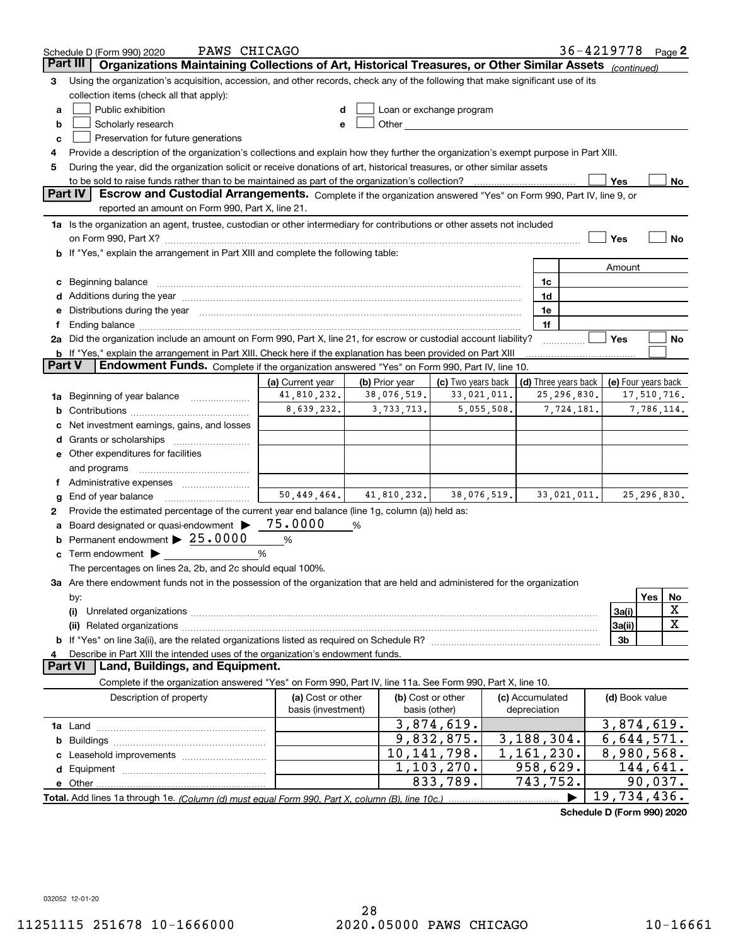|                                                                                                                                           | PAWS CHICAGO<br>Schedule D (Form 990) 2020                                                                                                                                                                                     |                    |                |                                                                                                                                                                                                                                |            |                         | 36-4219778 Page 2          |                     |               |             |
|-------------------------------------------------------------------------------------------------------------------------------------------|--------------------------------------------------------------------------------------------------------------------------------------------------------------------------------------------------------------------------------|--------------------|----------------|--------------------------------------------------------------------------------------------------------------------------------------------------------------------------------------------------------------------------------|------------|-------------------------|----------------------------|---------------------|---------------|-------------|
|                                                                                                                                           | Part III<br>Organizations Maintaining Collections of Art, Historical Treasures, or Other Similar Assets (continued)                                                                                                            |                    |                |                                                                                                                                                                                                                                |            |                         |                            |                     |               |             |
| з                                                                                                                                         | Using the organization's acquisition, accession, and other records, check any of the following that make significant use of its                                                                                                |                    |                |                                                                                                                                                                                                                                |            |                         |                            |                     |               |             |
|                                                                                                                                           | collection items (check all that apply):                                                                                                                                                                                       |                    |                |                                                                                                                                                                                                                                |            |                         |                            |                     |               |             |
| a                                                                                                                                         | Public exhibition                                                                                                                                                                                                              |                    |                | Loan or exchange program                                                                                                                                                                                                       |            |                         |                            |                     |               |             |
| b                                                                                                                                         | Scholarly research                                                                                                                                                                                                             |                    |                | Other and the control of the control of the control of the control of the control of the control of the control of the control of the control of the control of the control of the control of the control of the control of th |            |                         |                            |                     |               |             |
| c                                                                                                                                         | Preservation for future generations                                                                                                                                                                                            |                    |                |                                                                                                                                                                                                                                |            |                         |                            |                     |               |             |
| Provide a description of the organization's collections and explain how they further the organization's exempt purpose in Part XIII.<br>4 |                                                                                                                                                                                                                                |                    |                |                                                                                                                                                                                                                                |            |                         |                            |                     |               |             |
| During the year, did the organization solicit or receive donations of art, historical treasures, or other similar assets<br>5             |                                                                                                                                                                                                                                |                    |                |                                                                                                                                                                                                                                |            |                         |                            |                     |               |             |
|                                                                                                                                           | to be sold to raise funds rather than to be maintained as part of the organization's collection?                                                                                                                               |                    |                |                                                                                                                                                                                                                                |            |                         |                            | Yes                 |               | No          |
|                                                                                                                                           | <b>Part IV</b><br>Escrow and Custodial Arrangements. Complete if the organization answered "Yes" on Form 990, Part IV, line 9, or                                                                                              |                    |                |                                                                                                                                                                                                                                |            |                         |                            |                     |               |             |
|                                                                                                                                           | reported an amount on Form 990, Part X, line 21.                                                                                                                                                                               |                    |                |                                                                                                                                                                                                                                |            |                         |                            |                     |               |             |
|                                                                                                                                           | 1a Is the organization an agent, trustee, custodian or other intermediary for contributions or other assets not included                                                                                                       |                    |                |                                                                                                                                                                                                                                |            |                         |                            |                     |               |             |
|                                                                                                                                           |                                                                                                                                                                                                                                |                    |                |                                                                                                                                                                                                                                |            |                         |                            | Yes                 |               | No          |
|                                                                                                                                           | b If "Yes," explain the arrangement in Part XIII and complete the following table:                                                                                                                                             |                    |                |                                                                                                                                                                                                                                |            |                         |                            |                     |               |             |
|                                                                                                                                           |                                                                                                                                                                                                                                |                    |                |                                                                                                                                                                                                                                |            | 1c                      |                            | Amount              |               |             |
| c                                                                                                                                         |                                                                                                                                                                                                                                |                    |                |                                                                                                                                                                                                                                |            | 1d                      |                            |                     |               |             |
| е                                                                                                                                         | Distributions during the year manufactured and an account of the state of the state of the state of the state o                                                                                                                |                    |                |                                                                                                                                                                                                                                |            | 1e                      |                            |                     |               |             |
| Ť.                                                                                                                                        | Ending balance manufactured and contact the contract of the contract of the contract of the contract of the contract of the contract of the contract of the contract of the contract of the contract of the contract of the co |                    |                |                                                                                                                                                                                                                                |            | 1f                      |                            |                     |               |             |
|                                                                                                                                           | 2a Did the organization include an amount on Form 990, Part X, line 21, for escrow or custodial account liability?                                                                                                             |                    |                |                                                                                                                                                                                                                                |            |                         |                            | Yes                 |               | No          |
|                                                                                                                                           | <b>b</b> If "Yes," explain the arrangement in Part XIII. Check here if the explanation has been provided on Part XIII                                                                                                          |                    |                |                                                                                                                                                                                                                                |            |                         |                            |                     |               |             |
| Part V                                                                                                                                    | Endowment Funds. Complete if the organization answered "Yes" on Form 990, Part IV, line 10.                                                                                                                                    |                    |                |                                                                                                                                                                                                                                |            |                         |                            |                     |               |             |
|                                                                                                                                           |                                                                                                                                                                                                                                | (a) Current year   | (b) Prior year | (c) Two years back                                                                                                                                                                                                             |            | (d) Three years back    |                            | (e) Four years back |               |             |
| 1a                                                                                                                                        | Beginning of year balance                                                                                                                                                                                                      | 41,810,232.        | 38,076,519.    | 33,021,011.                                                                                                                                                                                                                    |            |                         | 25,296,830.                |                     | 17,510,716.   |             |
| b                                                                                                                                         |                                                                                                                                                                                                                                | 8,639,232.         | 3,733,713.     |                                                                                                                                                                                                                                | 5,055,508. |                         | 7,724,181.                 |                     | 7,786,114.    |             |
|                                                                                                                                           | Net investment earnings, gains, and losses                                                                                                                                                                                     |                    |                |                                                                                                                                                                                                                                |            |                         |                            |                     |               |             |
| d                                                                                                                                         | Grants or scholarships                                                                                                                                                                                                         |                    |                |                                                                                                                                                                                                                                |            |                         |                            |                     |               |             |
|                                                                                                                                           | e Other expenditures for facilities                                                                                                                                                                                            |                    |                |                                                                                                                                                                                                                                |            |                         |                            |                     |               |             |
|                                                                                                                                           | and programs                                                                                                                                                                                                                   |                    |                |                                                                                                                                                                                                                                |            |                         |                            |                     |               |             |
|                                                                                                                                           | f Administrative expenses                                                                                                                                                                                                      |                    |                |                                                                                                                                                                                                                                |            |                         |                            |                     |               |             |
| g                                                                                                                                         | End of year balance                                                                                                                                                                                                            | 50,449,464.        | 41,810,232.    | 38,076,519.                                                                                                                                                                                                                    |            |                         | 33,021,011.                |                     | 25, 296, 830. |             |
| 2                                                                                                                                         | Provide the estimated percentage of the current year end balance (line 1g, column (a)) held as:                                                                                                                                |                    |                |                                                                                                                                                                                                                                |            |                         |                            |                     |               |             |
| а                                                                                                                                         | Board designated or quasi-endowment                                                                                                                                                                                            | 75.0000            | %              |                                                                                                                                                                                                                                |            |                         |                            |                     |               |             |
|                                                                                                                                           | Permanent endowment $\triangleright$ 25.0000                                                                                                                                                                                   | $\%$               |                |                                                                                                                                                                                                                                |            |                         |                            |                     |               |             |
|                                                                                                                                           | Term endowment $\blacktriangleright$                                                                                                                                                                                           | %                  |                |                                                                                                                                                                                                                                |            |                         |                            |                     |               |             |
|                                                                                                                                           | The percentages on lines 2a, 2b, and 2c should equal 100%.                                                                                                                                                                     |                    |                |                                                                                                                                                                                                                                |            |                         |                            |                     |               |             |
|                                                                                                                                           | 3a Are there endowment funds not in the possession of the organization that are held and administered for the organization                                                                                                     |                    |                |                                                                                                                                                                                                                                |            |                         |                            |                     | Yes           |             |
|                                                                                                                                           | by:<br>(i)                                                                                                                                                                                                                     |                    |                |                                                                                                                                                                                                                                |            |                         |                            | 3a(i)               |               | No<br>X     |
|                                                                                                                                           |                                                                                                                                                                                                                                |                    |                |                                                                                                                                                                                                                                |            |                         |                            | 3a(ii)              |               | $\mathbf X$ |
|                                                                                                                                           |                                                                                                                                                                                                                                |                    |                |                                                                                                                                                                                                                                |            |                         |                            | 3b                  |               |             |
| 4                                                                                                                                         | Describe in Part XIII the intended uses of the organization's endowment funds.                                                                                                                                                 |                    |                |                                                                                                                                                                                                                                |            |                         |                            |                     |               |             |
|                                                                                                                                           | Land, Buildings, and Equipment.<br>Part VI                                                                                                                                                                                     |                    |                |                                                                                                                                                                                                                                |            |                         |                            |                     |               |             |
|                                                                                                                                           | Complete if the organization answered "Yes" on Form 990, Part IV, line 11a. See Form 990, Part X, line 10.                                                                                                                     |                    |                |                                                                                                                                                                                                                                |            |                         |                            |                     |               |             |
|                                                                                                                                           | Description of property                                                                                                                                                                                                        | (a) Cost or other  |                | (b) Cost or other                                                                                                                                                                                                              |            | (c) Accumulated         |                            | (d) Book value      |               |             |
|                                                                                                                                           |                                                                                                                                                                                                                                | basis (investment) |                | basis (other)                                                                                                                                                                                                                  |            | depreciation            |                            |                     |               |             |
|                                                                                                                                           |                                                                                                                                                                                                                                |                    |                | 3,874,619.                                                                                                                                                                                                                     |            |                         |                            | 3,874,619.          |               |             |
| b                                                                                                                                         |                                                                                                                                                                                                                                |                    |                | 9,832,875.                                                                                                                                                                                                                     |            | 3,188,304.              |                            | 6,644,571.          |               |             |
|                                                                                                                                           |                                                                                                                                                                                                                                |                    |                | 10, 141, 798.                                                                                                                                                                                                                  |            | $\overline{1,}161,230.$ |                            | 8,980,568.          |               |             |
|                                                                                                                                           |                                                                                                                                                                                                                                |                    |                | $\overline{1}$ , 103, 270.                                                                                                                                                                                                     |            | 958,629.                |                            |                     | 144,641.      |             |
|                                                                                                                                           |                                                                                                                                                                                                                                |                    |                | 833,789.                                                                                                                                                                                                                       |            | 743, 752.               |                            |                     | 90,037.       |             |
|                                                                                                                                           |                                                                                                                                                                                                                                |                    |                |                                                                                                                                                                                                                                |            |                         |                            | 19,734,436.         |               |             |
|                                                                                                                                           |                                                                                                                                                                                                                                |                    |                |                                                                                                                                                                                                                                |            |                         | Cahadula D (Faum 000) 0000 |                     |               |             |

**Schedule D (Form 990) 2020**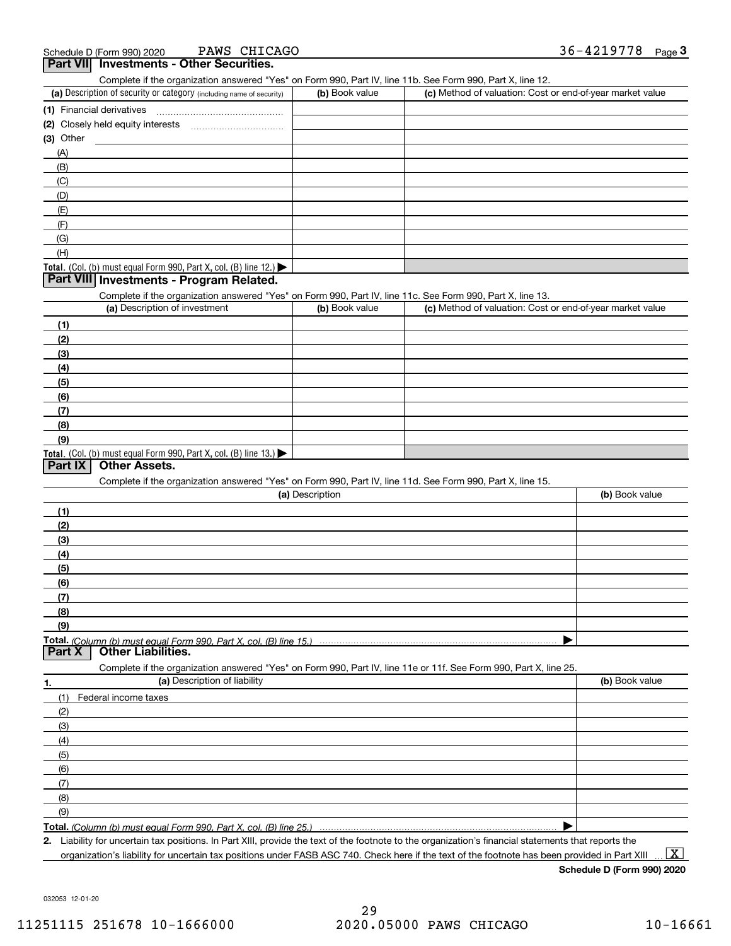PAWS CHICAGO

| PAWS CHICAGO<br>Schedule D (Form 990) 2020                                                                                                                                         |                 |                                                           | 36-4219778<br>Page $3$ |
|------------------------------------------------------------------------------------------------------------------------------------------------------------------------------------|-----------------|-----------------------------------------------------------|------------------------|
| Part VII Investments - Other Securities.                                                                                                                                           |                 |                                                           |                        |
| Complete if the organization answered "Yes" on Form 990, Part IV, line 11b. See Form 990, Part X, line 12.<br>(a) Description of security or category (including name of security) | (b) Book value  | (c) Method of valuation: Cost or end-of-year market value |                        |
|                                                                                                                                                                                    |                 |                                                           |                        |
|                                                                                                                                                                                    |                 |                                                           |                        |
| (3) Other                                                                                                                                                                          |                 |                                                           |                        |
| (A)                                                                                                                                                                                |                 |                                                           |                        |
| (B)                                                                                                                                                                                |                 |                                                           |                        |
| (C)                                                                                                                                                                                |                 |                                                           |                        |
| (D)                                                                                                                                                                                |                 |                                                           |                        |
| (E)                                                                                                                                                                                |                 |                                                           |                        |
| (F)                                                                                                                                                                                |                 |                                                           |                        |
| (G)                                                                                                                                                                                |                 |                                                           |                        |
| (H)                                                                                                                                                                                |                 |                                                           |                        |
| Total. (Col. (b) must equal Form 990, Part X, col. (B) line 12.)                                                                                                                   |                 |                                                           |                        |
| Part VIII Investments - Program Related.                                                                                                                                           |                 |                                                           |                        |
| Complete if the organization answered "Yes" on Form 990, Part IV, line 11c. See Form 990, Part X, line 13.                                                                         |                 |                                                           |                        |
| (a) Description of investment                                                                                                                                                      | (b) Book value  | (c) Method of valuation: Cost or end-of-year market value |                        |
| (1)                                                                                                                                                                                |                 |                                                           |                        |
| (2)                                                                                                                                                                                |                 |                                                           |                        |
| (3)                                                                                                                                                                                |                 |                                                           |                        |
| (4)                                                                                                                                                                                |                 |                                                           |                        |
| (5)                                                                                                                                                                                |                 |                                                           |                        |
| (6)                                                                                                                                                                                |                 |                                                           |                        |
| (7)                                                                                                                                                                                |                 |                                                           |                        |
| (8)                                                                                                                                                                                |                 |                                                           |                        |
| (9)                                                                                                                                                                                |                 |                                                           |                        |
| Total. (Col. (b) must equal Form 990, Part X, col. (B) line 13.)<br><b>Other Assets.</b><br>Part IX                                                                                |                 |                                                           |                        |
|                                                                                                                                                                                    |                 |                                                           |                        |
| Complete if the organization answered "Yes" on Form 990, Part IV, line 11d. See Form 990, Part X, line 15.                                                                         | (a) Description |                                                           | (b) Book value         |
| (1)                                                                                                                                                                                |                 |                                                           |                        |
| (2)                                                                                                                                                                                |                 |                                                           |                        |
| (3)                                                                                                                                                                                |                 |                                                           |                        |
| (4)                                                                                                                                                                                |                 |                                                           |                        |
| (5)                                                                                                                                                                                |                 |                                                           |                        |
| (6)                                                                                                                                                                                |                 |                                                           |                        |
| (7)                                                                                                                                                                                |                 |                                                           |                        |
| (8)                                                                                                                                                                                |                 |                                                           |                        |
| (9)                                                                                                                                                                                |                 |                                                           |                        |
|                                                                                                                                                                                    |                 |                                                           |                        |
| <b>Other Liabilities.</b><br>Part X                                                                                                                                                |                 |                                                           |                        |
| Complete if the organization answered "Yes" on Form 990, Part IV, line 11e or 11f. See Form 990, Part X, line 25.                                                                  |                 |                                                           |                        |
| (a) Description of liability<br>1.                                                                                                                                                 |                 |                                                           | (b) Book value         |
| (1)<br>Federal income taxes                                                                                                                                                        |                 |                                                           |                        |
| (2)                                                                                                                                                                                |                 |                                                           |                        |
| (3)                                                                                                                                                                                |                 |                                                           |                        |
| (4)                                                                                                                                                                                |                 |                                                           |                        |
| (5)                                                                                                                                                                                |                 |                                                           |                        |
| (6)                                                                                                                                                                                |                 |                                                           |                        |
| (7)                                                                                                                                                                                |                 |                                                           |                        |
| (8)                                                                                                                                                                                |                 |                                                           |                        |
| (9)                                                                                                                                                                                |                 |                                                           |                        |
| Total. (Column (b) must equal Form 990, Part X, col. (B) line 25.)                                                                                                                 |                 |                                                           |                        |
| 2. Liability for uncertain tax positions. In Part XIII, provide the text of the footnote to the organization's financial statements that reports the                               |                 |                                                           |                        |

organization's liability for uncertain tax positions under FASB ASC 740. Check here if the text of the footnote has been provided in Part XIII  $\boxed{\text{X}}$ 

**Schedule D (Form 990) 2020**

032053 12-01-20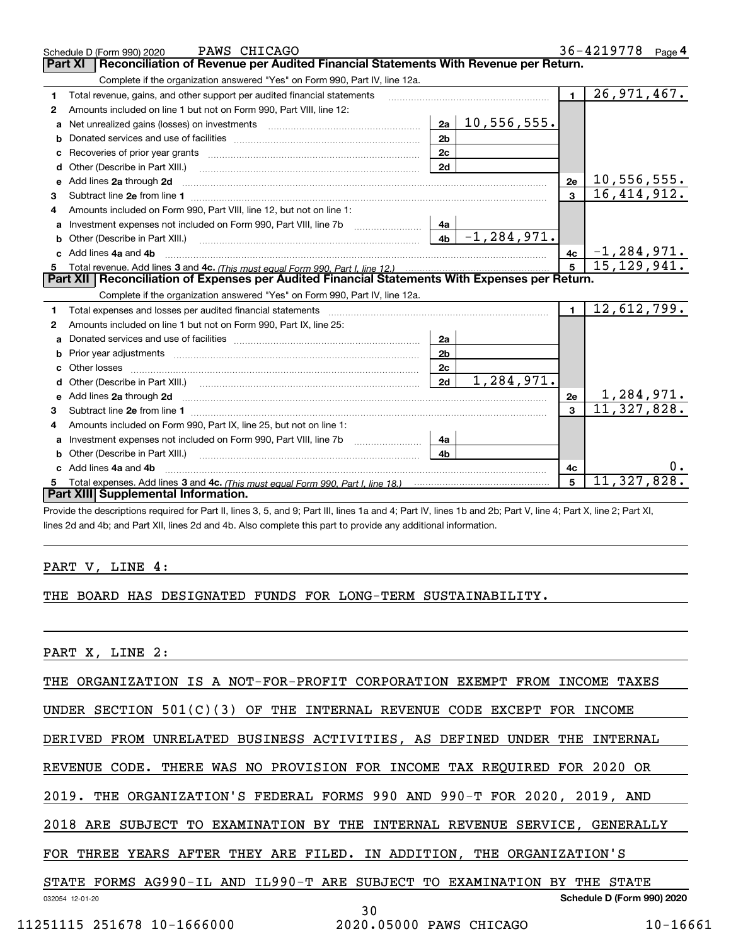|   | PAWS CHICAGO<br>Schedule D (Form 990) 2020                                                                                                                                                                                           |                |                 |                | 36-4219778<br>Page 4        |
|---|--------------------------------------------------------------------------------------------------------------------------------------------------------------------------------------------------------------------------------------|----------------|-----------------|----------------|-----------------------------|
|   | Reconciliation of Revenue per Audited Financial Statements With Revenue per Return.<br>Part XI                                                                                                                                       |                |                 |                |                             |
|   | Complete if the organization answered "Yes" on Form 990, Part IV, line 12a.                                                                                                                                                          |                |                 |                |                             |
| 1 | Total revenue, gains, and other support per audited financial statements                                                                                                                                                             |                |                 | $\blacksquare$ | 26,971,467.                 |
| 2 | Amounts included on line 1 but not on Form 990, Part VIII, line 12:                                                                                                                                                                  |                |                 |                |                             |
| a | Net unrealized gains (losses) on investments [11] matter contracts and the unrealized gains (losses) on investments                                                                                                                  | 2a             | 10,556,555.     |                |                             |
| b |                                                                                                                                                                                                                                      | 2 <sub>b</sub> |                 |                |                             |
| с | Recoveries of prior year grants [11,111] Recoveries of prior year grants [11,111] Recoveries of prior year grants                                                                                                                    | 2c             |                 |                |                             |
| d |                                                                                                                                                                                                                                      | 2d             |                 |                |                             |
|   | e Add lines 2a through 2d                                                                                                                                                                                                            |                |                 | 2e             | 10,556,555.                 |
| 3 |                                                                                                                                                                                                                                      |                |                 | $\mathbf{3}$   | 16, 414, 912.               |
| 4 | Amounts included on Form 990, Part VIII, line 12, but not on line 1:                                                                                                                                                                 |                |                 |                |                             |
| a |                                                                                                                                                                                                                                      | 4a             |                 |                |                             |
| b |                                                                                                                                                                                                                                      | 4 <sub>b</sub> | $-1, 284, 971.$ |                |                             |
|   | Add lines 4a and 4b                                                                                                                                                                                                                  |                |                 | 4c             | $-1,284,971.$               |
|   |                                                                                                                                                                                                                                      |                |                 | 5              | 15, 129, 941.               |
|   | Part XII   Reconciliation of Expenses per Audited Financial Statements With Expenses per Return.                                                                                                                                     |                |                 |                |                             |
|   | Complete if the organization answered "Yes" on Form 990, Part IV, line 12a.                                                                                                                                                          |                |                 |                |                             |
| 1 | Total expenses and losses per audited financial statements                                                                                                                                                                           |                |                 | $\blacksquare$ | 12,612,799.                 |
| 2 | Amounts included on line 1 but not on Form 990, Part IX, line 25:                                                                                                                                                                    |                |                 |                |                             |
| a |                                                                                                                                                                                                                                      | 2a             |                 |                |                             |
| b |                                                                                                                                                                                                                                      | 2 <sub>b</sub> |                 |                |                             |
|   |                                                                                                                                                                                                                                      | 2c             |                 |                |                             |
| d |                                                                                                                                                                                                                                      | 2d             | 1,284,971.      |                |                             |
| е | Add lines 2a through 2d <b>continuum contract and all contract and all contract and all contract and all contract and all contract and all contract and all contract and all contract and all contract and all contract and all </b> |                |                 | 2e             | 1,284,971.                  |
| з |                                                                                                                                                                                                                                      |                |                 | $\mathbf{3}$   | $\overline{11}$ , 327, 828. |
| 4 | Amounts included on Form 990, Part IX, line 25, but not on line 1:                                                                                                                                                                   |                |                 |                |                             |
| a | Investment expenses not included on Form 990, Part VIII, line 7b [1000000000000000000000000000000000                                                                                                                                 | 4a             |                 |                |                             |
| b | Other (Describe in Part XIII.) <b>2006</b> 2007 2010 2010 2010 2010 2011 2012 2013 2014 2014 2015 2016 2017 2018 2019 2016 2017 2018 2019 2016 2017 2018 2019 2016 2017 2018 2019 2018 2019 2019 2016 2017 2018 2019 2018 2019 2019  | 4 <sub>h</sub> |                 |                |                             |
|   | Add lines 4a and 4b                                                                                                                                                                                                                  |                |                 | 4c             | 0.                          |
| 5 |                                                                                                                                                                                                                                      |                |                 | 5              | 11,327,828.                 |
|   | Part XIII Supplemental Information.                                                                                                                                                                                                  |                |                 |                |                             |
|   | Provide the descriptions required for Part II, lines 3, 5, and 9; Part III, lines 1a and 4; Part IV, lines 1b and 2b; Part V, line 4; Part X, line 2; Part XI,                                                                       |                |                 |                |                             |

lines 2d and 4b; and Part XII, lines 2d and 4b. Also complete this part to provide any additional information.

#### PART V, LINE 4:

#### THE BOARD HAS DESIGNATED FUNDS FOR LONG-TERM SUSTAINABILITY.

PART X, LINE 2:

THE ORGANIZATION IS A NOT-FOR-PROFIT CORPORATION EXEMPT FROM INCOME TAXES

UNDER SECTION 501(C)(3) OF THE INTERNAL REVENUE CODE EXCEPT FOR INCOME

DERIVED FROM UNRELATED BUSINESS ACTIVITIES, AS DEFINED UNDER THE INTERNAL

REVENUE CODE. THERE WAS NO PROVISION FOR INCOME TAX REQUIRED FOR 2020 OR

2019. THE ORGANIZATION'S FEDERAL FORMS 990 AND 990-T FOR 2020, 2019, AND

2018 ARE SUBJECT TO EXAMINATION BY THE INTERNAL REVENUE SERVICE, GENERALLY

FOR THREE YEARS AFTER THEY ARE FILED. IN ADDITION, THE ORGANIZATION'S

#### **Schedule D (Form 990) 2020** STATE FORMS AG990-IL AND IL990-T ARE SUBJECT TO EXAMINATION BY THE STATE

30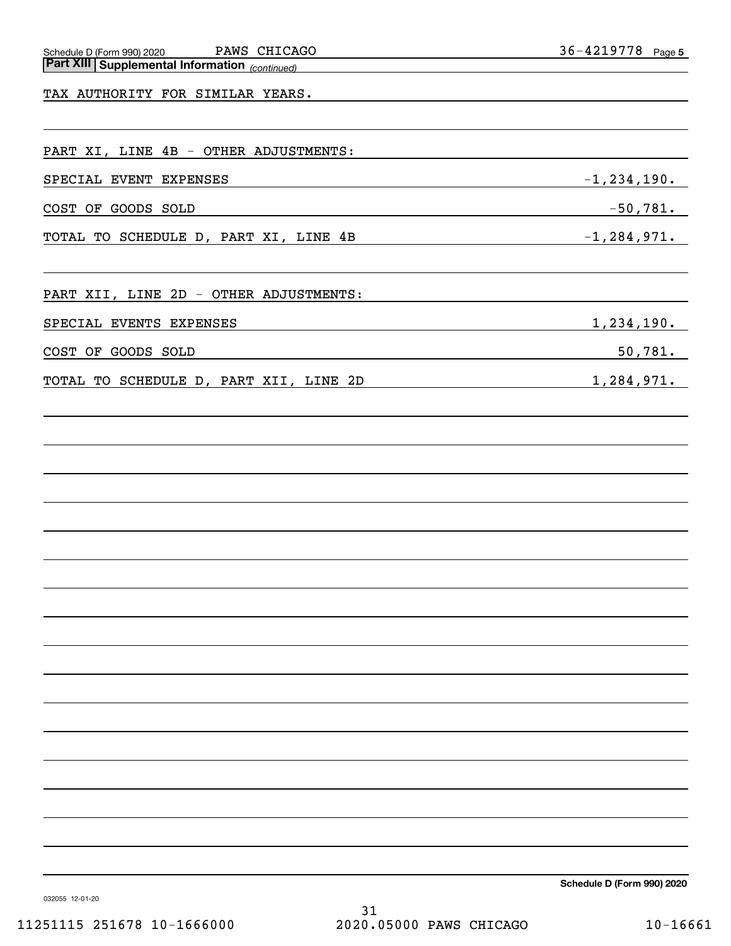| PART XI, LINE 4B - OTHER ADJUSTMENTS:  |                            |
|----------------------------------------|----------------------------|
| SPECIAL EVENT EXPENSES                 | $-1, 234, 190.$            |
| COST OF GOODS SOLD                     | $-50,781$ .                |
| TOTAL TO SCHEDULE D, PART XI, LINE 4B  | $-1, 284, 971.$            |
|                                        |                            |
| PART XII, LINE 2D - OTHER ADJUSTMENTS: |                            |
| SPECIAL EVENTS EXPENSES                | 1,234,190.                 |
| COST OF GOODS SOLD                     | 50,781.                    |
| TOTAL TO SCHEDULE D, PART XII, LINE 2D | 1,284,971.                 |
|                                        |                            |
|                                        |                            |
|                                        |                            |
|                                        |                            |
|                                        |                            |
|                                        |                            |
|                                        |                            |
|                                        |                            |
|                                        |                            |
|                                        |                            |
|                                        |                            |
|                                        |                            |
|                                        |                            |
|                                        |                            |
|                                        |                            |
|                                        |                            |
|                                        | Schedule D (Form 990) 2020 |

Schedule D (Form 990) 2020 PAWS CHICAGO 3 6-4 219 778 Page

032055 12-01-20

**5**

*(continued)* **Part XIII Supplemental Information** 

TAX AUTHORITY FOR SIMILAR YEARS.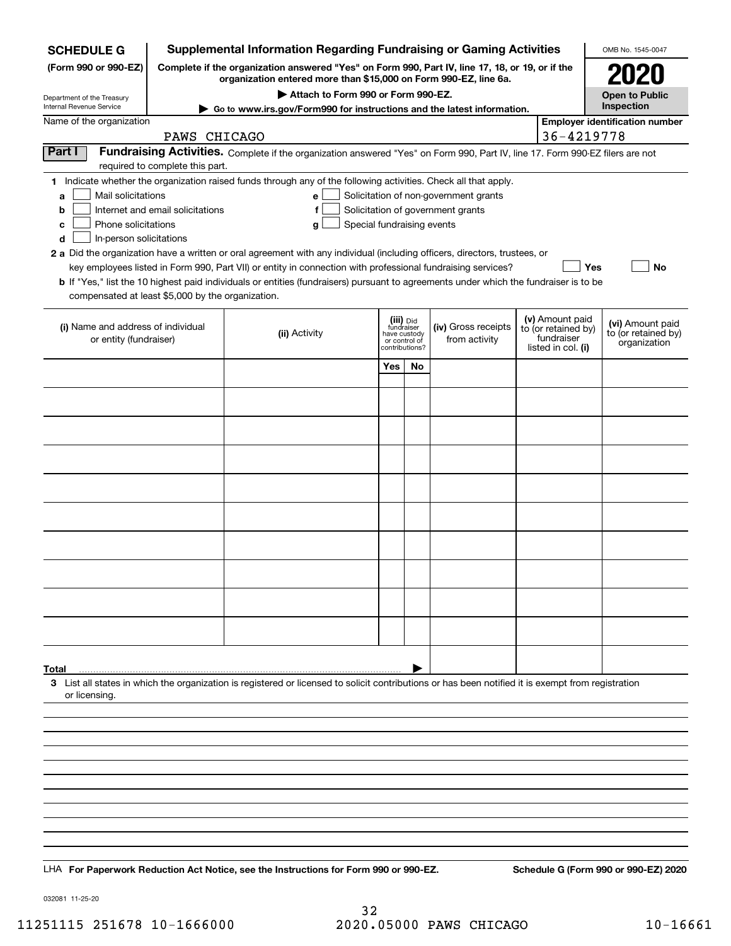| <b>Supplemental Information Regarding Fundraising or Gaming Activities</b><br><b>SCHEDULE G</b>                                                                          |                                                                                                                                                                     |                                                                                                                                                                                                                                                                                                                                                                                                                                                                                                                                                    |                                                                            |           |                                                                            |  | OMB No. 1545-0047                                                          |                                                         |  |
|--------------------------------------------------------------------------------------------------------------------------------------------------------------------------|---------------------------------------------------------------------------------------------------------------------------------------------------------------------|----------------------------------------------------------------------------------------------------------------------------------------------------------------------------------------------------------------------------------------------------------------------------------------------------------------------------------------------------------------------------------------------------------------------------------------------------------------------------------------------------------------------------------------------------|----------------------------------------------------------------------------|-----------|----------------------------------------------------------------------------|--|----------------------------------------------------------------------------|---------------------------------------------------------|--|
| (Form 990 or 990-EZ)                                                                                                                                                     | Complete if the organization answered "Yes" on Form 990, Part IV, line 17, 18, or 19, or if the<br>organization entered more than \$15,000 on Form 990-EZ, line 6a. |                                                                                                                                                                                                                                                                                                                                                                                                                                                                                                                                                    |                                                                            |           |                                                                            |  |                                                                            |                                                         |  |
| Attach to Form 990 or Form 990-EZ.<br>Department of the Treasury<br>Internal Revenue Service<br>► Go to www.irs.gov/Form990 for instructions and the latest information. |                                                                                                                                                                     |                                                                                                                                                                                                                                                                                                                                                                                                                                                                                                                                                    |                                                                            |           |                                                                            |  |                                                                            | <b>Open to Public</b><br>Inspection                     |  |
| Name of the organization                                                                                                                                                 |                                                                                                                                                                     |                                                                                                                                                                                                                                                                                                                                                                                                                                                                                                                                                    |                                                                            |           |                                                                            |  |                                                                            | <b>Employer identification number</b>                   |  |
|                                                                                                                                                                          | PAWS CHICAGO                                                                                                                                                        |                                                                                                                                                                                                                                                                                                                                                                                                                                                                                                                                                    |                                                                            |           |                                                                            |  | 36-4219778                                                                 |                                                         |  |
| Part I                                                                                                                                                                   | required to complete this part.                                                                                                                                     | Fundraising Activities. Complete if the organization answered "Yes" on Form 990, Part IV, line 17. Form 990-EZ filers are not                                                                                                                                                                                                                                                                                                                                                                                                                      |                                                                            |           |                                                                            |  |                                                                            |                                                         |  |
| Mail solicitations<br>a<br>b<br>Phone solicitations<br>с<br>In-person solicitations<br>d<br>compensated at least \$5,000 by the organization.                            | Internet and email solicitations                                                                                                                                    | 1 Indicate whether the organization raised funds through any of the following activities. Check all that apply.<br>е<br>f<br>Special fundraising events<br>g<br>2 a Did the organization have a written or oral agreement with any individual (including officers, directors, trustees, or<br>key employees listed in Form 990, Part VII) or entity in connection with professional fundraising services?<br>b If "Yes," list the 10 highest paid individuals or entities (fundraisers) pursuant to agreements under which the fundraiser is to be |                                                                            |           | Solicitation of non-government grants<br>Solicitation of government grants |  | Yes                                                                        | <b>No</b>                                               |  |
| (i) Name and address of individual<br>or entity (fundraiser)                                                                                                             |                                                                                                                                                                     | (ii) Activity                                                                                                                                                                                                                                                                                                                                                                                                                                                                                                                                      | (iii) Did<br>fundraiser<br>have custody<br>or control of<br>contributions? |           | (iv) Gross receipts<br>from activity                                       |  | (v) Amount paid<br>to (or retained by)<br>fundraiser<br>listed in col. (i) | (vi) Amount paid<br>to (or retained by)<br>organization |  |
|                                                                                                                                                                          |                                                                                                                                                                     |                                                                                                                                                                                                                                                                                                                                                                                                                                                                                                                                                    | Yes                                                                        | <b>No</b> |                                                                            |  |                                                                            |                                                         |  |
|                                                                                                                                                                          |                                                                                                                                                                     |                                                                                                                                                                                                                                                                                                                                                                                                                                                                                                                                                    |                                                                            |           |                                                                            |  |                                                                            |                                                         |  |
|                                                                                                                                                                          |                                                                                                                                                                     |                                                                                                                                                                                                                                                                                                                                                                                                                                                                                                                                                    |                                                                            |           |                                                                            |  |                                                                            |                                                         |  |
|                                                                                                                                                                          |                                                                                                                                                                     |                                                                                                                                                                                                                                                                                                                                                                                                                                                                                                                                                    |                                                                            |           |                                                                            |  |                                                                            |                                                         |  |
|                                                                                                                                                                          |                                                                                                                                                                     |                                                                                                                                                                                                                                                                                                                                                                                                                                                                                                                                                    |                                                                            |           |                                                                            |  |                                                                            |                                                         |  |
|                                                                                                                                                                          |                                                                                                                                                                     |                                                                                                                                                                                                                                                                                                                                                                                                                                                                                                                                                    |                                                                            |           |                                                                            |  |                                                                            |                                                         |  |
|                                                                                                                                                                          |                                                                                                                                                                     |                                                                                                                                                                                                                                                                                                                                                                                                                                                                                                                                                    |                                                                            |           |                                                                            |  |                                                                            |                                                         |  |
|                                                                                                                                                                          |                                                                                                                                                                     |                                                                                                                                                                                                                                                                                                                                                                                                                                                                                                                                                    |                                                                            |           |                                                                            |  |                                                                            |                                                         |  |
|                                                                                                                                                                          |                                                                                                                                                                     |                                                                                                                                                                                                                                                                                                                                                                                                                                                                                                                                                    |                                                                            |           |                                                                            |  |                                                                            |                                                         |  |
|                                                                                                                                                                          |                                                                                                                                                                     |                                                                                                                                                                                                                                                                                                                                                                                                                                                                                                                                                    |                                                                            |           |                                                                            |  |                                                                            |                                                         |  |
|                                                                                                                                                                          |                                                                                                                                                                     |                                                                                                                                                                                                                                                                                                                                                                                                                                                                                                                                                    |                                                                            |           |                                                                            |  |                                                                            |                                                         |  |
|                                                                                                                                                                          |                                                                                                                                                                     |                                                                                                                                                                                                                                                                                                                                                                                                                                                                                                                                                    |                                                                            |           |                                                                            |  |                                                                            |                                                         |  |
| Total<br>or licensing.                                                                                                                                                   |                                                                                                                                                                     | 3 List all states in which the organization is registered or licensed to solicit contributions or has been notified it is exempt from registration                                                                                                                                                                                                                                                                                                                                                                                                 |                                                                            |           |                                                                            |  |                                                                            |                                                         |  |
|                                                                                                                                                                          |                                                                                                                                                                     |                                                                                                                                                                                                                                                                                                                                                                                                                                                                                                                                                    |                                                                            |           |                                                                            |  |                                                                            |                                                         |  |
|                                                                                                                                                                          |                                                                                                                                                                     |                                                                                                                                                                                                                                                                                                                                                                                                                                                                                                                                                    |                                                                            |           |                                                                            |  |                                                                            |                                                         |  |
|                                                                                                                                                                          |                                                                                                                                                                     |                                                                                                                                                                                                                                                                                                                                                                                                                                                                                                                                                    |                                                                            |           |                                                                            |  |                                                                            |                                                         |  |
|                                                                                                                                                                          |                                                                                                                                                                     |                                                                                                                                                                                                                                                                                                                                                                                                                                                                                                                                                    |                                                                            |           |                                                                            |  |                                                                            |                                                         |  |
|                                                                                                                                                                          |                                                                                                                                                                     |                                                                                                                                                                                                                                                                                                                                                                                                                                                                                                                                                    |                                                                            |           |                                                                            |  |                                                                            |                                                         |  |
|                                                                                                                                                                          |                                                                                                                                                                     |                                                                                                                                                                                                                                                                                                                                                                                                                                                                                                                                                    |                                                                            |           |                                                                            |  |                                                                            |                                                         |  |
|                                                                                                                                                                          |                                                                                                                                                                     |                                                                                                                                                                                                                                                                                                                                                                                                                                                                                                                                                    |                                                                            |           |                                                                            |  |                                                                            |                                                         |  |
|                                                                                                                                                                          |                                                                                                                                                                     | LHA For Paperwork Reduction Act Notice, see the Instructions for Form 990 or 990-EZ.                                                                                                                                                                                                                                                                                                                                                                                                                                                               |                                                                            |           |                                                                            |  |                                                                            | Schedule G (Form 990 or 990-EZ) 2020                    |  |

032081 11-25-20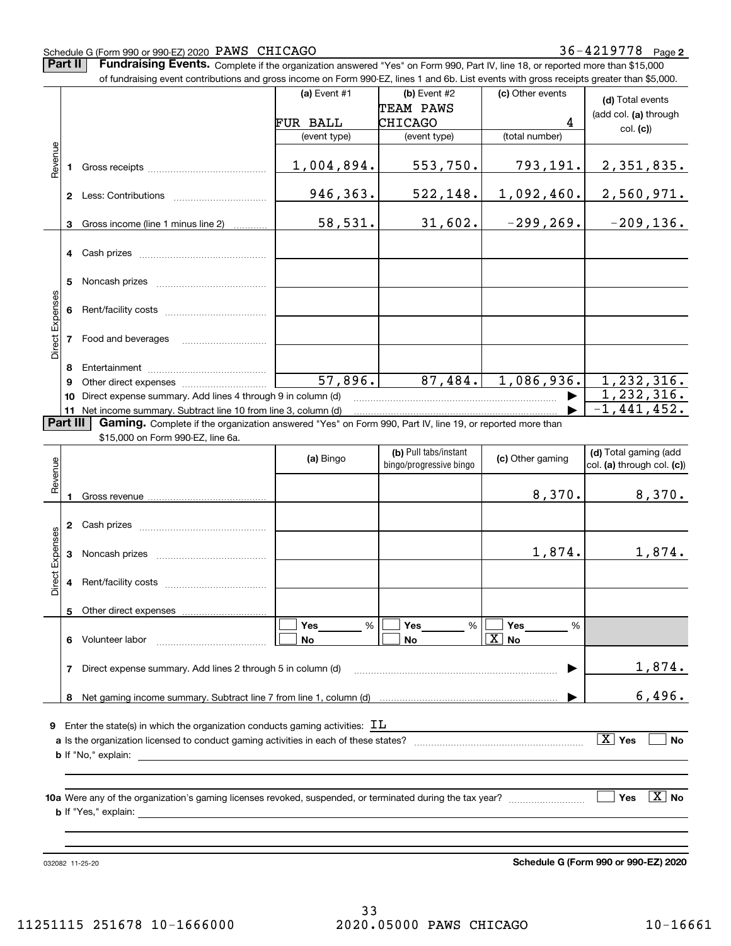#### Schedule G (Form 990 or 990-EZ) 2020 Page PAWS CHICAGO 36-4219778

**Part II Fundraising Events.** Complete if the organization answered "Yes" on Form 990, Part IV, line 18, or reported more than \$15,000<br>15.000 of fundraising event contributions and gross income on Form 990-EZ. lines 1 an

|                 |          | of fundraising event contributions and gross income on Form 990-EZ, lines 1 and 6b. List events with gross receipts greater than \$5,000. |                 |                         |                       |                              |
|-----------------|----------|-------------------------------------------------------------------------------------------------------------------------------------------|-----------------|-------------------------|-----------------------|------------------------------|
|                 |          |                                                                                                                                           | (a) Event #1    | $(b)$ Event #2          | (c) Other events      | (d) Total events             |
|                 |          |                                                                                                                                           |                 | TEAM PAWS               |                       |                              |
|                 |          |                                                                                                                                           | FUR BALL        | <b>CHICAGO</b>          | 4                     | (add col. (a) through        |
|                 |          |                                                                                                                                           | (event type)    | (event type)            | (total number)        | col. (c)                     |
|                 |          |                                                                                                                                           |                 |                         |                       |                              |
| Revenue         |          |                                                                                                                                           | 1,004,894.      | 553,750.                | 793,191.              | <u>2,351,835.</u>            |
|                 |          |                                                                                                                                           |                 |                         |                       |                              |
|                 |          |                                                                                                                                           |                 |                         |                       |                              |
|                 |          |                                                                                                                                           | 946,363.        | 522,148.                | 1,092,460.            | 2,560,971.                   |
|                 |          |                                                                                                                                           |                 |                         |                       |                              |
|                 | 3        | Gross income (line 1 minus line 2)                                                                                                        | 58,531.         | 31,602.                 | $-299, 269.$          | $-209, 136.$                 |
|                 |          |                                                                                                                                           |                 |                         |                       |                              |
|                 |          |                                                                                                                                           |                 |                         |                       |                              |
|                 |          |                                                                                                                                           |                 |                         |                       |                              |
|                 | 5        |                                                                                                                                           |                 |                         |                       |                              |
| Direct Expenses |          |                                                                                                                                           |                 |                         |                       |                              |
|                 |          |                                                                                                                                           |                 |                         |                       |                              |
|                 |          |                                                                                                                                           |                 |                         |                       |                              |
|                 |          | 7 Food and beverages                                                                                                                      |                 |                         |                       |                              |
|                 |          |                                                                                                                                           |                 |                         |                       |                              |
|                 | 8        |                                                                                                                                           |                 |                         |                       |                              |
|                 | 9        |                                                                                                                                           | 57,896.         | 87,484.                 | 1,086,936.            | 1, 232, 316.                 |
|                 | 10       | Direct expense summary. Add lines 4 through 9 in column (d)                                                                               |                 |                         |                       | 1, 232, 316.                 |
|                 |          | 11 Net income summary. Subtract line 10 from line 3, column (d)                                                                           |                 |                         |                       | $-1, 441, 452.$              |
|                 | Part III | Gaming. Complete if the organization answered "Yes" on Form 990, Part IV, line 19, or reported more than                                  |                 |                         |                       |                              |
|                 |          | \$15,000 on Form 990-EZ, line 6a.                                                                                                         |                 |                         |                       |                              |
|                 |          |                                                                                                                                           | (a) Bingo       | (b) Pull tabs/instant   | (c) Other gaming      | (d) Total gaming (add        |
|                 |          |                                                                                                                                           |                 | bingo/progressive bingo |                       | col. (a) through col. (c))   |
|                 |          |                                                                                                                                           |                 |                         |                       |                              |
|                 |          |                                                                                                                                           |                 |                         |                       |                              |
| Revenue         |          |                                                                                                                                           |                 |                         | 8,370.                | 8,370.                       |
|                 |          |                                                                                                                                           |                 |                         |                       |                              |
|                 |          |                                                                                                                                           |                 |                         |                       |                              |
|                 |          |                                                                                                                                           |                 |                         |                       |                              |
|                 |          |                                                                                                                                           |                 |                         | 1,874.                | 1,874.                       |
|                 |          |                                                                                                                                           |                 |                         |                       |                              |
|                 |          |                                                                                                                                           |                 |                         |                       |                              |
| Direct Expenses |          |                                                                                                                                           |                 |                         |                       |                              |
|                 |          |                                                                                                                                           |                 |                         |                       |                              |
|                 |          |                                                                                                                                           | <b>Yes</b><br>% | Yes<br>%                | Yes<br>%              |                              |
|                 |          | 6 Volunteer labor                                                                                                                         | No              | No                      | $\boxed{\text{X}}$ No |                              |
|                 |          |                                                                                                                                           |                 |                         |                       |                              |
|                 | 7        | Direct expense summary. Add lines 2 through 5 in column (d)                                                                               |                 |                         |                       | 1,874.                       |
|                 |          |                                                                                                                                           |                 |                         |                       |                              |
|                 |          |                                                                                                                                           |                 |                         |                       | 6,496.                       |
|                 |          |                                                                                                                                           |                 |                         |                       |                              |
|                 |          | <b>9</b> Enter the state(s) in which the organization conducts gaming activities: $\text{IL}$                                             |                 |                         |                       |                              |
|                 |          |                                                                                                                                           |                 |                         |                       | $\overline{X}$ Yes<br>No     |
|                 |          |                                                                                                                                           |                 |                         |                       |                              |
|                 |          |                                                                                                                                           |                 |                         |                       |                              |
|                 |          |                                                                                                                                           |                 |                         |                       |                              |
|                 |          |                                                                                                                                           |                 |                         |                       | $\boxed{\text{X}}$ No<br>Yes |
|                 |          |                                                                                                                                           |                 |                         |                       |                              |
|                 |          |                                                                                                                                           |                 |                         |                       |                              |

032082 11-25-20

**Schedule G (Form 990 or 990-EZ) 2020**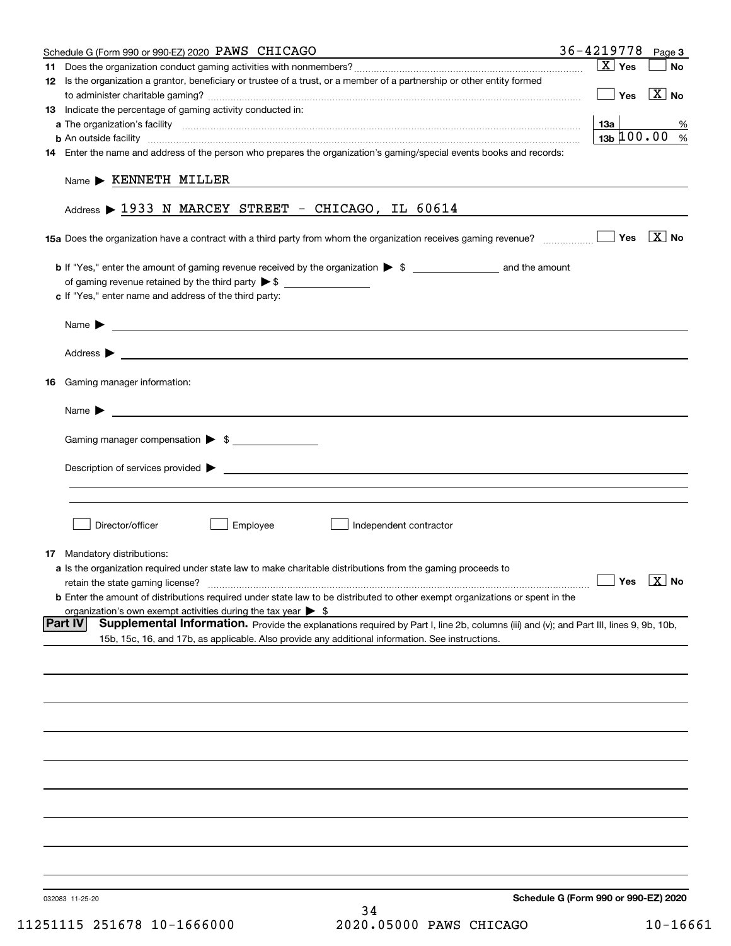|     | Schedule G (Form 990 or 990-EZ) 2020 PAWS CHICAGO                                                                                                                                                                                                      | $36 - 4219778$ Page 3                              |                       |
|-----|--------------------------------------------------------------------------------------------------------------------------------------------------------------------------------------------------------------------------------------------------------|----------------------------------------------------|-----------------------|
|     |                                                                                                                                                                                                                                                        | $\boxed{\text{X}}$ Yes                             | No                    |
|     | 12 Is the organization a grantor, beneficiary or trustee of a trust, or a member of a partnership or other entity formed                                                                                                                               | $\boxed{\phantom{1}}$ Yes $\boxed{\phantom{1}}$ No |                       |
|     | <b>13</b> Indicate the percentage of gaming activity conducted in:                                                                                                                                                                                     |                                                    |                       |
|     |                                                                                                                                                                                                                                                        | 13a                                                | %                     |
|     |                                                                                                                                                                                                                                                        | $13b \, 100.00$ %                                  |                       |
|     | 14 Enter the name and address of the person who prepares the organization's gaming/special events books and records:                                                                                                                                   |                                                    |                       |
|     | Name > KENNETH MILLER                                                                                                                                                                                                                                  |                                                    |                       |
|     | Address > 1933 N MARCEY STREET - CHICAGO, IL 60614                                                                                                                                                                                                     |                                                    |                       |
|     |                                                                                                                                                                                                                                                        |                                                    | $\boxed{\text{X}}$ No |
|     |                                                                                                                                                                                                                                                        |                                                    |                       |
|     |                                                                                                                                                                                                                                                        |                                                    |                       |
|     | c If "Yes," enter name and address of the third party:                                                                                                                                                                                                 |                                                    |                       |
|     | Name $\blacktriangleright$ $\lrcorner$                                                                                                                                                                                                                 |                                                    |                       |
|     |                                                                                                                                                                                                                                                        |                                                    |                       |
| 16. | Gaming manager information:                                                                                                                                                                                                                            |                                                    |                       |
|     | Name $\blacktriangleright$                                                                                                                                                                                                                             |                                                    |                       |
|     |                                                                                                                                                                                                                                                        |                                                    |                       |
|     | Gaming manager compensation > \$                                                                                                                                                                                                                       |                                                    |                       |
|     | $Description of services provided$ $\triangleright$                                                                                                                                                                                                    |                                                    |                       |
|     |                                                                                                                                                                                                                                                        |                                                    |                       |
|     | Director/officer<br>Employee<br>Independent contractor                                                                                                                                                                                                 |                                                    |                       |
|     |                                                                                                                                                                                                                                                        |                                                    |                       |
|     | 17 Mandatory distributions:<br>a Is the organization required under state law to make charitable distributions from the gaming proceeds to                                                                                                             |                                                    |                       |
|     | retain the state gaming license?                                                                                                                                                                                                                       | $\blacksquare$ Yes                                 | $\boxed{\text{X}}$ No |
|     | <b>b</b> Enter the amount of distributions required under state law to be distributed to other exempt organizations or spent in the                                                                                                                    |                                                    |                       |
|     | organization's own exempt activities during the tax year $\triangleright$ \$                                                                                                                                                                           |                                                    |                       |
|     | Supplemental Information. Provide the explanations required by Part I, line 2b, columns (iii) and (v); and Part III, lines 9, 9b, 10b,<br> Part IV<br>15b, 15c, 16, and 17b, as applicable. Also provide any additional information. See instructions. |                                                    |                       |
|     |                                                                                                                                                                                                                                                        |                                                    |                       |
|     |                                                                                                                                                                                                                                                        |                                                    |                       |
|     |                                                                                                                                                                                                                                                        |                                                    |                       |
|     |                                                                                                                                                                                                                                                        |                                                    |                       |
|     |                                                                                                                                                                                                                                                        |                                                    |                       |
|     |                                                                                                                                                                                                                                                        |                                                    |                       |
|     |                                                                                                                                                                                                                                                        |                                                    |                       |
|     |                                                                                                                                                                                                                                                        |                                                    |                       |
|     |                                                                                                                                                                                                                                                        |                                                    |                       |
|     |                                                                                                                                                                                                                                                        |                                                    |                       |
|     | 032083 11-25-20                                                                                                                                                                                                                                        | Schedule G (Form 990 or 990-EZ) 2020               |                       |
|     | 34                                                                                                                                                                                                                                                     |                                                    |                       |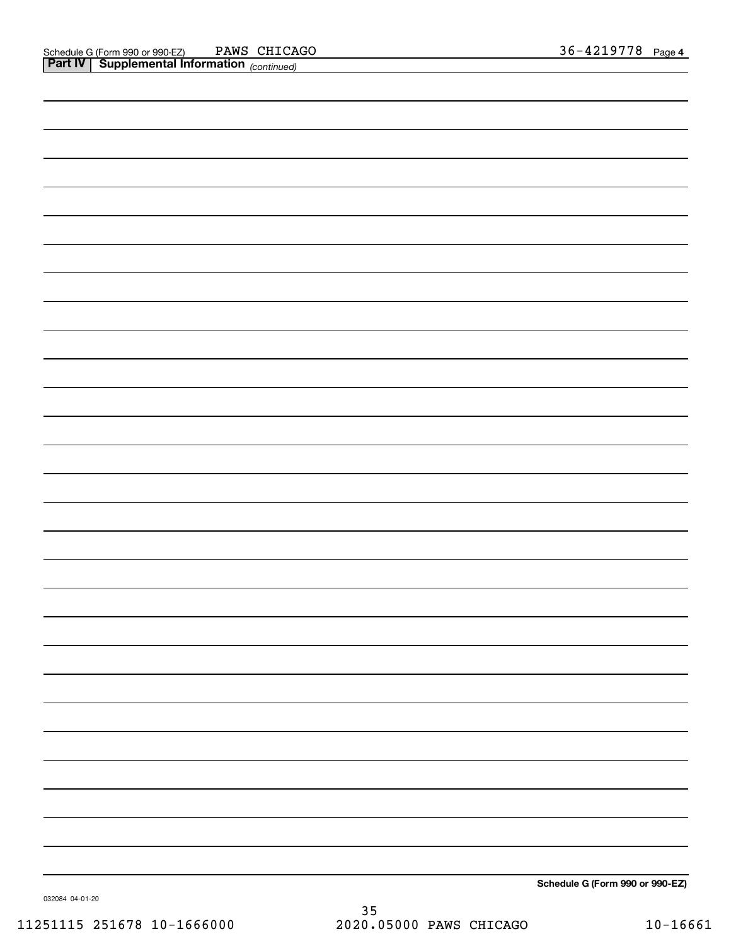| <b>Part IV   Supplemental Information</b> (continued) |                                 |
|-------------------------------------------------------|---------------------------------|
|                                                       |                                 |
|                                                       |                                 |
|                                                       |                                 |
|                                                       |                                 |
|                                                       |                                 |
|                                                       |                                 |
|                                                       |                                 |
|                                                       |                                 |
|                                                       |                                 |
|                                                       |                                 |
|                                                       |                                 |
|                                                       |                                 |
|                                                       |                                 |
|                                                       |                                 |
|                                                       |                                 |
|                                                       |                                 |
|                                                       |                                 |
|                                                       |                                 |
|                                                       |                                 |
|                                                       |                                 |
|                                                       |                                 |
|                                                       |                                 |
|                                                       |                                 |
|                                                       |                                 |
|                                                       |                                 |
|                                                       |                                 |
|                                                       |                                 |
|                                                       |                                 |
|                                                       |                                 |
|                                                       |                                 |
|                                                       |                                 |
|                                                       |                                 |
|                                                       |                                 |
|                                                       |                                 |
|                                                       |                                 |
|                                                       |                                 |
|                                                       |                                 |
|                                                       |                                 |
|                                                       |                                 |
|                                                       |                                 |
|                                                       |                                 |
|                                                       |                                 |
|                                                       |                                 |
|                                                       |                                 |
|                                                       |                                 |
|                                                       | Schedule G (Form 990 or 990-EZ) |
|                                                       |                                 |

032084 04-01-20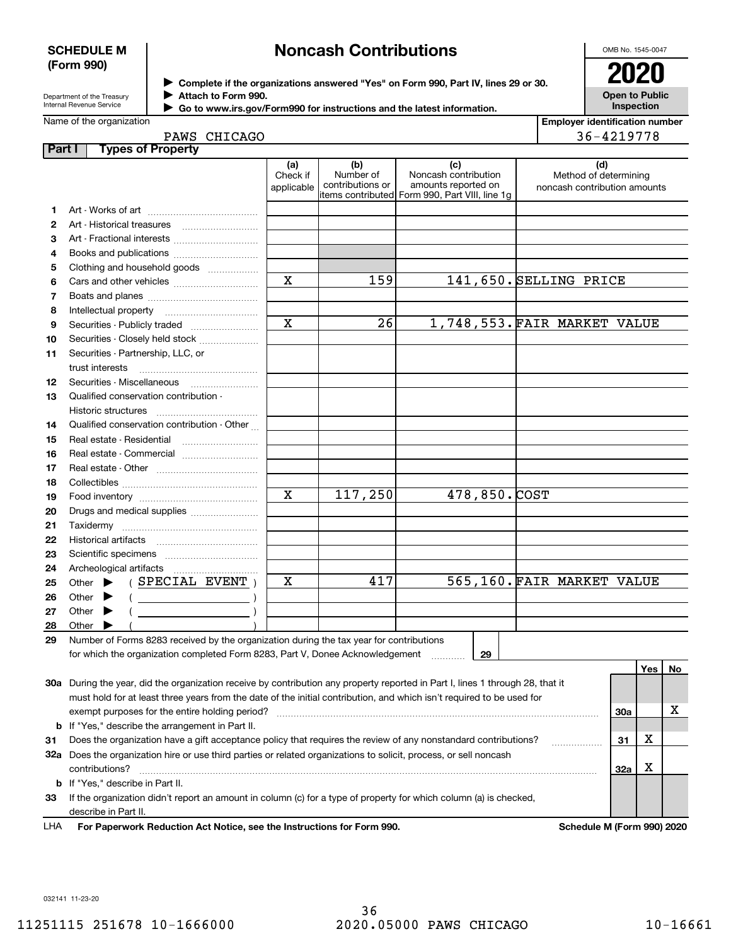#### **SCHEDULE M (Form 990)**

# **Noncash Contributions**

OMB No. 1545-0047

Department of the Treasury Internal Revenue Service

**Complete if the organizations answered "Yes" on Form 990, Part IV, lines 29 or 30.** <sup>J</sup>**2020 Attach to Form 990.** J

**Open to Public Inspection**

| Name of the organization |  |
|--------------------------|--|
|--------------------------|--|

 $\blacktriangleright$ 

| Go to www.irs.gov/Form990 for instructions and the latest information. |
|------------------------------------------------------------------------|
|                                                                        |

| <b>Employer identification number</b> |
|---------------------------------------|
| 36-4219778                            |

## PAWS CHICAGO

| Part I | <b>Types of Property</b>                                                                                                       |                         |                               |                                                |                                                       |     |            |    |
|--------|--------------------------------------------------------------------------------------------------------------------------------|-------------------------|-------------------------------|------------------------------------------------|-------------------------------------------------------|-----|------------|----|
|        |                                                                                                                                | (a)                     | (b)                           | (c)                                            | (d)                                                   |     |            |    |
|        |                                                                                                                                | Check if<br>applicable  | Number of<br>contributions or | Noncash contribution<br>amounts reported on    | Method of determining<br>noncash contribution amounts |     |            |    |
|        |                                                                                                                                |                         |                               | items contributed Form 990, Part VIII, line 1g |                                                       |     |            |    |
| 1      |                                                                                                                                |                         |                               |                                                |                                                       |     |            |    |
| 2      |                                                                                                                                |                         |                               |                                                |                                                       |     |            |    |
| 3      | Art - Fractional interests                                                                                                     |                         |                               |                                                |                                                       |     |            |    |
| 4      | Books and publications                                                                                                         |                         |                               |                                                |                                                       |     |            |    |
| 5      | Clothing and household goods                                                                                                   |                         |                               |                                                |                                                       |     |            |    |
| 6      |                                                                                                                                | $\overline{\mathbf{x}}$ | 159                           |                                                | 141,650. SELLING PRICE                                |     |            |    |
| 7      |                                                                                                                                |                         |                               |                                                |                                                       |     |            |    |
| 8      |                                                                                                                                |                         |                               |                                                |                                                       |     |            |    |
| 9      | Securities - Publicly traded                                                                                                   | $\overline{\mathbf{x}}$ | 26                            |                                                | 1,748,553. FAIR MARKET VALUE                          |     |            |    |
| 10     | Securities - Closely held stock                                                                                                |                         |                               |                                                |                                                       |     |            |    |
| 11     | Securities - Partnership, LLC, or                                                                                              |                         |                               |                                                |                                                       |     |            |    |
|        |                                                                                                                                |                         |                               |                                                |                                                       |     |            |    |
| 12     |                                                                                                                                |                         |                               |                                                |                                                       |     |            |    |
| 13     | Qualified conservation contribution -                                                                                          |                         |                               |                                                |                                                       |     |            |    |
|        |                                                                                                                                |                         |                               |                                                |                                                       |     |            |    |
| 14     | Qualified conservation contribution - Other                                                                                    |                         |                               |                                                |                                                       |     |            |    |
| 15     | Real estate - Residential                                                                                                      |                         |                               |                                                |                                                       |     |            |    |
| 16     |                                                                                                                                |                         |                               |                                                |                                                       |     |            |    |
| 17     |                                                                                                                                |                         |                               |                                                |                                                       |     |            |    |
| 18     |                                                                                                                                |                         |                               |                                                |                                                       |     |            |    |
| 19     |                                                                                                                                | $\overline{\mathbf{x}}$ | 117,250                       | 478,850.COST                                   |                                                       |     |            |    |
| 20     |                                                                                                                                |                         |                               |                                                |                                                       |     |            |    |
| 21     |                                                                                                                                |                         |                               |                                                |                                                       |     |            |    |
| 22     |                                                                                                                                |                         |                               |                                                |                                                       |     |            |    |
| 23     |                                                                                                                                |                         |                               |                                                |                                                       |     |            |    |
| 24     |                                                                                                                                |                         |                               |                                                |                                                       |     |            |    |
| 25     | (SPECIAL EVENT)<br>Other $\blacktriangleright$                                                                                 | X                       | 417                           |                                                | 565,160. FAIR MARKET VALUE                            |     |            |    |
| 26     | Other $\blacktriangleright$                                                                                                    |                         |                               |                                                |                                                       |     |            |    |
| 27     | Other $\blacktriangleright$<br>$\left($ $\right)$                                                                              |                         |                               |                                                |                                                       |     |            |    |
| 28     | Other<br>▶                                                                                                                     |                         |                               |                                                |                                                       |     |            |    |
| 29     | Number of Forms 8283 received by the organization during the tax year for contributions                                        |                         |                               |                                                |                                                       |     |            |    |
|        | for which the organization completed Form 8283, Part V, Donee Acknowledgement                                                  |                         |                               | 29                                             |                                                       |     |            |    |
|        |                                                                                                                                |                         |                               |                                                |                                                       |     | <b>Yes</b> | No |
|        | 30a During the year, did the organization receive by contribution any property reported in Part I, lines 1 through 28, that it |                         |                               |                                                |                                                       |     |            |    |
|        | must hold for at least three years from the date of the initial contribution, and which isn't required to be used for          |                         |                               |                                                |                                                       |     |            |    |
|        |                                                                                                                                |                         |                               |                                                |                                                       | 30a |            | x  |
|        | <b>b</b> If "Yes," describe the arrangement in Part II.                                                                        |                         |                               |                                                |                                                       |     |            |    |
| 31     | Does the organization have a gift acceptance policy that requires the review of any nonstandard contributions?                 |                         |                               |                                                | .                                                     | 31  | х          |    |
|        | 32a Does the organization hire or use third parties or related organizations to solicit, process, or sell noncash              |                         |                               |                                                |                                                       |     |            |    |

 $~\ddot{\bullet}~\dot{\bullet}~\dot{\bullet}~\dot{\bullet}~\dot{\bullet}~\dot{\bullet}~\dot{\bullet}~\dot{\bullet}~\dot{\bullet}~\dot{\bullet}~\dot{\bullet}~\dot{\bullet}~\dot{\bullet}~\dot{\bullet}~\dot{\bullet}~\dot{\bullet}~\dot{\bullet}~\dot{\bullet}~\dot{\bullet}~\dot{\bullet}~\dot{\bullet}~\dot{\bullet}~\dot{\bullet}~\dot{\bullet}~\dot{\bullet}~\dot{\bullet}~\dot{\bullet}~\dot{\bullet}~\dot{\bullet}~\dot{\bullet}~\dot{\bullet}~\dot{\bullet}~\dot{\bullet}~\dot{\bullet}~\dot{\bullet}~\dot{\bullet}~\dot$ 

|      | <b>b</b> If "Yes." describe in Part II.                                                                           |
|------|-------------------------------------------------------------------------------------------------------------------|
| 33 - | If the organization didn't report an amount in column (c) for a type of property for which column (a) is checked, |
|      | describe in Part II.                                                                                              |

**For Paperwork Reduction Act Notice, see the Instructions for Form 990. Schedule M (Form 990) 2020** LHA

**32a**

X

032141 11-23-20

contributions?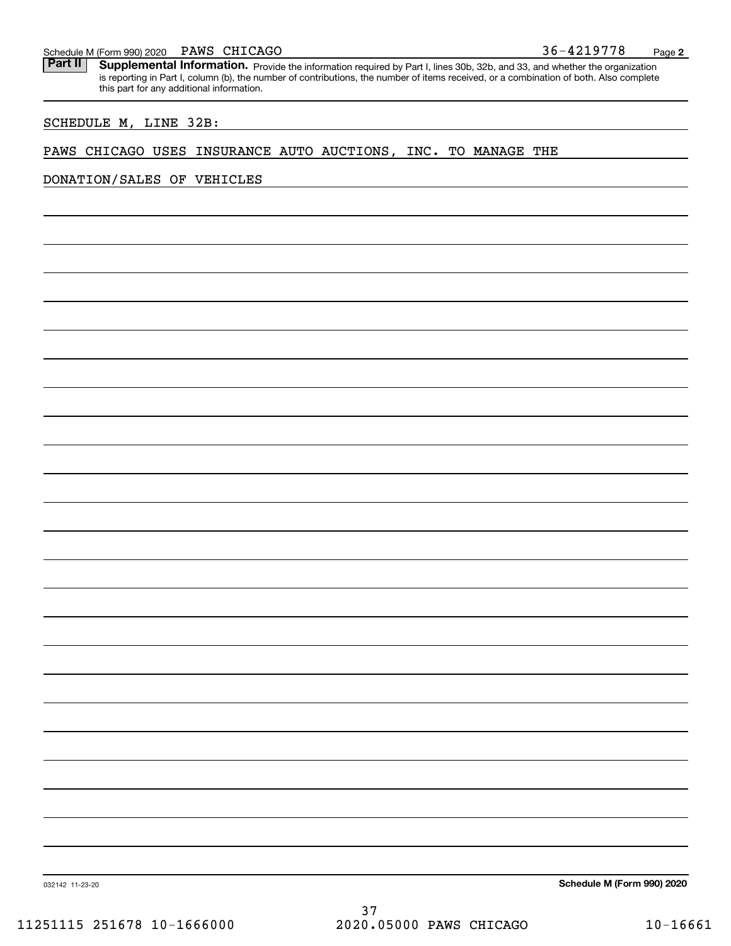**2**

Schedule M (Form 990) 2020 PAWS CHICAGO<br>**Part II** Supplemental Information. Provide the information required by Part I. lines 30b. 32b. and 33. and whether the organ Part II | Supplemental Information. Provide the information required by Part I, lines 30b, 32b, and 33, and whether the organization is reporting in Part I, column (b), the number of contributions, the number of items received, or a combination of both. Also complete this part for any additional information.

#### SCHEDULE M, LINE 32B:

#### PAWS CHICAGO USES INSURANCE AUTO AUCTIONS, INC. TO MANAGE THE

#### DONATION/SALES OF VEHICLES

**Schedule M (Form 990) 2020**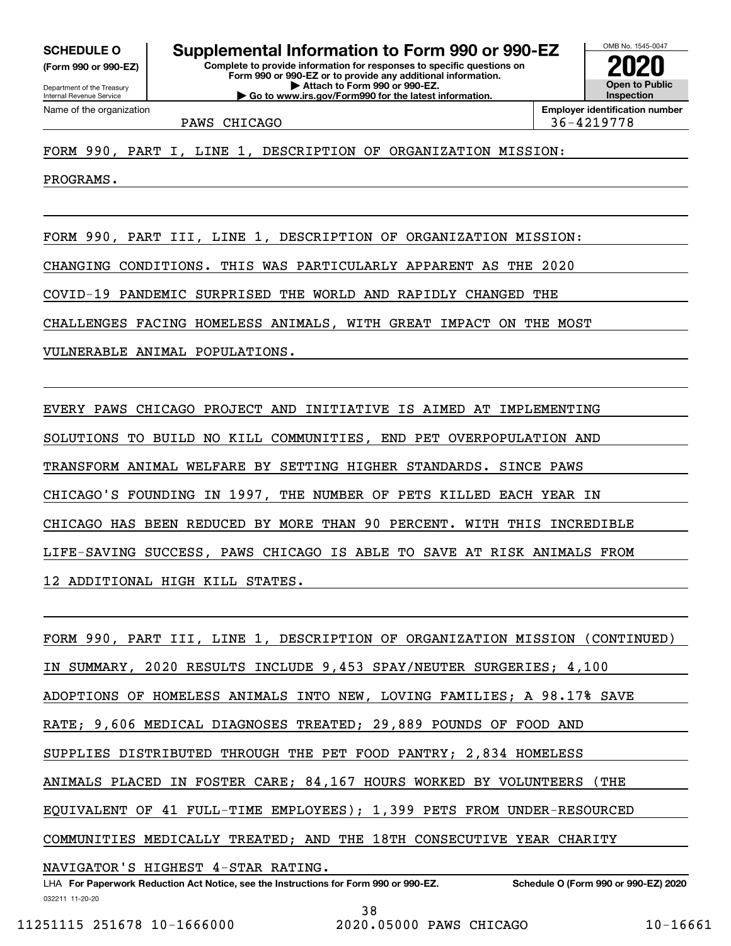**(Form 990 or 990-EZ)**

Department of the Treasury Internal Revenue Service Name of the organization

**Complete to provide information for responses to specific questions on Form 990 or 990-EZ or to provide any additional information. SCHEDULE O Supplemental Information to Form 990 or 990-EZ**

**| Attach to Form 990 or 990-EZ. | Go to www.irs.gov/Form990 for the latest information.**

**Employer identification number** PAWS CHICAGO 36-4219778

OMB No. 1545-0047

**2020**

**Open to Public Inspection**

FORM 990, PART I, LINE 1, DESCRIPTION OF ORGANIZATION MISSION:

PROGRAMS.

FORM 990, PART III, LINE 1, DESCRIPTION OF ORGANIZATION MISSION: CHANGING CONDITIONS. THIS WAS PARTICULARLY APPARENT AS THE 2020 COVID-19 PANDEMIC SURPRISED THE WORLD AND RAPIDLY CHANGED THE CHALLENGES FACING HOMELESS ANIMALS, WITH GREAT IMPACT ON THE MOST VULNERABLE ANIMAL POPULATIONS.

EVERY PAWS CHICAGO PROJECT AND INITIATIVE IS AIMED AT IMPLEMENTING SOLUTIONS TO BUILD NO KILL COMMUNITIES, END PET OVERPOPULATION AND TRANSFORM ANIMAL WELFARE BY SETTING HIGHER STANDARDS. SINCE PAWS CHICAGO'S FOUNDING IN 1997, THE NUMBER OF PETS KILLED EACH YEAR IN CHICAGO HAS BEEN REDUCED BY MORE THAN 90 PERCENT. WITH THIS INCREDIBLE LIFE-SAVING SUCCESS, PAWS CHICAGO IS ABLE TO SAVE AT RISK ANIMALS FROM 12 ADDITIONAL HIGH KILL STATES.

FORM 990, PART III, LINE 1, DESCRIPTION OF ORGANIZATION MISSION (CONTINUED) IN SUMMARY, 2020 RESULTS INCLUDE 9,453 SPAY/NEUTER SURGERIES; 4,100 ADOPTIONS OF HOMELESS ANIMALS INTO NEW, LOVING FAMILIES; A 98.17% SAVE RATE; 9,606 MEDICAL DIAGNOSES TREATED; 29,889 POUNDS OF FOOD AND SUPPLIES DISTRIBUTED THROUGH THE PET FOOD PANTRY; 2,834 HOMELESS ANIMALS PLACED IN FOSTER CARE; 84,167 HOURS WORKED BY VOLUNTEERS (THE EQUIVALENT OF 41 FULL-TIME EMPLOYEES); 1,399 PETS FROM UNDER-RESOURCED COMMUNITIES MEDICALLY TREATED; AND THE 18TH CONSECUTIVE YEAR CHARITY NAVIGATOR'S HIGHEST 4-STAR RATING.

38

032211 11-20-20 LHA For Paperwork Reduction Act Notice, see the Instructions for Form 990 or 990-EZ. Schedule O (Form 990 or 990-EZ) 2020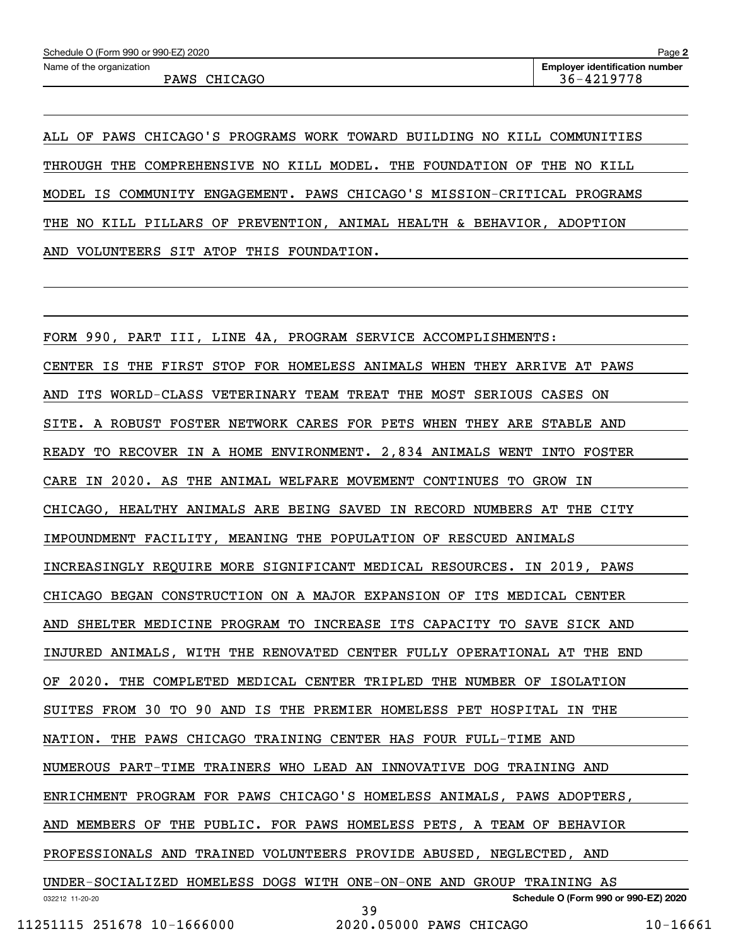ALL OF PAWS CHICAGO'S PROGRAMS WORK TOWARD BUILDING NO KILL COMMUNITIES THROUGH THE COMPREHENSIVE NO KILL MODEL. THE FOUNDATION OF THE NO KILL MODEL IS COMMUNITY ENGAGEMENT. PAWS CHICAGO'S MISSION-CRITICAL PROGRAMS THE NO KILL PILLARS OF PREVENTION, ANIMAL HEALTH & BEHAVIOR, ADOPTION AND VOLUNTEERS SIT ATOP THIS FOUNDATION.

032212 11-20-20 **Schedule O (Form 990 or 990-EZ) 2020** FORM 990, PART III, LINE 4A, PROGRAM SERVICE ACCOMPLISHMENTS: CENTER IS THE FIRST STOP FOR HOMELESS ANIMALS WHEN THEY ARRIVE AT PAWS AND ITS WORLD-CLASS VETERINARY TEAM TREAT THE MOST SERIOUS CASES ON SITE. A ROBUST FOSTER NETWORK CARES FOR PETS WHEN THEY ARE STABLE AND READY TO RECOVER IN A HOME ENVIRONMENT. 2,834 ANIMALS WENT INTO FOSTER CARE IN 2020. AS THE ANIMAL WELFARE MOVEMENT CONTINUES TO GROW IN CHICAGO, HEALTHY ANIMALS ARE BEING SAVED IN RECORD NUMBERS AT THE CITY IMPOUNDMENT FACILITY, MEANING THE POPULATION OF RESCUED ANIMALS INCREASINGLY REQUIRE MORE SIGNIFICANT MEDICAL RESOURCES. IN 2019, PAWS CHICAGO BEGAN CONSTRUCTION ON A MAJOR EXPANSION OF ITS MEDICAL CENTER AND SHELTER MEDICINE PROGRAM TO INCREASE ITS CAPACITY TO SAVE SICK AND INJURED ANIMALS, WITH THE RENOVATED CENTER FULLY OPERATIONAL AT THE END OF 2020. THE COMPLETED MEDICAL CENTER TRIPLED THE NUMBER OF ISOLATION SUITES FROM 30 TO 90 AND IS THE PREMIER HOMELESS PET HOSPITAL IN THE NATION. THE PAWS CHICAGO TRAINING CENTER HAS FOUR FULL-TIME AND NUMEROUS PART-TIME TRAINERS WHO LEAD AN INNOVATIVE DOG TRAINING AND ENRICHMENT PROGRAM FOR PAWS CHICAGO'S HOMELESS ANIMALS, PAWS ADOPTERS, AND MEMBERS OF THE PUBLIC. FOR PAWS HOMELESS PETS, A TEAM OF BEHAVIOR PROFESSIONALS AND TRAINED VOLUNTEERS PROVIDE ABUSED, NEGLECTED, AND UNDER-SOCIALIZED HOMELESS DOGS WITH ONE-ON-ONE AND GROUP TRAINING AS 39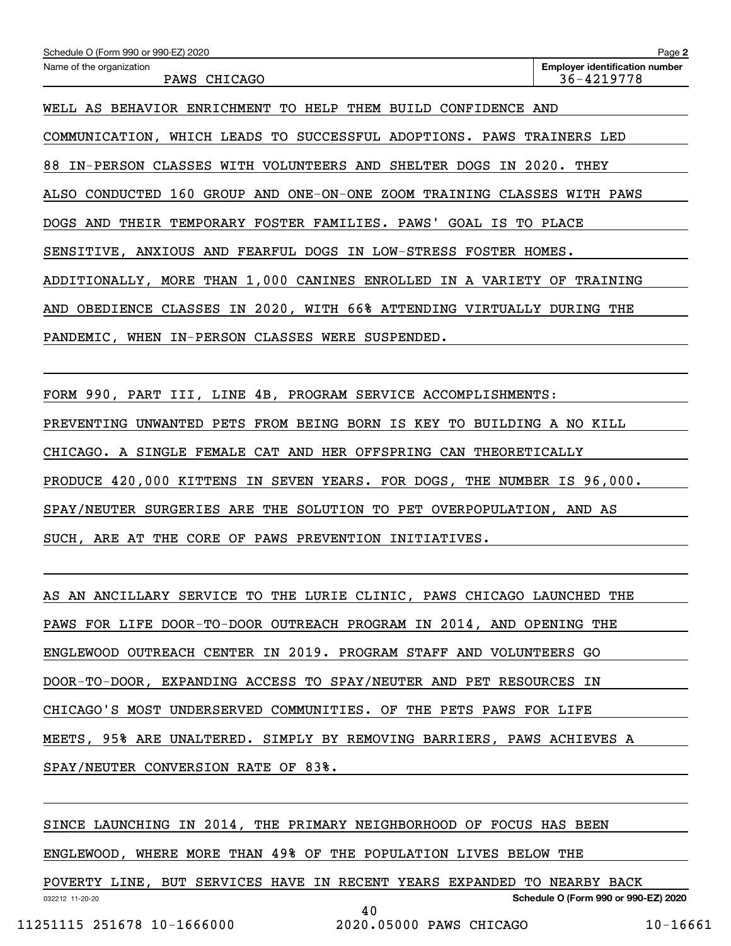| Schedule O (Form 990 or 990-EZ) 2020                                             | Page 2                                              |
|----------------------------------------------------------------------------------|-----------------------------------------------------|
| Name of the organization<br>PAWS CHICAGO                                         | <b>Employer identification number</b><br>36-4219778 |
|                                                                                  |                                                     |
| BEHAVIOR ENRICHMENT<br>HELP<br>CONFIDENCE AND<br>TO.<br>THEM<br>BUILD<br>WELL AS |                                                     |
| COMMUNICATION, WHICH LEADS TO SUCCESSFUL ADOPTIONS. PAWS                         | <b>TRAINERS LED</b>                                 |
| 88<br>IN-PERSON CLASSES WITH VOLUNTEERS AND SHELTER DOGS<br>IN                   | 2020.<br>THEY                                       |
| 160<br>GROUP<br>AND ONE-ON-ONE ZOOM TRAINING<br>CONDUCTED<br>CLASSES<br>ALSO     | WITH PAWS                                           |
| THEIR TEMPORARY FOSTER FAMILIES. PAWS'<br>DOGS AND<br>GOAL<br>IS<br>TO.          | PLACE                                               |
| FEARFUL DOGS IN LOW-STRESS<br>ANXIOUS AND<br>FOSTER HOMES.<br>SENSITIVE,         |                                                     |
| ADDITIONALLY, MORE THAN 1,000 CANINES ENROLLED<br>IN A VARIETY                   | ОF<br>TRAINING                                      |
| 2020, WITH 66% ATTENDING VIRTUALLY<br>IN<br>AND<br>OBEDIENCE<br>CLASSES          | DURING<br>THE                                       |
| WHEN IN-PERSON CLASSES WERE SUSPENDED.<br>PANDEMIC,                              |                                                     |

FORM 990, PART III, LINE 4B, PROGRAM SERVICE ACCOMPLISHMENTS: PREVENTING UNWANTED PETS FROM BEING BORN IS KEY TO BUILDING A NO KILL CHICAGO. A SINGLE FEMALE CAT AND HER OFFSPRING CAN THEORETICALLY PRODUCE 420,000 KITTENS IN SEVEN YEARS. FOR DOGS, THE NUMBER IS 96,000. SPAY/NEUTER SURGERIES ARE THE SOLUTION TO PET OVERPOPULATION, AND AS SUCH, ARE AT THE CORE OF PAWS PREVENTION INITIATIVES.

AS AN ANCILLARY SERVICE TO THE LURIE CLINIC, PAWS CHICAGO LAUNCHED THE PAWS FOR LIFE DOOR-TO-DOOR OUTREACH PROGRAM IN 2014, AND OPENING THE ENGLEWOOD OUTREACH CENTER IN 2019. PROGRAM STAFF AND VOLUNTEERS GO DOOR-TO-DOOR, EXPANDING ACCESS TO SPAY/NEUTER AND PET RESOURCES IN CHICAGO'S MOST UNDERSERVED COMMUNITIES. OF THE PETS PAWS FOR LIFE MEETS, 95% ARE UNALTERED. SIMPLY BY REMOVING BARRIERS, PAWS ACHIEVES A SPAY/NEUTER CONVERSION RATE OF 83%.

032212 11-20-20 **Schedule O (Form 990 or 990-EZ) 2020** SINCE LAUNCHING IN 2014, THE PRIMARY NEIGHBORHOOD OF FOCUS HAS BEEN ENGLEWOOD, WHERE MORE THAN 49% OF THE POPULATION LIVES BELOW THE POVERTY LINE, BUT SERVICES HAVE IN RECENT YEARS EXPANDED TO NEARBY BACK

40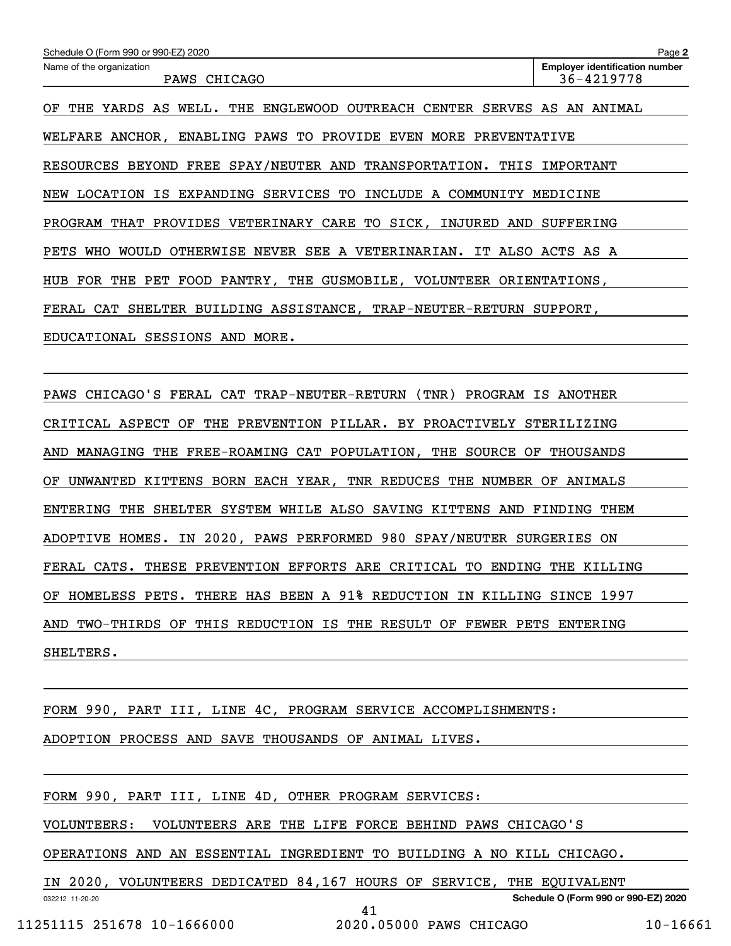| Schedule O (Form 990 or 990-EZ) 2020                                       | Page 2                                              |  |  |
|----------------------------------------------------------------------------|-----------------------------------------------------|--|--|
| Name of the organization<br>PAWS CHICAGO                                   | <b>Employer identification number</b><br>36-4219778 |  |  |
| YARDS AS WELL. THE ENGLEWOOD OUTREACH CENTER SERVES AS AN ANIMAL<br>OF THE |                                                     |  |  |
| WELFARE ANCHOR, ENABLING PAWS TO PROVIDE EVEN MORE PREVENTATIVE            |                                                     |  |  |
| RESOURCES BEYOND FREE SPAY/NEUTER AND TRANSPORTATION. THIS                 | IMPORTANT                                           |  |  |
| LOCATION IS EXPANDING SERVICES TO INCLUDE A COMMUNITY<br>NEW               | MEDICINE                                            |  |  |
| PROGRAM THAT PROVIDES VETERINARY CARE TO SICK, INJURED AND                 | SUFFERING                                           |  |  |
| OTHERWISE NEVER SEE A VETERINARIAN.<br>PETS WHO WOULD                      | IT ALSO ACTS AS A                                   |  |  |
| PET FOOD PANTRY, THE GUSMOBILE, VOLUNTEER ORIENTATIONS,<br>HUB FOR THE     |                                                     |  |  |
| FERAL CAT SHELTER BUILDING ASSISTANCE, TRAP-NEUTER-RETURN SUPPORT,         |                                                     |  |  |
| EDUCATIONAL<br><b>SESSIONS</b><br>MORE.<br>AND                             |                                                     |  |  |

PAWS CHICAGO'S FERAL CAT TRAP-NEUTER-RETURN (TNR) PROGRAM IS ANOTHER CRITICAL ASPECT OF THE PREVENTION PILLAR. BY PROACTIVELY STERILIZING AND MANAGING THE FREE-ROAMING CAT POPULATION, THE SOURCE OF THOUSANDS OF UNWANTED KITTENS BORN EACH YEAR, TNR REDUCES THE NUMBER OF ANIMALS ENTERING THE SHELTER SYSTEM WHILE ALSO SAVING KITTENS AND FINDING THEM ADOPTIVE HOMES. IN 2020, PAWS PERFORMED 980 SPAY/NEUTER SURGERIES ON FERAL CATS. THESE PREVENTION EFFORTS ARE CRITICAL TO ENDING THE KILLING OF HOMELESS PETS. THERE HAS BEEN A 91% REDUCTION IN KILLING SINCE 1997 AND TWO-THIRDS OF THIS REDUCTION IS THE RESULT OF FEWER PETS ENTERING SHELTERS.

FORM 990, PART III, LINE 4C, PROGRAM SERVICE ACCOMPLISHMENTS: ADOPTION PROCESS AND SAVE THOUSANDS OF ANIMAL LIVES.

FORM 990, PART III, LINE 4D, OTHER PROGRAM SERVICES:

VOLUNTEERS: VOLUNTEERS ARE THE LIFE FORCE BEHIND PAWS CHICAGO'S

OPERATIONS AND AN ESSENTIAL INGREDIENT TO BUILDING A NO KILL CHICAGO.

032212 11-20-20 **Schedule O (Form 990 or 990-EZ) 2020** IN 2020, VOLUNTEERS DEDICATED 84,167 HOURS OF SERVICE, THE EQUIVALENT 41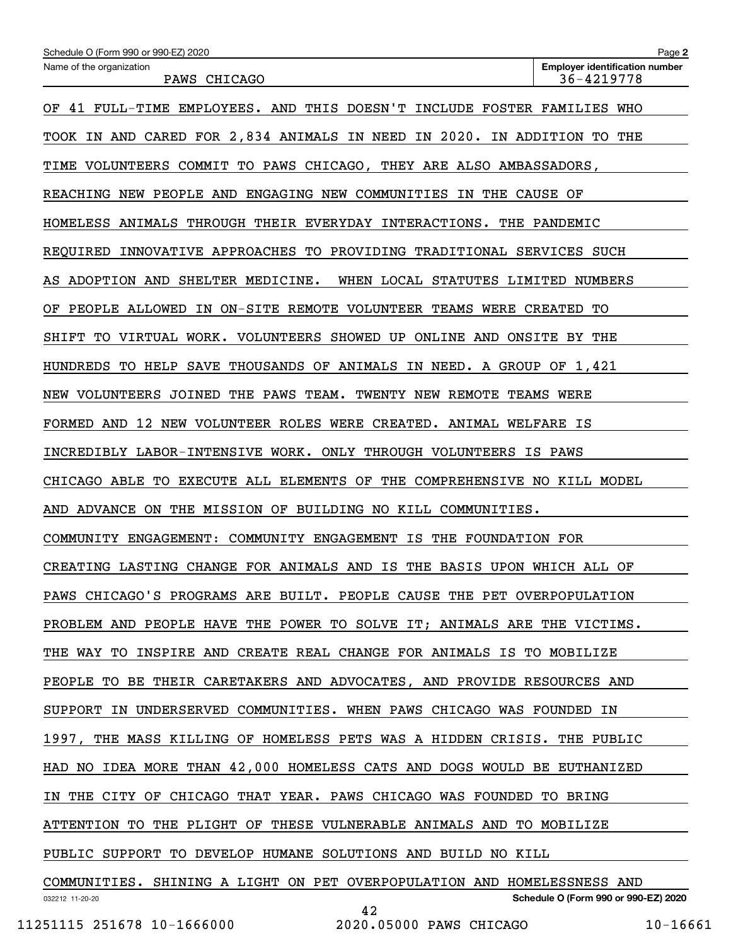| Schedule O (Form 990 or 990-EZ) 2020                                        | Page 2                                              |  |  |
|-----------------------------------------------------------------------------|-----------------------------------------------------|--|--|
| Name of the organization<br>PAWS CHICAGO                                    | <b>Employer identification number</b><br>36-4219778 |  |  |
| 41 FULL-TIME EMPLOYEES. AND THIS DOESN'T INCLUDE FOSTER FAMILIES WHO<br>ΟF  |                                                     |  |  |
| TOOK IN AND CARED FOR 2,834 ANIMALS IN NEED IN 2020. IN ADDITION TO         | THE                                                 |  |  |
| VOLUNTEERS COMMIT TO PAWS CHICAGO, THEY ARE ALSO AMBASSADORS,<br>TIME       |                                                     |  |  |
| IN THE CAUSE OF<br>REACHING NEW PEOPLE AND ENGAGING NEW COMMUNITIES         |                                                     |  |  |
| HOMELESS ANIMALS THROUGH THEIR EVERYDAY INTERACTIONS. THE PANDEMIC          |                                                     |  |  |
| REQUIRED<br>INNOVATIVE APPROACHES TO PROVIDING TRADITIONAL SERVICES SUCH    |                                                     |  |  |
| WHEN LOCAL STATUTES LIMITED NUMBERS<br>ADOPTION AND SHELTER MEDICINE.<br>AS |                                                     |  |  |
| PEOPLE ALLOWED<br>IN ON-SITE REMOTE VOLUNTEER TEAMS WERE CREATED<br>ОF      | TО                                                  |  |  |
| TO VIRTUAL WORK. VOLUNTEERS SHOWED UP ONLINE AND ONSITE BY THE<br>SHIFT     |                                                     |  |  |
| THOUSANDS OF ANIMALS IN NEED. A GROUP OF 1,421<br>HUNDREDS TO HELP SAVE     |                                                     |  |  |
| NEW VOLUNTEERS JOINED<br>THE PAWS TEAM. TWENTY NEW REMOTE                   | TEAMS WERE                                          |  |  |
| FORMED AND 12 NEW VOLUNTEER ROLES WERE CREATED. ANIMAL WELFARE IS           |                                                     |  |  |
| INCREDIBLY LABOR-INTENSIVE WORK. ONLY THROUGH VOLUNTEERS IS PAWS            |                                                     |  |  |
| CHICAGO ABLE TO EXECUTE ALL ELEMENTS OF THE COMPREHENSIVE NO KILL MODEL     |                                                     |  |  |
| AND ADVANCE ON THE MISSION OF BUILDING NO KILL COMMUNITIES.                 |                                                     |  |  |
| IS THE FOUNDATION FOR<br>COMMUNITY ENGAGEMENT: COMMUNITY ENGAGEMENT         |                                                     |  |  |
| CREATING LASTING CHANGE FOR ANIMALS AND IS THE BASIS UPON WHICH ALL OF      |                                                     |  |  |
| PAWS CHICAGO'S PROGRAMS ARE BUILT. PEOPLE CAUSE THE PET OVERPOPULATION      |                                                     |  |  |
| PROBLEM AND PEOPLE HAVE THE POWER TO SOLVE IT; ANIMALS ARE THE VICTIMS.     |                                                     |  |  |
| THE WAY TO INSPIRE AND CREATE REAL CHANGE FOR ANIMALS IS TO MOBILIZE        |                                                     |  |  |
| PEOPLE TO BE THEIR CARETAKERS AND ADVOCATES, AND PROVIDE RESOURCES AND      |                                                     |  |  |
| SUPPORT IN UNDERSERVED COMMUNITIES. WHEN PAWS CHICAGO WAS FOUNDED IN        |                                                     |  |  |
| 1997, THE MASS KILLING OF HOMELESS PETS WAS A HIDDEN CRISIS. THE PUBLIC     |                                                     |  |  |
| HAD NO IDEA MORE THAN 42,000 HOMELESS CATS AND DOGS WOULD BE EUTHANIZED     |                                                     |  |  |
| IN THE CITY OF CHICAGO THAT YEAR. PAWS CHICAGO WAS FOUNDED TO BRING         |                                                     |  |  |
| ATTENTION TO THE PLIGHT OF THESE VULNERABLE ANIMALS AND TO MOBILIZE         |                                                     |  |  |
| PUBLIC SUPPORT TO DEVELOP HUMANE SOLUTIONS AND BUILD NO KILL                |                                                     |  |  |
| COMMUNITIES. SHINING A LIGHT ON PET OVERPOPULATION AND HOMELESSNESS AND     |                                                     |  |  |
| 032212 11-20-20<br>42                                                       | Schedule O (Form 990 or 990-EZ) 2020                |  |  |

11251115 251678 10-1666000 2020.05000 PAWS CHICAGO 10-16661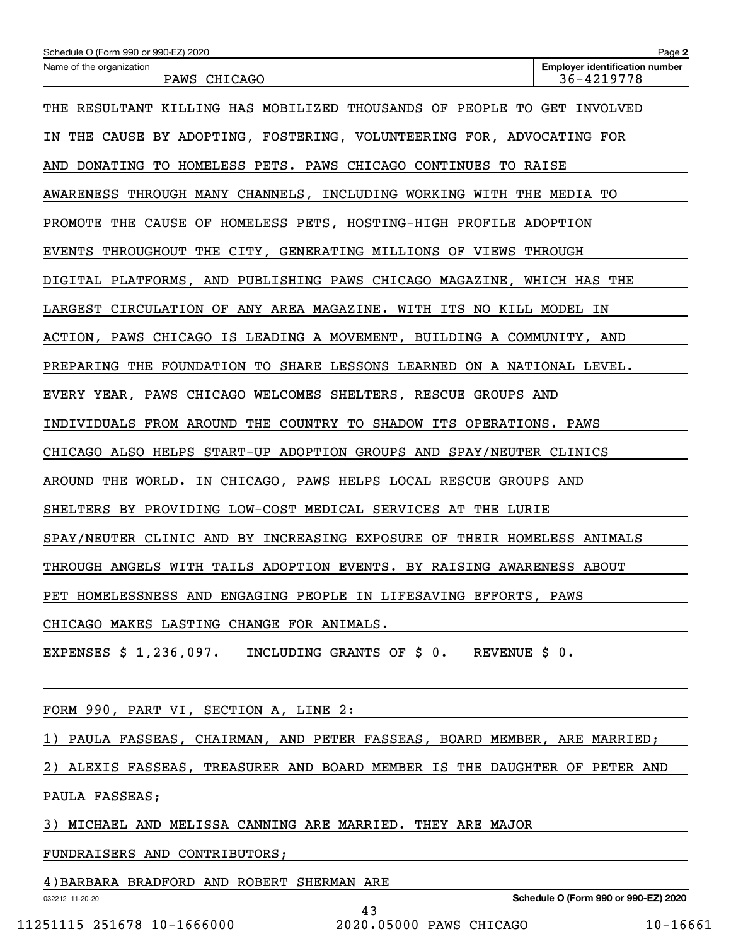| Schedule O (Form 990 or 990-EZ) 2020                                    | Page 2                                              |  |
|-------------------------------------------------------------------------|-----------------------------------------------------|--|
| Name of the organization<br>PAWS CHICAGO                                | <b>Employer identification number</b><br>36-4219778 |  |
| THE RESULTANT KILLING HAS MOBILIZED THOUSANDS OF PEOPLE TO GET INVOLVED |                                                     |  |
| IN THE CAUSE BY ADOPTING, FOSTERING, VOLUNTEERING FOR, ADVOCATING FOR   |                                                     |  |
| AND DONATING TO HOMELESS PETS. PAWS CHICAGO CONTINUES TO RAISE          |                                                     |  |
| AWARENESS THROUGH MANY CHANNELS, INCLUDING WORKING WITH THE MEDIA TO    |                                                     |  |
| PROMOTE THE CAUSE OF HOMELESS PETS, HOSTING-HIGH PROFILE ADOPTION       |                                                     |  |
| EVENTS THROUGHOUT THE CITY, GENERATING MILLIONS OF VIEWS THROUGH        |                                                     |  |
| DIGITAL PLATFORMS, AND PUBLISHING PAWS CHICAGO MAGAZINE, WHICH HAS THE  |                                                     |  |
| LARGEST CIRCULATION OF ANY AREA MAGAZINE. WITH ITS NO KILL MODEL IN     |                                                     |  |
| ACTION, PAWS CHICAGO IS LEADING A MOVEMENT, BUILDING A COMMUNITY, AND   |                                                     |  |
| PREPARING THE FOUNDATION TO SHARE LESSONS LEARNED ON A NATIONAL LEVEL.  |                                                     |  |
| EVERY YEAR, PAWS CHICAGO WELCOMES SHELTERS, RESCUE GROUPS AND           |                                                     |  |
| INDIVIDUALS FROM AROUND THE COUNTRY TO SHADOW ITS OPERATIONS. PAWS      |                                                     |  |
| CHICAGO ALSO HELPS START-UP ADOPTION GROUPS AND SPAY/NEUTER CLINICS     |                                                     |  |
| AROUND THE WORLD. IN CHICAGO, PAWS HELPS LOCAL RESCUE GROUPS AND        |                                                     |  |
| SHELTERS BY PROVIDING LOW-COST MEDICAL SERVICES AT THE LURIE            |                                                     |  |
| SPAY/NEUTER CLINIC AND BY INCREASING EXPOSURE OF THEIR HOMELESS ANIMALS |                                                     |  |
| THROUGH ANGELS WITH TAILS ADOPTION EVENTS. BY RAISING AWARENESS ABOUT   |                                                     |  |
| PET HOMELESSNESS AND ENGAGING PEOPLE IN LIFESAVING EFFORTS, PAWS        |                                                     |  |
| CHICAGO MAKES LASTING CHANGE FOR ANIMALS.                               |                                                     |  |
| EXPENSES \$ 1,236,097.<br>INCLUDING GRANTS OF \$ 0.<br>REVENUE \$ 0.    |                                                     |  |
|                                                                         |                                                     |  |

FORM 990, PART VI, SECTION A, LINE 2:

1) PAULA FASSEAS, CHAIRMAN, AND PETER FASSEAS, BOARD MEMBER, ARE MARRIED;

2) ALEXIS FASSEAS, TREASURER AND BOARD MEMBER IS THE DAUGHTER OF PETER AND PAULA FASSEAS;

3) MICHAEL AND MELISSA CANNING ARE MARRIED. THEY ARE MAJOR

FUNDRAISERS AND CONTRIBUTORS;

4)BARBARA BRADFORD AND ROBERT SHERMAN ARE

032212 11-20-20

**Schedule O (Form 990 or 990-EZ) 2020**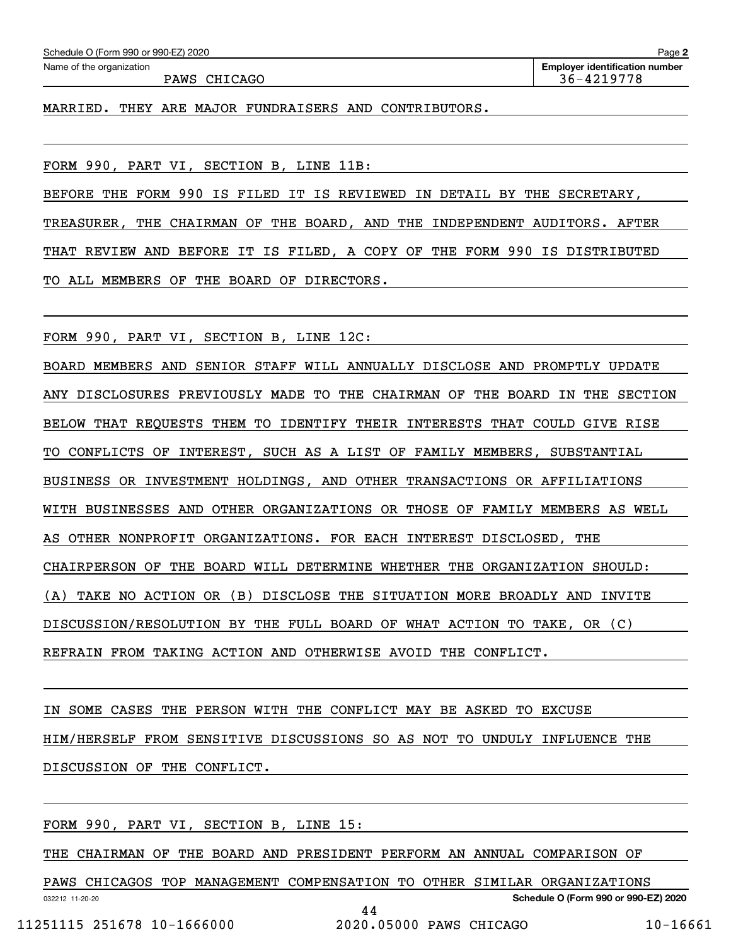| Schedule O (Form 990 or 990-EZ) 2020 | Page                                  |
|--------------------------------------|---------------------------------------|
| Name of the organization             | <b>Emplover identification number</b> |
| <b>PAWS CHICAGO</b>                  | 36-4219778                            |

MARRIED. THEY ARE MAJOR FUNDRAISERS AND CONTRIBUTORS.

FORM 990, PART VI, SECTION B, LINE 11B:

BEFORE THE FORM 990 IS FILED IT IS REVIEWED IN DETAIL BY THE SECRETARY, TREASURER, THE CHAIRMAN OF THE BOARD, AND THE INDEPENDENT AUDITORS. AFTER THAT REVIEW AND BEFORE IT IS FILED, A COPY OF THE FORM 990 IS DISTRIBUTED TO ALL MEMBERS OF THE BOARD OF DIRECTORS.

FORM 990, PART VI, SECTION B, LINE 12C:

BOARD MEMBERS AND SENIOR STAFF WILL ANNUALLY DISCLOSE AND PROMPTLY UPDATE ANY DISCLOSURES PREVIOUSLY MADE TO THE CHAIRMAN OF THE BOARD IN THE SECTION BELOW THAT REQUESTS THEM TO IDENTIFY THEIR INTERESTS THAT COULD GIVE RISE TO CONFLICTS OF INTEREST, SUCH AS A LIST OF FAMILY MEMBERS, SUBSTANTIAL BUSINESS OR INVESTMENT HOLDINGS, AND OTHER TRANSACTIONS OR AFFILIATIONS WITH BUSINESSES AND OTHER ORGANIZATIONS OR THOSE OF FAMILY MEMBERS AS WELL AS OTHER NONPROFIT ORGANIZATIONS. FOR EACH INTEREST DISCLOSED, THE CHAIRPERSON OF THE BOARD WILL DETERMINE WHETHER THE ORGANIZATION SHOULD: (A) TAKE NO ACTION OR (B) DISCLOSE THE SITUATION MORE BROADLY AND INVITE DISCUSSION/RESOLUTION BY THE FULL BOARD OF WHAT ACTION TO TAKE, OR (C) REFRAIN FROM TAKING ACTION AND OTHERWISE AVOID THE CONFLICT.

IN SOME CASES THE PERSON WITH THE CONFLICT MAY BE ASKED TO EXCUSE HIM/HERSELF FROM SENSITIVE DISCUSSIONS SO AS NOT TO UNDULY INFLUENCE THE DISCUSSION OF THE CONFLICT.

FORM 990, PART VI, SECTION B, LINE 15:

THE CHAIRMAN OF THE BOARD AND PRESIDENT PERFORM AN ANNUAL COMPARISON OF

032212 11-20-20 **Schedule O (Form 990 or 990-EZ) 2020** PAWS CHICAGOS TOP MANAGEMENT COMPENSATION TO OTHER SIMILAR ORGANIZATIONS 44

**2Employer identification number**